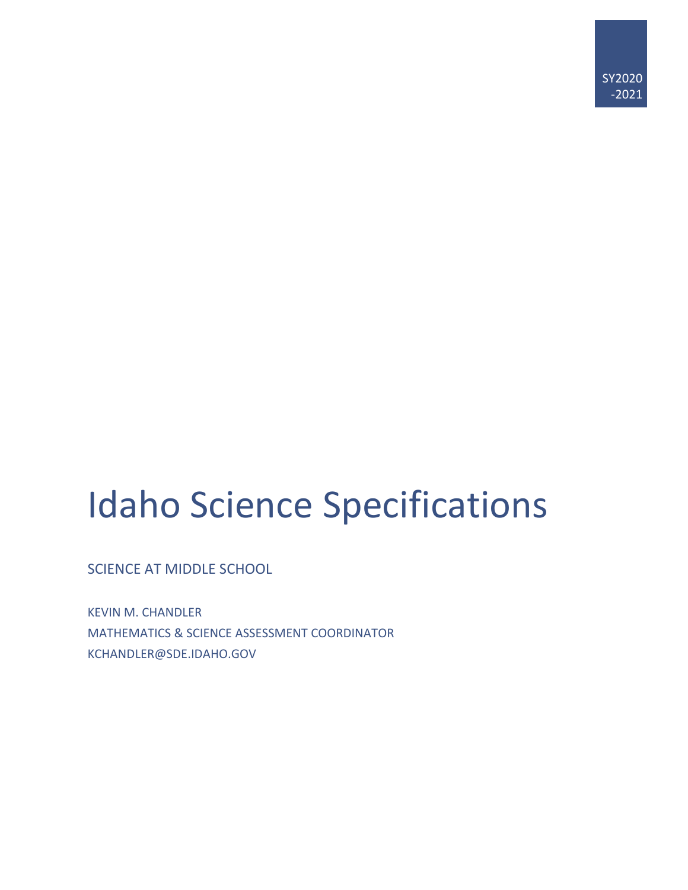# Idaho Science Specifications

SCIENCE AT MIDDLE SCHOOL

KEVIN M. CHANDLER MATHEMATICS & SCIENCE ASSESSMENT COORDINATOR KCHANDLER@SDE.IDAHO.GOV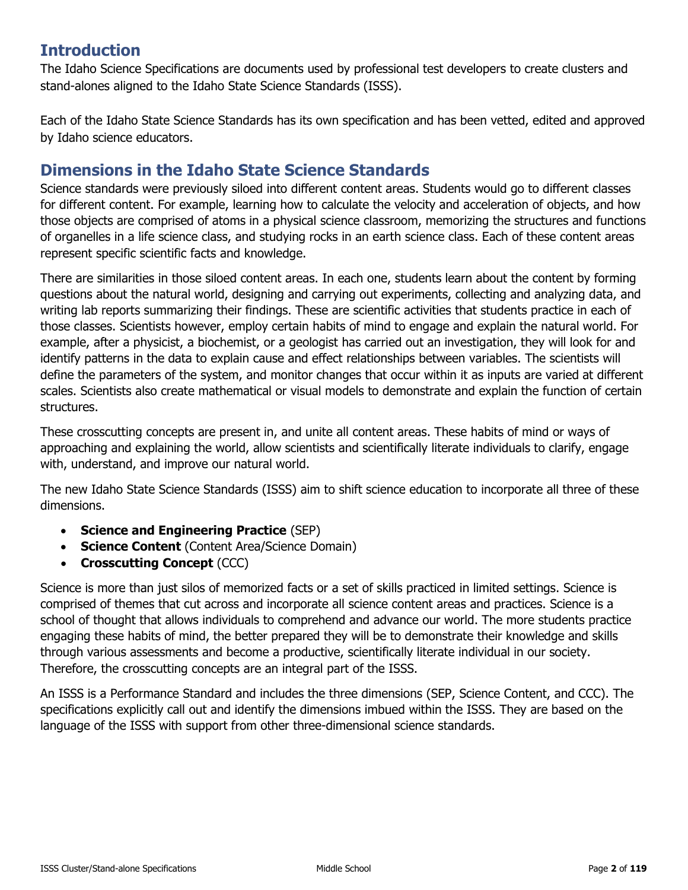# **Introduction**

The Idaho Science Specifications are documents used by professional test developers to create clusters and stand-alones aligned to the Idaho State Science Standards (ISSS).

Each of the Idaho State Science Standards has its own specification and has been vetted, edited and approved by Idaho science educators.

# **Dimensions in the Idaho State Science Standards**

Science standards were previously siloed into different content areas. Students would go to different classes for different content. For example, learning how to calculate the velocity and acceleration of objects, and how those objects are comprised of atoms in a physical science classroom, memorizing the structures and functions of organelles in a life science class, and studying rocks in an earth science class. Each of these content areas represent specific scientific facts and knowledge.

There are similarities in those siloed content areas. In each one, students learn about the content by forming questions about the natural world, designing and carrying out experiments, collecting and analyzing data, and writing lab reports summarizing their findings. These are scientific activities that students practice in each of those classes. Scientists however, employ certain habits of mind to engage and explain the natural world. For example, after a physicist, a biochemist, or a geologist has carried out an investigation, they will look for and identify patterns in the data to explain cause and effect relationships between variables. The scientists will define the parameters of the system, and monitor changes that occur within it as inputs are varied at different scales. Scientists also create mathematical or visual models to demonstrate and explain the function of certain structures.

These crosscutting concepts are present in, and unite all content areas. These habits of mind or ways of approaching and explaining the world, allow scientists and scientifically literate individuals to clarify, engage with, understand, and improve our natural world.

The new Idaho State Science Standards (ISSS) aim to shift science education to incorporate all three of these dimensions.

- **Science and Engineering Practice** (SEP)
- **Science Content** (Content Area/Science Domain)
- **Crosscutting Concept** (CCC)

Science is more than just silos of memorized facts or a set of skills practiced in limited settings. Science is comprised of themes that cut across and incorporate all science content areas and practices. Science is a school of thought that allows individuals to comprehend and advance our world. The more students practice engaging these habits of mind, the better prepared they will be to demonstrate their knowledge and skills through various assessments and become a productive, scientifically literate individual in our society. Therefore, the crosscutting concepts are an integral part of the ISSS.

An ISSS is a Performance Standard and includes the three dimensions (SEP, Science Content, and CCC). The specifications explicitly call out and identify the dimensions imbued within the ISSS. They are based on the language of the ISSS with support from other three-dimensional science standards.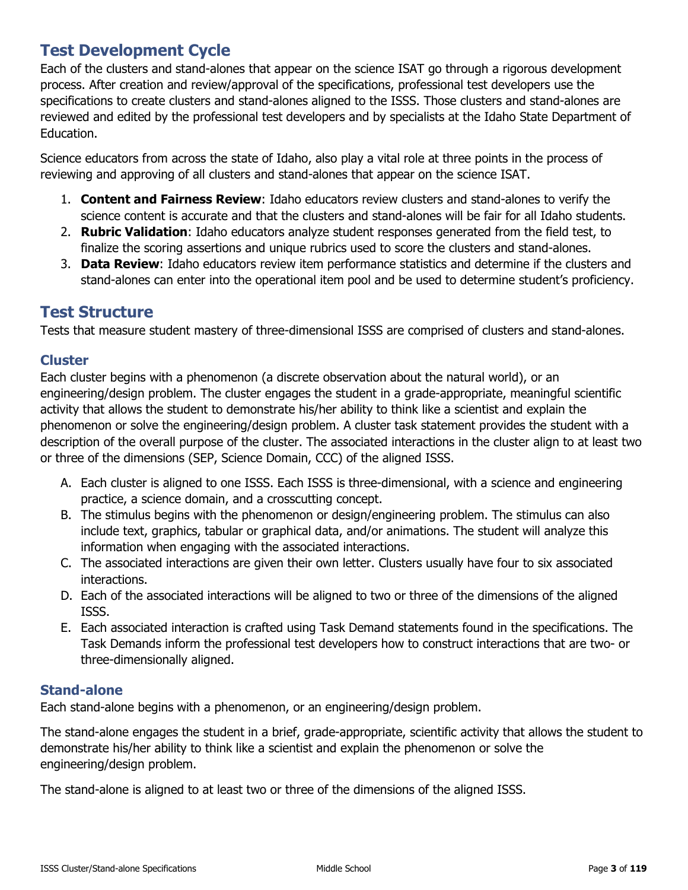# **Test Development Cycle**

Each of the clusters and stand-alones that appear on the science ISAT go through a rigorous development process. After creation and review/approval of the specifications, professional test developers use the specifications to create clusters and stand-alones aligned to the ISSS. Those clusters and stand-alones are reviewed and edited by the professional test developers and by specialists at the Idaho State Department of Education.

Science educators from across the state of Idaho, also play a vital role at three points in the process of reviewing and approving of all clusters and stand-alones that appear on the science ISAT.

- 1. **Content and Fairness Review**: Idaho educators review clusters and stand-alones to verify the science content is accurate and that the clusters and stand-alones will be fair for all Idaho students.
- 2. **Rubric Validation**: Idaho educators analyze student responses generated from the field test, to finalize the scoring assertions and unique rubrics used to score the clusters and stand-alones.
- 3. **Data Review**: Idaho educators review item performance statistics and determine if the clusters and stand-alones can enter into the operational item pool and be used to determine student's proficiency.

### **Test Structure**

Tests that measure student mastery of three-dimensional ISSS are comprised of clusters and stand-alones.

### **Cluster**

Each cluster begins with a phenomenon (a discrete observation about the natural world), or an engineering/design problem. The cluster engages the student in a grade-appropriate, meaningful scientific activity that allows the student to demonstrate his/her ability to think like a scientist and explain the phenomenon or solve the engineering/design problem. A cluster task statement provides the student with a description of the overall purpose of the cluster. The associated interactions in the cluster align to at least two or three of the dimensions (SEP, Science Domain, CCC) of the aligned ISSS.

- A. Each cluster is aligned to one ISSS. Each ISSS is three-dimensional, with a science and engineering practice, a science domain, and a crosscutting concept.
- B. The stimulus begins with the phenomenon or design/engineering problem. The stimulus can also include text, graphics, tabular or graphical data, and/or animations. The student will analyze this information when engaging with the associated interactions.
- C. The associated interactions are given their own letter. Clusters usually have four to six associated interactions.
- D. Each of the associated interactions will be aligned to two or three of the dimensions of the aligned ISSS.
- E. Each associated interaction is crafted using Task Demand statements found in the specifications. The Task Demands inform the professional test developers how to construct interactions that are two- or three-dimensionally aligned.

### **Stand-alone**

Each stand-alone begins with a phenomenon, or an engineering/design problem.

The stand-alone engages the student in a brief, grade-appropriate, scientific activity that allows the student to demonstrate his/her ability to think like a scientist and explain the phenomenon or solve the engineering/design problem.

The stand-alone is aligned to at least two or three of the dimensions of the aligned ISSS.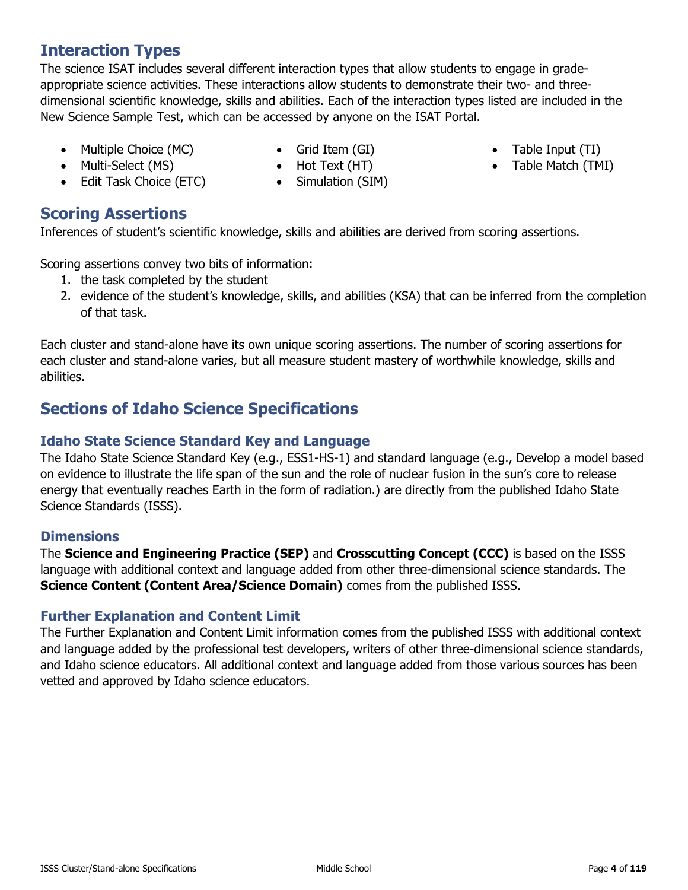# **Interaction Types**

The science ISAT includes several different interaction types that allow students to engage in gradeappropriate science activities. These interactions allow students to demonstrate their two- and threedimensional scientific knowledge, skills and abilities. Each of the interaction types listed are included in the New Science Sample Test, which can be accessed by anyone on the ISAT Portal.

- Multiple Choice (MC)
- Grid Item (GI)
- Table Input (TI)
- Table Match (TMI)
- Multi-Select (MS)
- Edit Task Choice (ETC)
- Hot Text (HT) • Simulation (SIM)

# **Scoring Assertions**

Inferences of student's scientific knowledge, skills and abilities are derived from scoring assertions.

Scoring assertions convey two bits of information:

- 1. the task completed by the student
- 2. evidence of the student's knowledge, skills, and abilities (KSA) that can be inferred from the completion of that task.

Each cluster and stand-alone have its own unique scoring assertions. The number of scoring assertions for each cluster and stand-alone varies, but all measure student mastery of worthwhile knowledge, skills and abilities.

# **Sections of Idaho Science Specifications**

### **Idaho State Science Standard Key and Language**

The Idaho State Science Standard Key (e.g., ESS1-HS-1) and standard language (e.g., Develop a model based on evidence to illustrate the life span of the sun and the role of nuclear fusion in the sun's core to release energy that eventually reaches Earth in the form of radiation.) are directly from the published Idaho State Science Standards (ISSS).

### **Dimensions**

The **Science and Engineering Practice (SEP)** and **Crosscutting Concept (CCC)** is based on the ISSS language with additional context and language added from other three-dimensional science standards. The **Science Content (Content Area/Science Domain)** comes from the published ISSS.

### **Further Explanation and Content Limit**

The Further Explanation and Content Limit information comes from the published ISSS with additional context and language added by the professional test developers, writers of other three-dimensional science standards, and Idaho science educators. All additional context and language added from those various sources has been vetted and approved by Idaho science educators.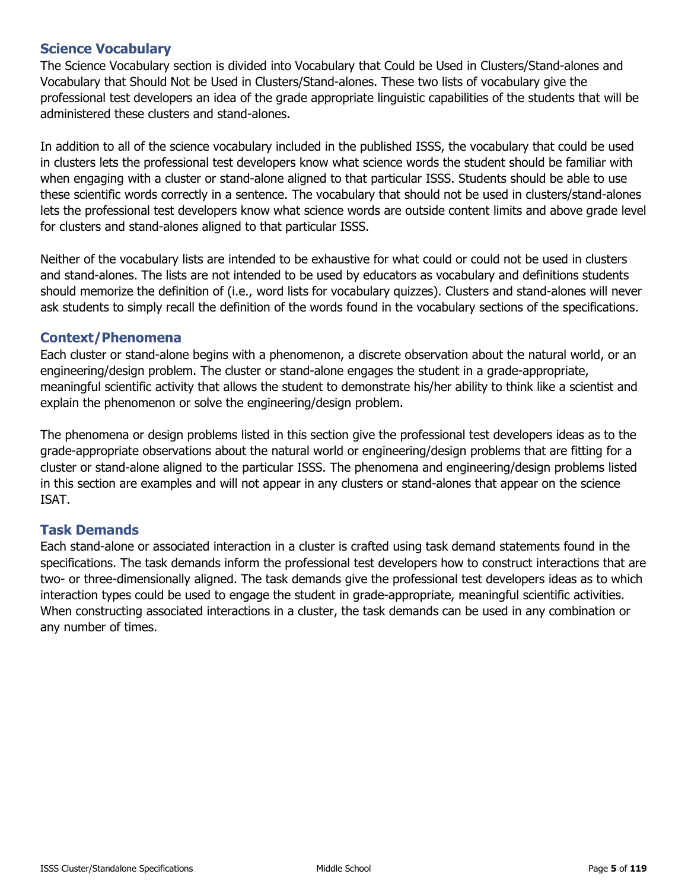The Science Vocabulary section is divided into Vocabulary that Could be Used in Clusters/Stand-alones and Vocabulary that Should Not be Used in Clusters/Stand-alones. These two lists of vocabulary give the professional test developers an idea of the grade appropriate linguistic capabilities of the students that will be administered these clusters and stand-alones.

In addition to all of the science vocabulary included in the published ISSS, the vocabulary that could be used in clusters lets the professional test developers know what science words the student should be familiar with when engaging with a cluster or stand-alone aligned to that particular ISSS. Students should be able to use these scientific words correctly in a sentence. The vocabulary that should not be used in clusters/stand-alones lets the professional test developers know what science words are outside content limits and above grade level for clusters and stand-alones aligned to that particular ISSS.

Neither of the vocabulary lists are intended to be exhaustive for what could or could not be used in clusters and stand-alones. The lists are not intended to be used by educators as vocabulary and definitions students should memorize the definition of (i.e., word lists for vocabulary quizzes). Clusters and stand-alones will never ask students to simply recall the definition of the words found in the vocabulary sections of the specifications.

### **Context/Phenomena**

Each cluster or stand-alone begins with a phenomenon, a discrete observation about the natural world, or an engineering/design problem. The cluster or stand-alone engages the student in a grade-appropriate, meaningful scientific activity that allows the student to demonstrate his/her ability to think like a scientist and explain the phenomenon or solve the engineering/design problem.

The phenomena or design problems listed in this section give the professional test developers ideas as to the grade-appropriate observations about the natural world or engineering/design problems that are fitting for a cluster or stand-alone aligned to the particular ISSS. The phenomena and engineering/design problems listed in this section are examples and will not appear in any clusters or stand-alones that appear on the science ISAT.

### **Task Demands**

Each stand-alone or associated interaction in a cluster is crafted using task demand statements found in the specifications. The task demands inform the professional test developers how to construct interactions that are two- or three-dimensionally aligned. The task demands give the professional test developers ideas as to which interaction types could be used to engage the student in grade-appropriate, meaningful scientific activities. When constructing associated interactions in a cluster, the task demands can be used in any combination or any number of times.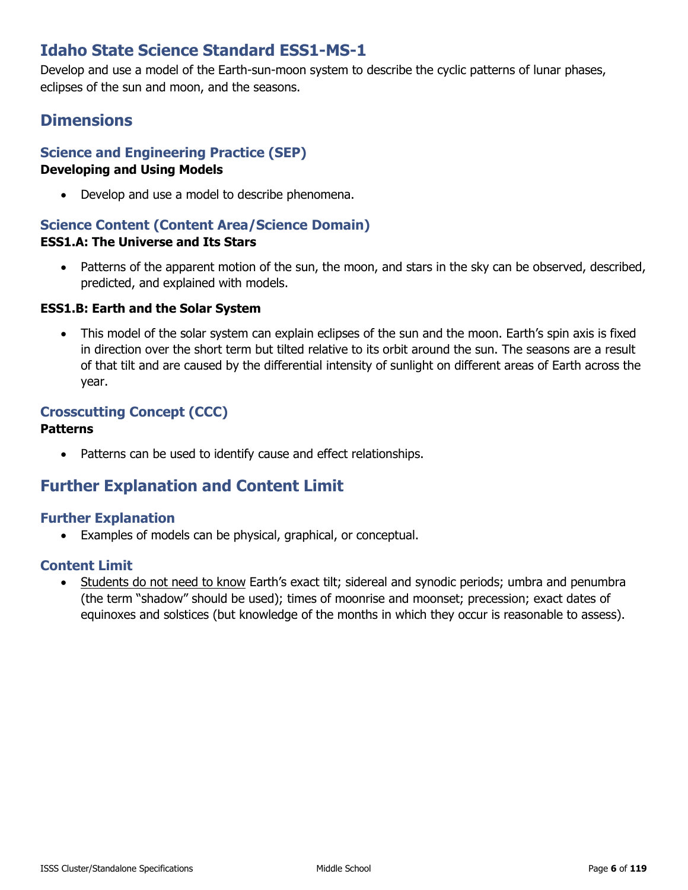# **Idaho State Science Standard ESS1-MS-1**

Develop and use a model of the Earth-sun-moon system to describe the cyclic patterns of lunar phases, eclipses of the sun and moon, and the seasons.

# **Dimensions**

# **Science and Engineering Practice (SEP)**

### **Developing and Using Models**

• Develop and use a model to describe phenomena.

### **Science Content (Content Area/Science Domain) ESS1.A: The Universe and Its Stars**

• Patterns of the apparent motion of the sun, the moon, and stars in the sky can be observed, described, predicted, and explained with models.

### **ESS1.B: Earth and the Solar System**

• This model of the solar system can explain eclipses of the sun and the moon. Earth's spin axis is fixed in direction over the short term but tilted relative to its orbit around the sun. The seasons are a result of that tilt and are caused by the differential intensity of sunlight on different areas of Earth across the year.

# **Crosscutting Concept (CCC)**

#### **Patterns**

Patterns can be used to identify cause and effect relationships.

# **Further Explanation and Content Limit**

### **Further Explanation**

• Examples of models can be physical, graphical, or conceptual.

### **Content Limit**

• Students do not need to know Earth's exact tilt; sidereal and synodic periods; umbra and penumbra (the term "shadow" should be used); times of moonrise and moonset; precession; exact dates of equinoxes and solstices (but knowledge of the months in which they occur is reasonable to assess).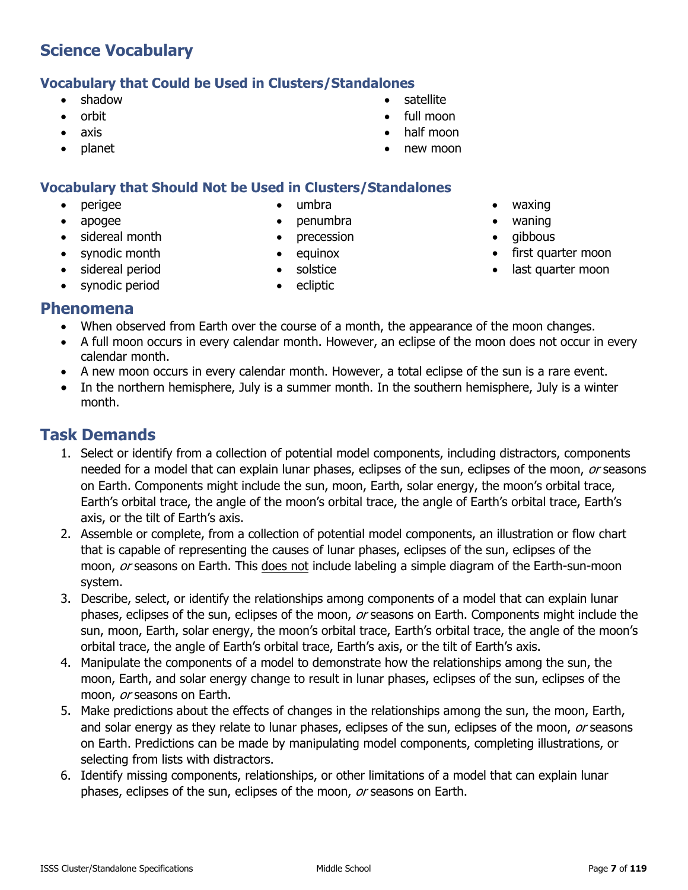### **Vocabulary that Could be Used in Clusters/Standalones**

- shadow
- orbit
- axis
- planet

• perigee • apogee

sidereal month • synodic month • sidereal period • synodic period

#### **Vocabulary that Should Not be Used in Clusters/Standalones** • umbra

- 
- penumbra
- precession • equinox
- solstice
- ecliptic
- - waning
	- gibbous
- first quarter moon
- last quarter moon

### **Phenomena**

- When observed from Earth over the course of a month, the appearance of the moon changes.
- A full moon occurs in every calendar month. However, an eclipse of the moon does not occur in every calendar month.
- A new moon occurs in every calendar month. However, a total eclipse of the sun is a rare event.
- In the northern hemisphere, July is a summer month. In the southern hemisphere, July is a winter month.

- 1. Select or identify from a collection of potential model components, including distractors, components needed for a model that can explain lunar phases, eclipses of the sun, eclipses of the moon, or seasons on Earth. Components might include the sun, moon, Earth, solar energy, the moon's orbital trace, Earth's orbital trace, the angle of the moon's orbital trace, the angle of Earth's orbital trace, Earth's axis, or the tilt of Earth's axis.
- 2. Assemble or complete, from a collection of potential model components, an illustration or flow chart that is capable of representing the causes of lunar phases, eclipses of the sun, eclipses of the moon, or seasons on Earth. This does not include labeling a simple diagram of the Earth-sun-moon system.
- 3. Describe, select, or identify the relationships among components of a model that can explain lunar phases, eclipses of the sun, eclipses of the moon, or seasons on Earth. Components might include the sun, moon, Earth, solar energy, the moon's orbital trace, Earth's orbital trace, the angle of the moon's orbital trace, the angle of Earth's orbital trace, Earth's axis, or the tilt of Earth's axis.
- 4. Manipulate the components of a model to demonstrate how the relationships among the sun, the moon, Earth, and solar energy change to result in lunar phases, eclipses of the sun, eclipses of the moon, or seasons on Earth.
- 5. Make predictions about the effects of changes in the relationships among the sun, the moon, Earth, and solar energy as they relate to lunar phases, eclipses of the sun, eclipses of the moon, or seasons on Earth. Predictions can be made by manipulating model components, completing illustrations, or selecting from lists with distractors.
- 6. Identify missing components, relationships, or other limitations of a model that can explain lunar phases, eclipses of the sun, eclipses of the moon, or seasons on Earth.
- waxing
- 
- 
- 
- **satellite** • full moon
- half moon
- new moon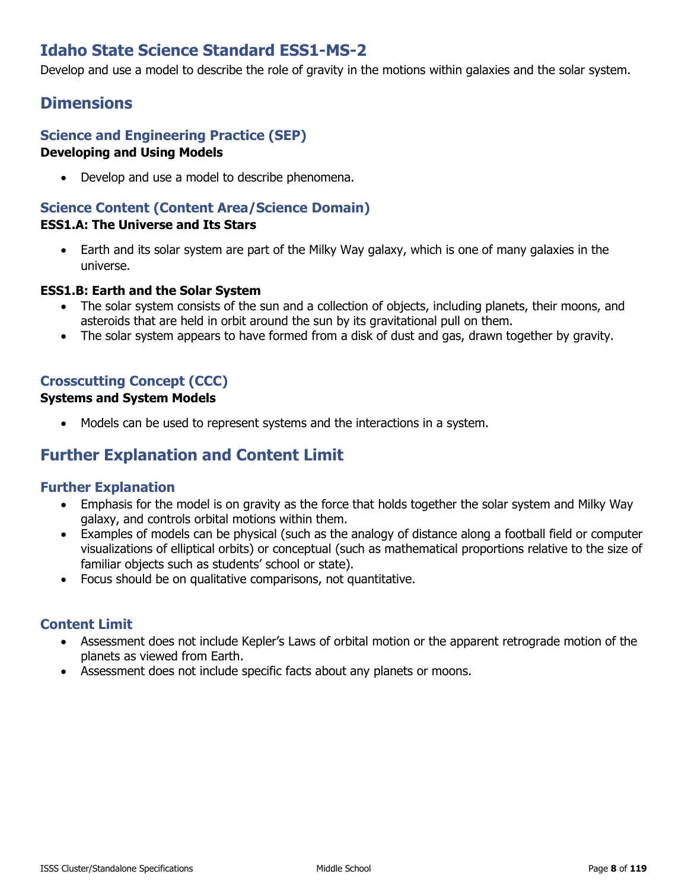# **Idaho State Science Standard ESS1-MS-2**

Develop and use a model to describe the role of gravity in the motions within galaxies and the solar system.

# **Dimensions**

### **Science and Engineering Practice (SEP) Developing and Using Models**

• Develop and use a model to describe phenomena.

### **Science Content (Content Area/Science Domain)**

### **ESS1.A: The Universe and Its Stars**

• Earth and its solar system are part of the Milky Way galaxy, which is one of many galaxies in the universe.

#### **ESS1.B: Earth and the Solar System**

- The solar system consists of the sun and a collection of objects, including planets, their moons, and asteroids that are held in orbit around the sun by its gravitational pull on them.
- The solar system appears to have formed from a disk of dust and gas, drawn together by gravity.

### **Crosscutting Concept (CCC)**

### **Systems and System Models**

Models can be used to represent systems and the interactions in a system.

# **Further Explanation and Content Limit**

### **Further Explanation**

- Emphasis for the model is on gravity as the force that holds together the solar system and Milky Way galaxy, and controls orbital motions within them.
- Examples of models can be physical (such as the analogy of distance along a football field or computer visualizations of elliptical orbits) or conceptual (such as mathematical proportions relative to the size of familiar objects such as students' school or state).
- Focus should be on qualitative comparisons, not quantitative.

- Assessment does not include Kepler's Laws of orbital motion or the apparent retrograde motion of the planets as viewed from Earth.
- Assessment does not include specific facts about any planets or moons.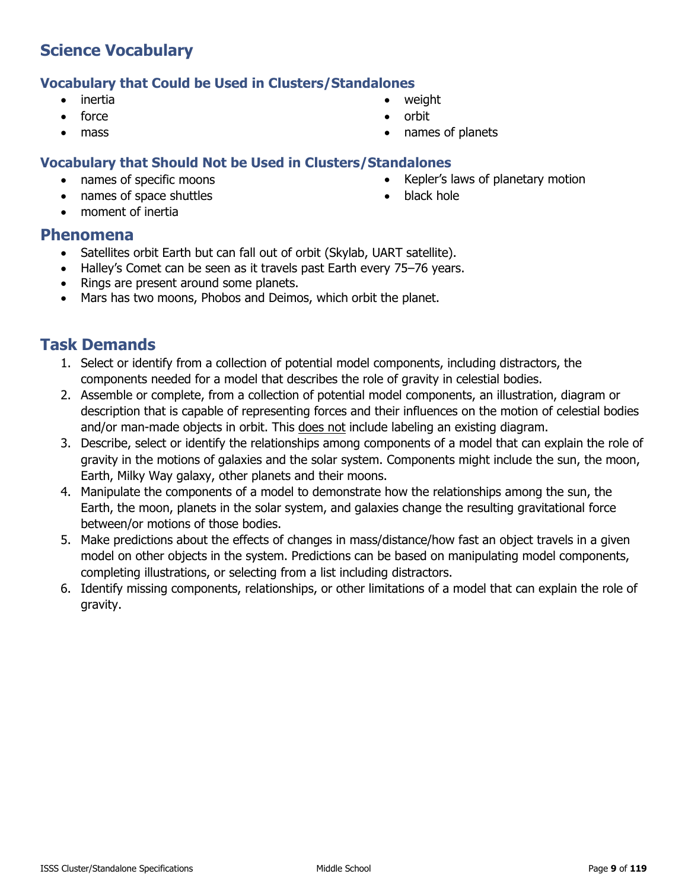### **Vocabulary that Could be Used in Clusters/Standalones**

- inertia
- force
- mass
- **Vocabulary that Should Not be Used in Clusters/Standalones**
	- names of specific moons
	- names of space shuttles
	- moment of inertia
- **Phenomena**
	- Satellites orbit Earth but can fall out of orbit (Skylab, UART satellite).
	- Halley's Comet can be seen as it travels past Earth every 75–76 years.
	- Rings are present around some planets.
	- Mars has two moons, Phobos and Deimos, which orbit the planet.

### **Task Demands**

- 1. Select or identify from a collection of potential model components, including distractors, the components needed for a model that describes the role of gravity in celestial bodies.
- 2. Assemble or complete, from a collection of potential model components, an illustration, diagram or description that is capable of representing forces and their influences on the motion of celestial bodies and/or man-made objects in orbit. This does not include labeling an existing diagram.
- 3. Describe, select or identify the relationships among components of a model that can explain the role of gravity in the motions of galaxies and the solar system. Components might include the sun, the moon, Earth, Milky Way galaxy, other planets and their moons.
- 4. Manipulate the components of a model to demonstrate how the relationships among the sun, the Earth, the moon, planets in the solar system, and galaxies change the resulting gravitational force between/or motions of those bodies.
- 5. Make predictions about the effects of changes in mass/distance/how fast an object travels in a given model on other objects in the system. Predictions can be based on manipulating model components, completing illustrations, or selecting from a list including distractors.
- 6. Identify missing components, relationships, or other limitations of a model that can explain the role of gravity.

• weight

• black hole

- orbit
- names of planets

• Kepler's laws of planetary motion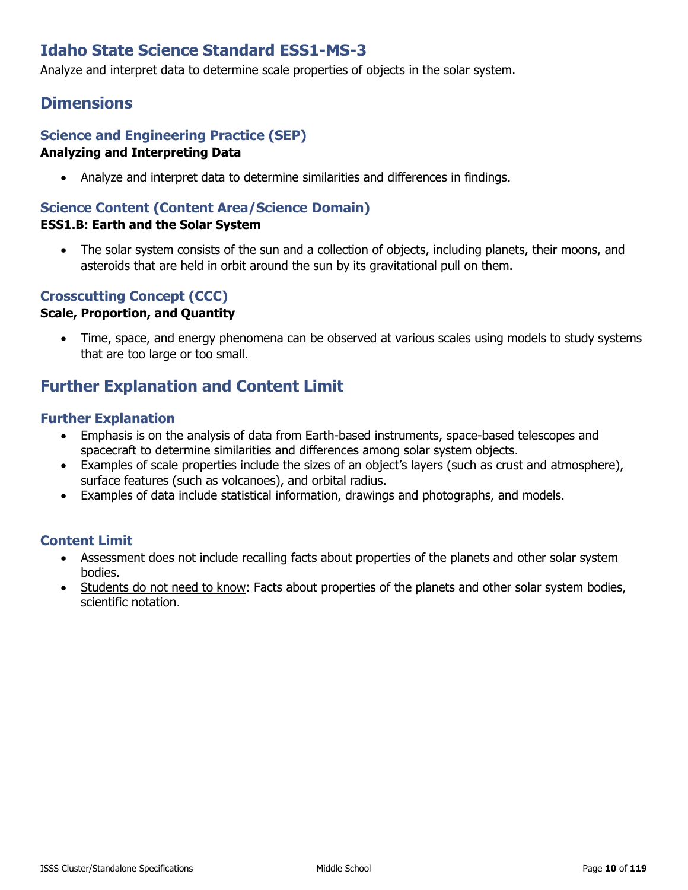# **Idaho State Science Standard ESS1-MS-3**

Analyze and interpret data to determine scale properties of objects in the solar system.

# **Dimensions**

### **Science and Engineering Practice (SEP) Analyzing and Interpreting Data**

• Analyze and interpret data to determine similarities and differences in findings.

### **Science Content (Content Area/Science Domain)**

### **ESS1.B: Earth and the Solar System**

The solar system consists of the sun and a collection of objects, including planets, their moons, and asteroids that are held in orbit around the sun by its gravitational pull on them.

### **Crosscutting Concept (CCC)**

### **Scale, Proportion, and Quantity**

• Time, space, and energy phenomena can be observed at various scales using models to study systems that are too large or too small.

# **Further Explanation and Content Limit**

### **Further Explanation**

- Emphasis is on the analysis of data from Earth-based instruments, space-based telescopes and spacecraft to determine similarities and differences among solar system objects.
- Examples of scale properties include the sizes of an object's layers (such as crust and atmosphere), surface features (such as volcanoes), and orbital radius.
- Examples of data include statistical information, drawings and photographs, and models.

- Assessment does not include recalling facts about properties of the planets and other solar system bodies.
- Students do not need to know: Facts about properties of the planets and other solar system bodies, scientific notation.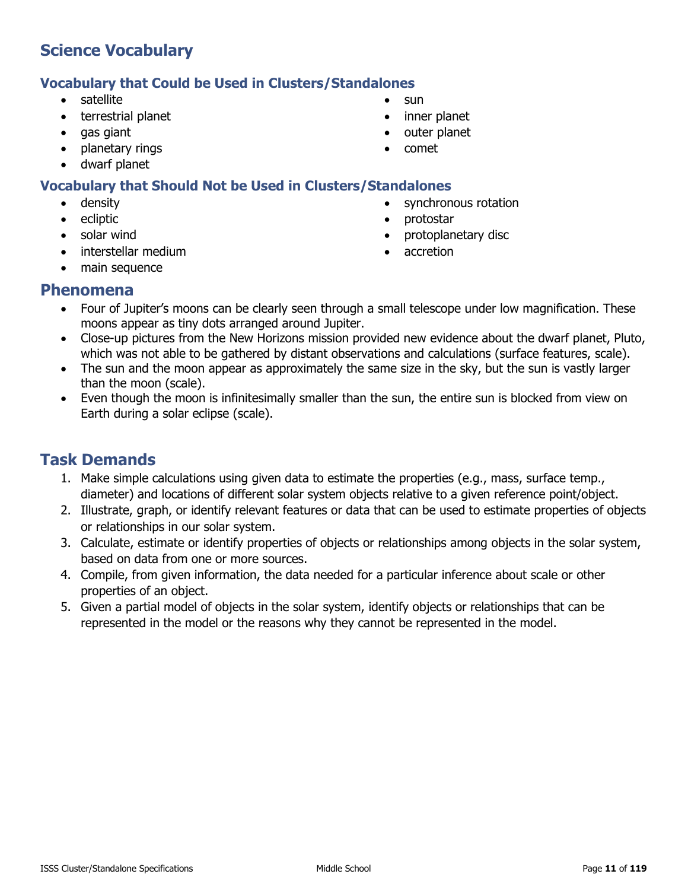### **Vocabulary that Could be Used in Clusters/Standalones**

- satellite
- terrestrial planet
- gas giant
- planetary rings
- dwarf planet

### **Vocabulary that Should Not be Used in Clusters/Standalones**

- density
- **ecliptic**
- solar wind
- interstellar medium
- main sequence
- **Phenomena**
	- Four of Jupiter's moons can be clearly seen through a small telescope under low magnification. These moons appear as tiny dots arranged around Jupiter.
	- Close-up pictures from the New Horizons mission provided new evidence about the dwarf planet, Pluto, which was not able to be gathered by distant observations and calculations (surface features, scale).
	- The sun and the moon appear as approximately the same size in the sky, but the sun is vastly larger than the moon (scale).
	- Even though the moon is infinitesimally smaller than the sun, the entire sun is blocked from view on Earth during a solar eclipse (scale).

# **Task Demands**

- 1. Make simple calculations using given data to estimate the properties (e.g., mass, surface temp., diameter) and locations of different solar system objects relative to a given reference point/object.
- 2. Illustrate, graph, or identify relevant features or data that can be used to estimate properties of objects or relationships in our solar system.
- 3. Calculate, estimate or identify properties of objects or relationships among objects in the solar system, based on data from one or more sources.
- 4. Compile, from given information, the data needed for a particular inference about scale or other properties of an object.
- 5. Given a partial model of objects in the solar system, identify objects or relationships that can be represented in the model or the reasons why they cannot be represented in the model.
- sun
- inner planet
- outer planet

• protostar

• accretion

synchronous rotation

• protoplanetary disc

• comet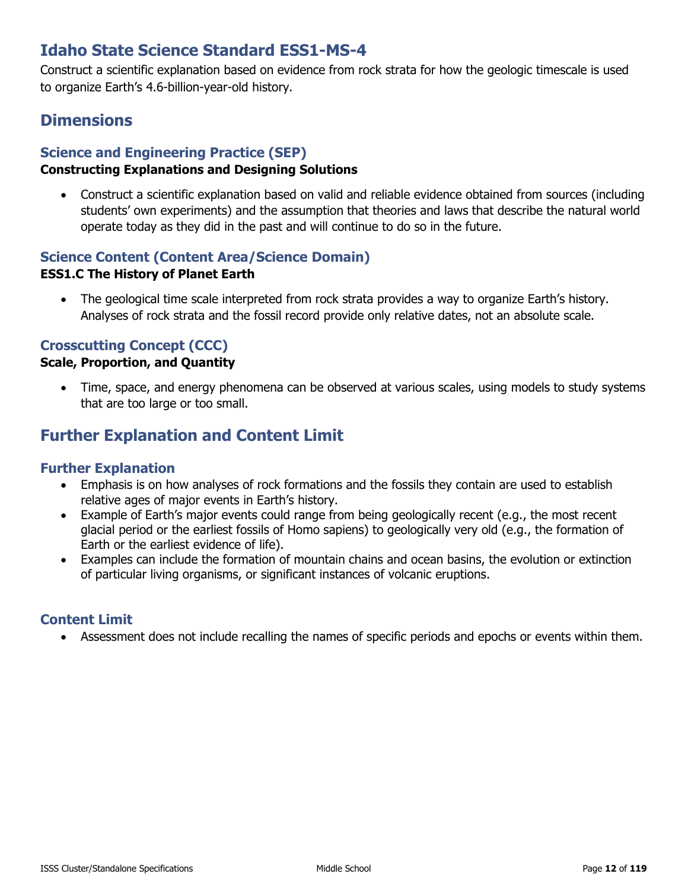# **Idaho State Science Standard ESS1-MS-4**

Construct a scientific explanation based on evidence from rock strata for how the geologic timescale is used to organize Earth's 4.6-billion-year-old history.

# **Dimensions**

### **Science and Engineering Practice (SEP)**

### **Constructing Explanations and Designing Solutions**

• Construct a scientific explanation based on valid and reliable evidence obtained from sources (including students' own experiments) and the assumption that theories and laws that describe the natural world operate today as they did in the past and will continue to do so in the future.

### **Science Content (Content Area/Science Domain)**

### **ESS1.C The History of Planet Earth**

• The geological time scale interpreted from rock strata provides a way to organize Earth's history. Analyses of rock strata and the fossil record provide only relative dates, not an absolute scale.

### **Crosscutting Concept (CCC)**

### **Scale, Proportion, and Quantity**

• Time, space, and energy phenomena can be observed at various scales, using models to study systems that are too large or too small.

# **Further Explanation and Content Limit**

### **Further Explanation**

- Emphasis is on how analyses of rock formations and the fossils they contain are used to establish relative ages of major events in Earth's history.
- Example of Earth's major events could range from being geologically recent (e.g., the most recent glacial period or the earliest fossils of Homo sapiens) to geologically very old (e.g., the formation of Earth or the earliest evidence of life).
- Examples can include the formation of mountain chains and ocean basins, the evolution or extinction of particular living organisms, or significant instances of volcanic eruptions.

### **Content Limit**

• Assessment does not include recalling the names of specific periods and epochs or events within them.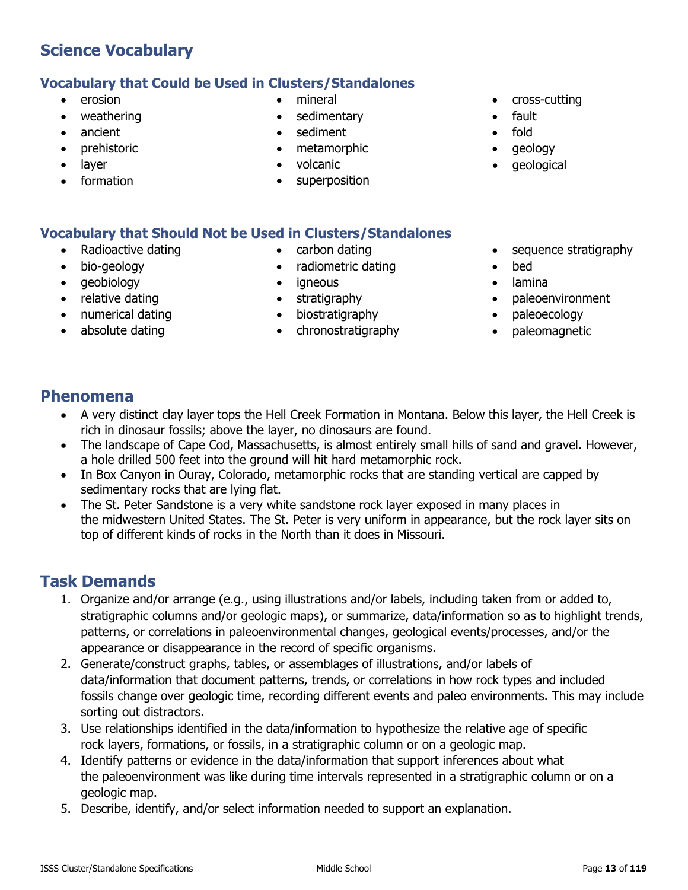# **Vocabulary that Could be Used in Clusters/Standalones**

- erosion
- weathering
- ancient
- prehistoric
- layer
- formation
- mineral
- sedimentary
- sediment
- metamorphic
- volcanic
- superposition
- cross-cutting
- fault
- fold
- geology
- geological

# **Vocabulary that Should Not be Used in Clusters/Standalones**

- Radioactive dating
- bio-geology
- geobiology
- relative dating
- numerical dating
- absolute dating
- carbon dating
- radiometric dating
- igneous
- stratigraphy
- biostratigraphy
- chronostratigraphy
- sequence stratigraphy
- bed
- lamina
- paleoenvironment
- paleoecology
- paleomagnetic

# **Phenomena**

- A very distinct clay layer tops the Hell Creek Formation in Montana. Below this layer, the Hell Creek is rich in dinosaur fossils; above the layer, no dinosaurs are found.
- The landscape of Cape Cod, Massachusetts, is almost entirely small hills of sand and gravel. However, a hole drilled 500 feet into the ground will hit hard metamorphic rock.
- In Box Canyon in Ouray, Colorado, metamorphic rocks that are standing vertical are capped by sedimentary rocks that are lying flat.
- The St. Peter Sandstone is a very white sandstone rock layer exposed in many places in the midwestern United States. The St. Peter is very uniform in appearance, but the rock layer sits on top of different kinds of rocks in the North than it does in Missouri.

- 1. Organize and/or arrange (e.g., using illustrations and/or labels, including taken from or added to, stratigraphic columns and/or geologic maps), or summarize, data/information so as to highlight trends, patterns, or correlations in paleoenvironmental changes, geological events/processes, and/or the appearance or disappearance in the record of specific organisms.
- 2. Generate/construct graphs, tables, or assemblages of illustrations, and/or labels of data/information that document patterns, trends, or correlations in how rock types and included fossils change over geologic time, recording different events and paleo environments. This may include sorting out distractors.
- 3. Use relationships identified in the data/information to hypothesize the relative age of specific rock layers, formations, or fossils, in a stratigraphic column or on a geologic map.
- 4. Identify patterns or evidence in the data/information that support inferences about what the paleoenvironment was like during time intervals represented in a stratigraphic column or on a geologic map.
- 5. Describe, identify, and/or select information needed to support an explanation.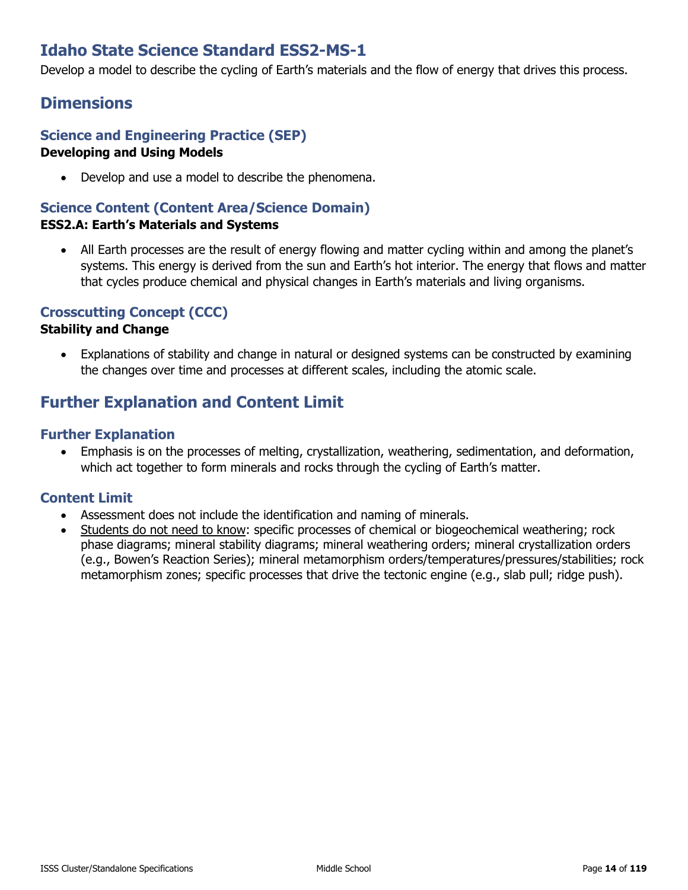# **Idaho State Science Standard ESS2-MS-1**

Develop a model to describe the cycling of Earth's materials and the flow of energy that drives this process.

### **Dimensions**

### **Science and Engineering Practice (SEP) Developing and Using Models**

• Develop and use a model to describe the phenomena.

### **Science Content (Content Area/Science Domain)**

### **ESS2.A: Earth's Materials and Systems**

• All Earth processes are the result of energy flowing and matter cycling within and among the planet's systems. This energy is derived from the sun and Earth's hot interior. The energy that flows and matter that cycles produce chemical and physical changes in Earth's materials and living organisms.

### **Crosscutting Concept (CCC)**

#### **Stability and Change**

• Explanations of stability and change in natural or designed systems can be constructed by examining the changes over time and processes at different scales, including the atomic scale.

# **Further Explanation and Content Limit**

### **Further Explanation**

• Emphasis is on the processes of melting, crystallization, weathering, sedimentation, and deformation, which act together to form minerals and rocks through the cycling of Earth's matter.

- Assessment does not include the identification and naming of minerals.
- Students do not need to know: specific processes of chemical or biogeochemical weathering; rock phase diagrams; mineral stability diagrams; mineral weathering orders; mineral crystallization orders (e.g., Bowen's Reaction Series); mineral metamorphism orders/temperatures/pressures/stabilities; rock metamorphism zones; specific processes that drive the tectonic engine (e.g., slab pull; ridge push).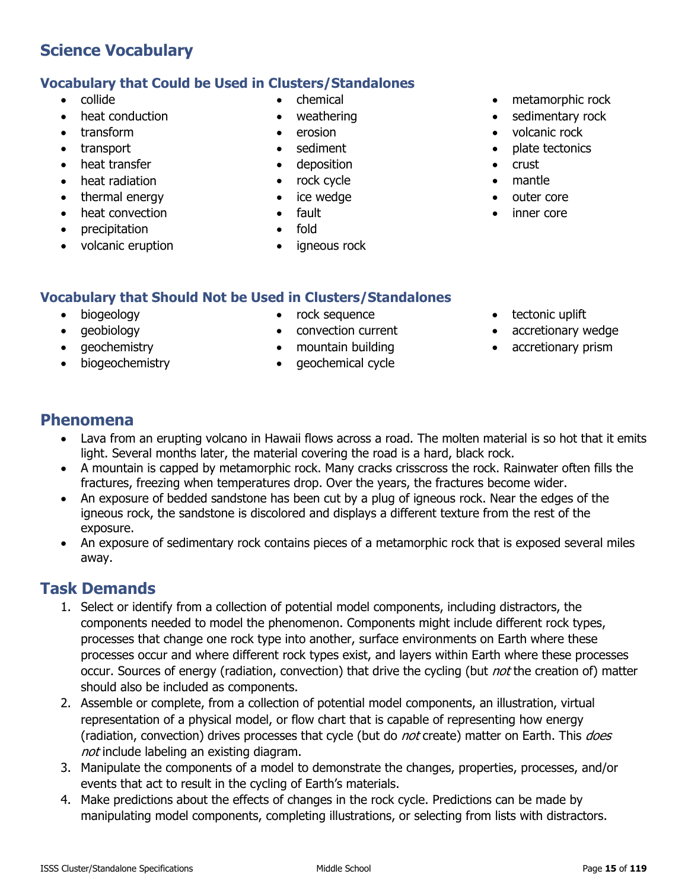# **Vocabulary that Could be Used in Clusters/Standalones**

- collide
- heat conduction
- transform
- transport
- heat transfer
- heat radiation
- thermal energy
- heat convection
- precipitation
- volcanic eruption
- chemical
- weathering
- erosion
- sediment
- deposition
- rock cycle
- ice wedge
- fault
- fold
- igneous rock
- metamorphic rock
- sedimentary rock
- volcanic rock
- plate tectonics
- crust
- mantle
- outer core
- inner core

### **Vocabulary that Should Not be Used in Clusters/Standalones**

- biogeology
- geobiology
- geochemistry
- biogeochemistry
- rock sequence
- convection current
- mountain building
- geochemical cycle
- tectonic uplift
- accretionary wedge
- accretionary prism

### **Phenomena**

- Lava from an erupting volcano in Hawaii flows across a road. The molten material is so hot that it emits light. Several months later, the material covering the road is a hard, black rock.
- A mountain is capped by metamorphic rock. Many cracks crisscross the rock. Rainwater often fills the fractures, freezing when temperatures drop. Over the years, the fractures become wider.
- An exposure of bedded sandstone has been cut by a plug of igneous rock. Near the edges of the igneous rock, the sandstone is discolored and displays a different texture from the rest of the exposure.
- An exposure of sedimentary rock contains pieces of a metamorphic rock that is exposed several miles away.

- 1. Select or identify from a collection of potential model components, including distractors, the components needed to model the phenomenon. Components might include different rock types, processes that change one rock type into another, surface environments on Earth where these processes occur and where different rock types exist, and layers within Earth where these processes occur. Sources of energy (radiation, convection) that drive the cycling (but *not* the creation of) matter should also be included as components.
- 2. Assemble or complete, from a collection of potential model components, an illustration, virtual representation of a physical model, or flow chart that is capable of representing how energy (radiation, convection) drives processes that cycle (but do *not* create) matter on Earth. This *does* not include labeling an existing diagram.
- 3. Manipulate the components of a model to demonstrate the changes, properties, processes, and/or events that act to result in the cycling of Earth's materials.
- 4. Make predictions about the effects of changes in the rock cycle. Predictions can be made by manipulating model components, completing illustrations, or selecting from lists with distractors.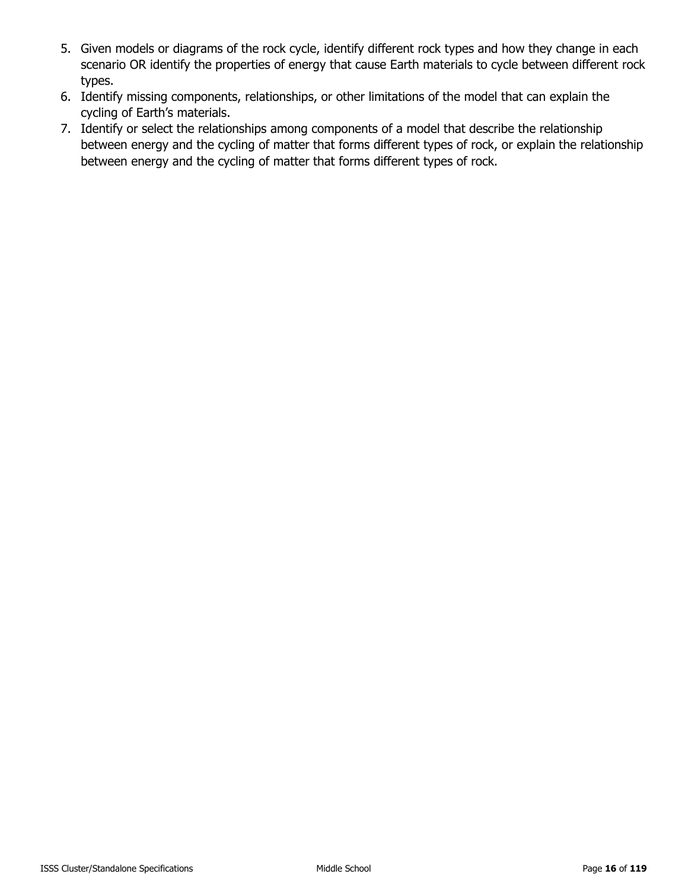- 5. Given models or diagrams of the rock cycle, identify different rock types and how they change in each scenario OR identify the properties of energy that cause Earth materials to cycle between different rock types.
- 6. Identify missing components, relationships, or other limitations of the model that can explain the cycling of Earth's materials.
- 7. Identify or select the relationships among components of a model that describe the relationship between energy and the cycling of matter that forms different types of rock, or explain the relationship between energy and the cycling of matter that forms different types of rock.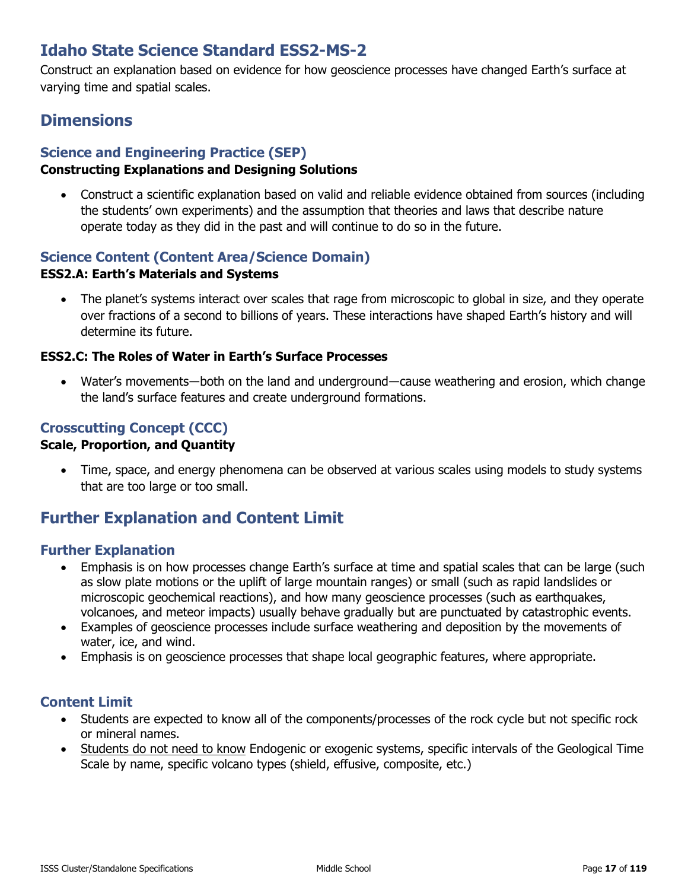# **Idaho State Science Standard ESS2-MS-2**

Construct an explanation based on evidence for how geoscience processes have changed Earth's surface at varying time and spatial scales.

# **Dimensions**

### **Science and Engineering Practice (SEP)**

### **Constructing Explanations and Designing Solutions**

• Construct a scientific explanation based on valid and reliable evidence obtained from sources (including the students' own experiments) and the assumption that theories and laws that describe nature operate today as they did in the past and will continue to do so in the future.

# **Science Content (Content Area/Science Domain)**

### **ESS2.A: Earth's Materials and Systems**

• The planet's systems interact over scales that rage from microscopic to global in size, and they operate over fractions of a second to billions of years. These interactions have shaped Earth's history and will determine its future.

### **ESS2.C: The Roles of Water in Earth's Surface Processes**

• Water's movements—both on the land and underground—cause weathering and erosion, which change the land's surface features and create underground formations.

### **Crosscutting Concept (CCC)**

### **Scale, Proportion, and Quantity**

• Time, space, and energy phenomena can be observed at various scales using models to study systems that are too large or too small.

# **Further Explanation and Content Limit**

### **Further Explanation**

- Emphasis is on how processes change Earth's surface at time and spatial scales that can be large (such as slow plate motions or the uplift of large mountain ranges) or small (such as rapid landslides or microscopic geochemical reactions), and how many geoscience processes (such as earthquakes, volcanoes, and meteor impacts) usually behave gradually but are punctuated by catastrophic events.
- Examples of geoscience processes include surface weathering and deposition by the movements of water, ice, and wind.
- Emphasis is on geoscience processes that shape local geographic features, where appropriate.

- Students are expected to know all of the components/processes of the rock cycle but not specific rock or mineral names.
- Students do not need to know Endogenic or exogenic systems, specific intervals of the Geological Time Scale by name, specific volcano types (shield, effusive, composite, etc.)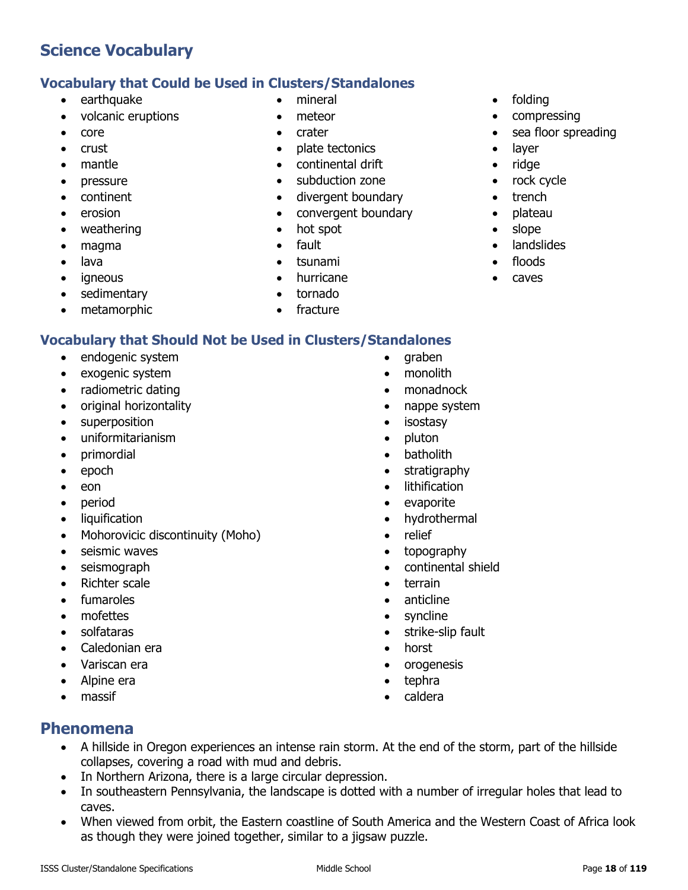### **Vocabulary that Could be Used in Clusters/Standalones**

- earthquake
- volcanic eruptions
- core
- crust
- mantle
- pressure
- continent
- erosion
- weathering
- magma
- lava
- igneous
- sedimentary
- metamorphic
- 
- 
- 
- mineral
- meteor
- crater
- plate tectonics
- continental drift
- subduction zone
- divergent boundary
- convergent boundary
- hot spot
- fault
- tsunami
- hurricane
- tornado
- fracture

### **Vocabulary that Should Not be Used in Clusters/Standalones**

- endogenic system
- exogenic system
- radiometric dating
- original horizontality
- superposition
- uniformitarianism
- primordial
- epoch
- eon
- period
- liquification
- Mohorovicic discontinuity (Moho)
- seismic waves
- seismograph
- Richter scale
- fumaroles
- mofettes
- solfataras
- Caledonian era
- Variscan era
- Alpine era
- massif
- graben
- monolith
- monadnock
- nappe system
- isostasy
- pluton
- batholith
- stratigraphy
- lithification
- evaporite
- hydrothermal
- relief
- topography
- continental shield
- terrain
- anticline
- syncline
- strike-slip fault
- horst
- orogenesis
- tephra
- caldera

- **Phenomena**
	- A hillside in Oregon experiences an intense rain storm. At the end of the storm, part of the hillside collapses, covering a road with mud and debris.
	- In Northern Arizona, there is a large circular depression.
	- In southeastern Pennsylvania, the landscape is dotted with a number of irregular holes that lead to caves.
	- When viewed from orbit, the Eastern coastline of South America and the Western Coast of Africa look as though they were joined together, similar to a jigsaw puzzle.
- folding
- compressing
- sea floor spreading
- layer
- ridge
- rock cycle
- trench
- plateau
- slope
- landslides
- floods
- caves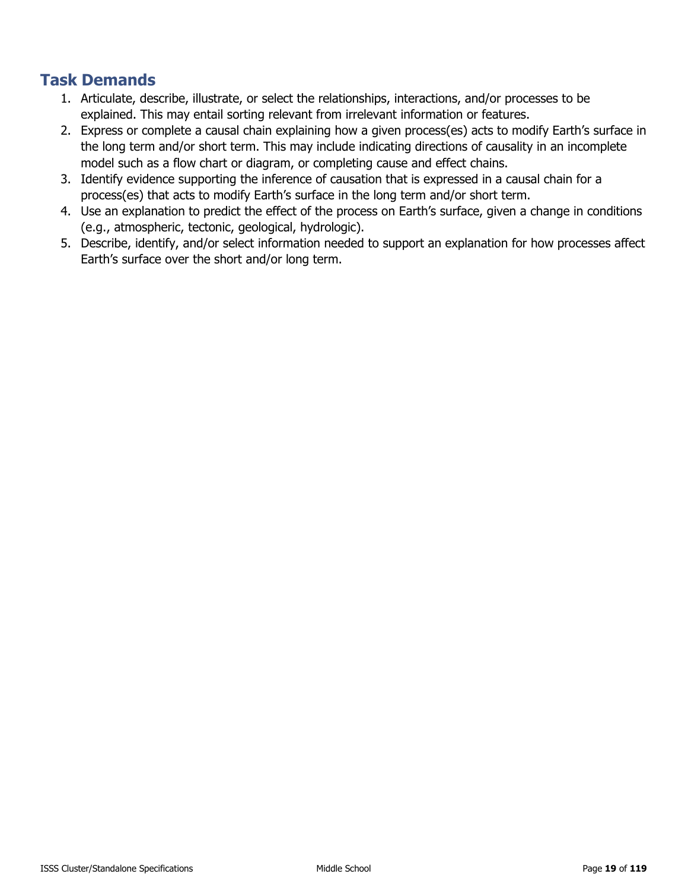- 1. Articulate, describe, illustrate, or select the relationships, interactions, and/or processes to be explained. This may entail sorting relevant from irrelevant information or features.
- 2. Express or complete a causal chain explaining how a given process(es) acts to modify Earth's surface in the long term and/or short term. This may include indicating directions of causality in an incomplete model such as a flow chart or diagram, or completing cause and effect chains.
- 3. Identify evidence supporting the inference of causation that is expressed in a causal chain for a process(es) that acts to modify Earth's surface in the long term and/or short term.
- 4. Use an explanation to predict the effect of the process on Earth's surface, given a change in conditions (e.g., atmospheric, tectonic, geological, hydrologic).
- 5. Describe, identify, and/or select information needed to support an explanation for how processes affect Earth's surface over the short and/or long term.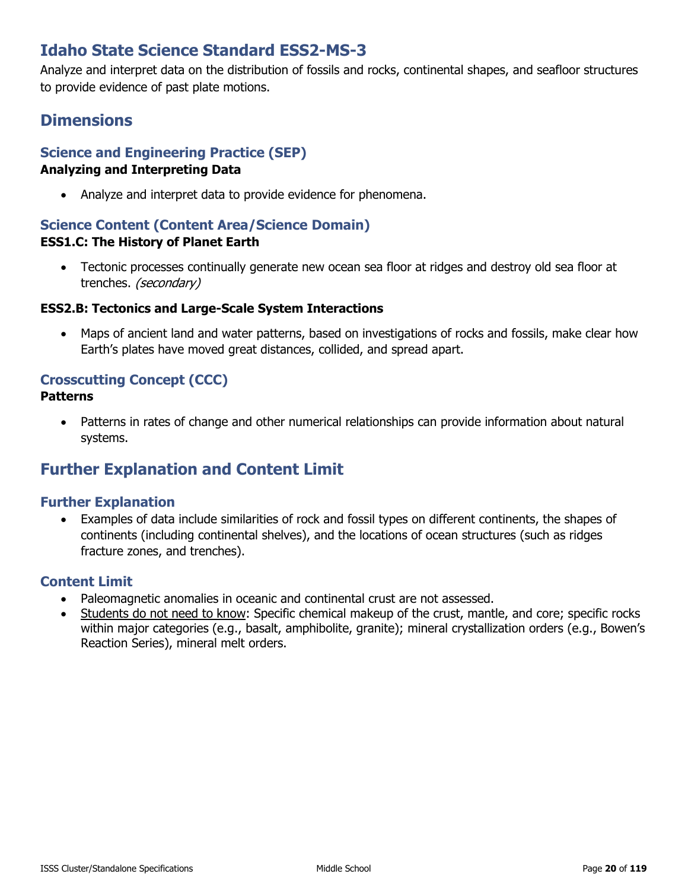# **Idaho State Science Standard ESS2-MS-3**

Analyze and interpret data on the distribution of fossils and rocks, continental shapes, and seafloor structures to provide evidence of past plate motions.

# **Dimensions**

# **Science and Engineering Practice (SEP)**

### **Analyzing and Interpreting Data**

• Analyze and interpret data to provide evidence for phenomena.

### **Science Content (Content Area/Science Domain) ESS1.C: The History of Planet Earth**

• Tectonic processes continually generate new ocean sea floor at ridges and destroy old sea floor at trenches. (secondary)

### **ESS2.B: Tectonics and Large-Scale System Interactions**

• Maps of ancient land and water patterns, based on investigations of rocks and fossils, make clear how Earth's plates have moved great distances, collided, and spread apart.

### **Crosscutting Concept (CCC)**

#### **Patterns**

• Patterns in rates of change and other numerical relationships can provide information about natural systems.

# **Further Explanation and Content Limit**

### **Further Explanation**

• Examples of data include similarities of rock and fossil types on different continents, the shapes of continents (including continental shelves), and the locations of ocean structures (such as ridges fracture zones, and trenches).

- Paleomagnetic anomalies in oceanic and continental crust are not assessed.
- Students do not need to know: Specific chemical makeup of the crust, mantle, and core; specific rocks within major categories (e.g., basalt, amphibolite, granite); mineral crystallization orders (e.g., Bowen's Reaction Series), mineral melt orders.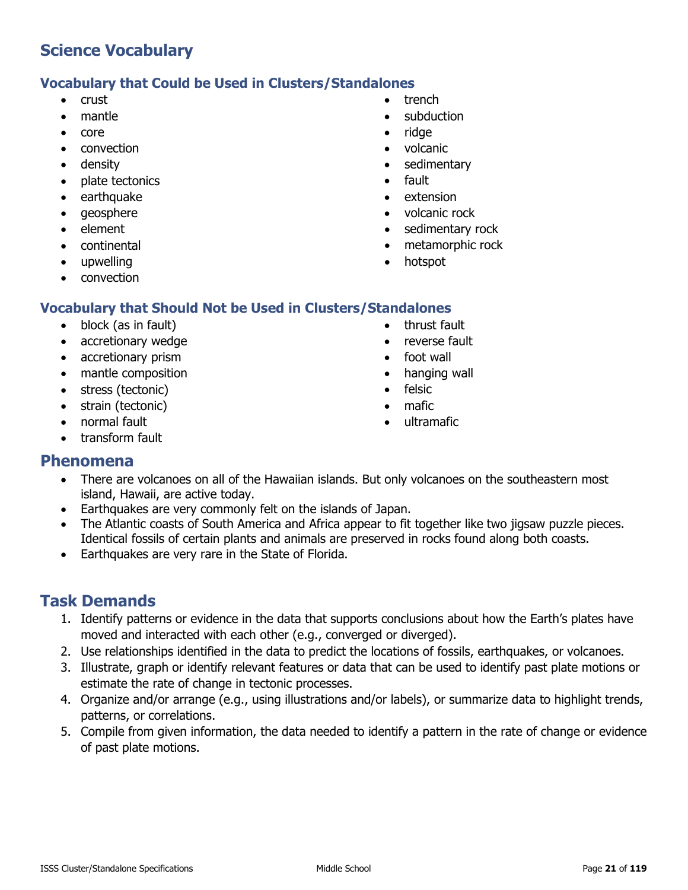### **Vocabulary that Could be Used in Clusters/Standalones**

- crust
- mantle
- core
- convection
- density
- plate tectonics
- earthquake
- geosphere
- element
- continental
- upwelling
- convection

### **Vocabulary that Should Not be Used in Clusters/Standalones**

- block (as in fault)
- accretionary wedge
- accretionary prism
- mantle composition
- stress (tectonic)
- strain (tectonic)
- normal fault
- transform fault
- trench
- subduction
- ridge
- volcanic
- sedimentary
- fault
- extension
- volcanic rock
- sedimentary rock
- metamorphic rock
- hotspot
- thrust fault
	- reverse fault
	- foot wall
	- hanging wall
	- felsic
	- mafic
	- ultramafic

### **Phenomena**

- There are volcanoes on all of the Hawaiian islands. But only volcanoes on the southeastern most island, Hawaii, are active today.
- Earthquakes are very commonly felt on the islands of Japan.
- The Atlantic coasts of South America and Africa appear to fit together like two jigsaw puzzle pieces. Identical fossils of certain plants and animals are preserved in rocks found along both coasts.
- Earthquakes are very rare in the State of Florida.

- 1. Identify patterns or evidence in the data that supports conclusions about how the Earth's plates have moved and interacted with each other (e.g., converged or diverged).
- 2. Use relationships identified in the data to predict the locations of fossils, earthquakes, or volcanoes.
- 3. Illustrate, graph or identify relevant features or data that can be used to identify past plate motions or estimate the rate of change in tectonic processes.
- 4. Organize and/or arrange (e.g., using illustrations and/or labels), or summarize data to highlight trends, patterns, or correlations.
- 5. Compile from given information, the data needed to identify a pattern in the rate of change or evidence of past plate motions.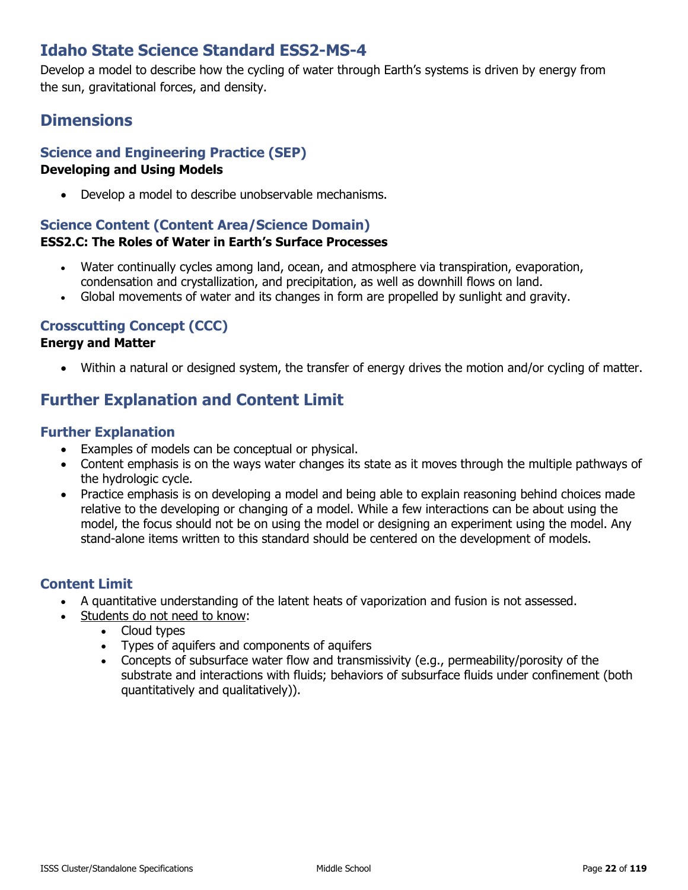# **Idaho State Science Standard ESS2-MS-4**

Develop a model to describe how the cycling of water through Earth's systems is driven by energy from the sun, gravitational forces, and density.

# **Dimensions**

### **Science and Engineering Practice (SEP)**

### **Developing and Using Models**

• Develop a model to describe unobservable mechanisms.

#### **Science Content (Content Area/Science Domain) ESS2.C: The Roles of Water in Earth's Surface Processes**

- Water continually cycles among land, ocean, and atmosphere via transpiration, evaporation, condensation and crystallization, and precipitation, as well as downhill flows on land.
- Global movements of water and its changes in form are propelled by sunlight and gravity.

### **Crosscutting Concept (CCC)**

#### **Energy and Matter**

• Within a natural or designed system, the transfer of energy drives the motion and/or cycling of matter.

# **Further Explanation and Content Limit**

### **Further Explanation**

- Examples of models can be conceptual or physical.
- Content emphasis is on the ways water changes its state as it moves through the multiple pathways of the hydrologic cycle.
- Practice emphasis is on developing a model and being able to explain reasoning behind choices made relative to the developing or changing of a model. While a few interactions can be about using the model, the focus should not be on using the model or designing an experiment using the model. Any stand-alone items written to this standard should be centered on the development of models.

- A quantitative understanding of the latent heats of vaporization and fusion is not assessed.
- Students do not need to know:
	- Cloud types
	- Types of aquifers and components of aquifers
	- Concepts of subsurface water flow and transmissivity (e.g., permeability/porosity of the substrate and interactions with fluids; behaviors of subsurface fluids under confinement (both quantitatively and qualitatively)).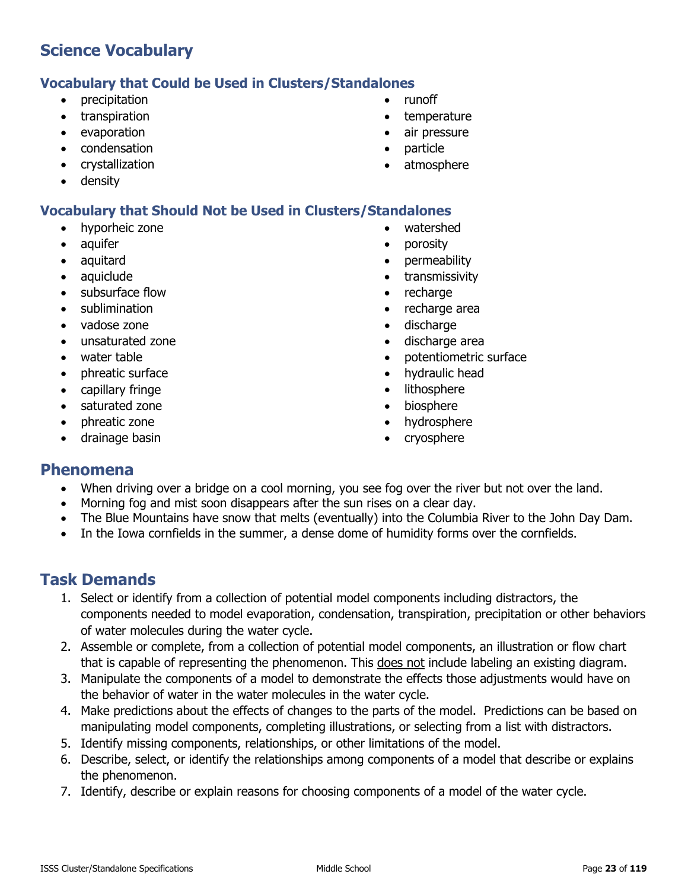### **Vocabulary that Could be Used in Clusters/Standalones**

- precipitation
- transpiration
- evaporation
- condensation
- crystallization
- density

# **Vocabulary that Should Not be Used in Clusters/Standalones**

- hyporheic zone
- aquifer
- aquitard
- aquiclude
- subsurface flow
- sublimination
- vadose zone
- unsaturated zone
- water table
- phreatic surface
- capillary fringe
- saturated zone
- phreatic zone
- drainage basin
- runoff
- temperature
- air pressure
- particle
- atmosphere
- watershed
- porosity
- permeability
- transmissivity
- recharge
- recharge area
- discharge
- discharge area
- potentiometric surface
- hydraulic head
- lithosphere
- biosphere
- hydrosphere
- cryosphere

### **Phenomena**

- When driving over a bridge on a cool morning, you see fog over the river but not over the land.
- Morning fog and mist soon disappears after the sun rises on a clear day.
- The Blue Mountains have snow that melts (eventually) into the Columbia River to the John Day Dam.
- In the Iowa cornfields in the summer, a dense dome of humidity forms over the cornfields.

- 1. Select or identify from a collection of potential model components including distractors, the components needed to model evaporation, condensation, transpiration, precipitation or other behaviors of water molecules during the water cycle.
- 2. Assemble or complete, from a collection of potential model components, an illustration or flow chart that is capable of representing the phenomenon. This does not include labeling an existing diagram.
- 3. Manipulate the components of a model to demonstrate the effects those adjustments would have on the behavior of water in the water molecules in the water cycle.
- 4. Make predictions about the effects of changes to the parts of the model. Predictions can be based on manipulating model components, completing illustrations, or selecting from a list with distractors.
- 5. Identify missing components, relationships, or other limitations of the model.
- 6. Describe, select, or identify the relationships among components of a model that describe or explains the phenomenon.
- 7. Identify, describe or explain reasons for choosing components of a model of the water cycle.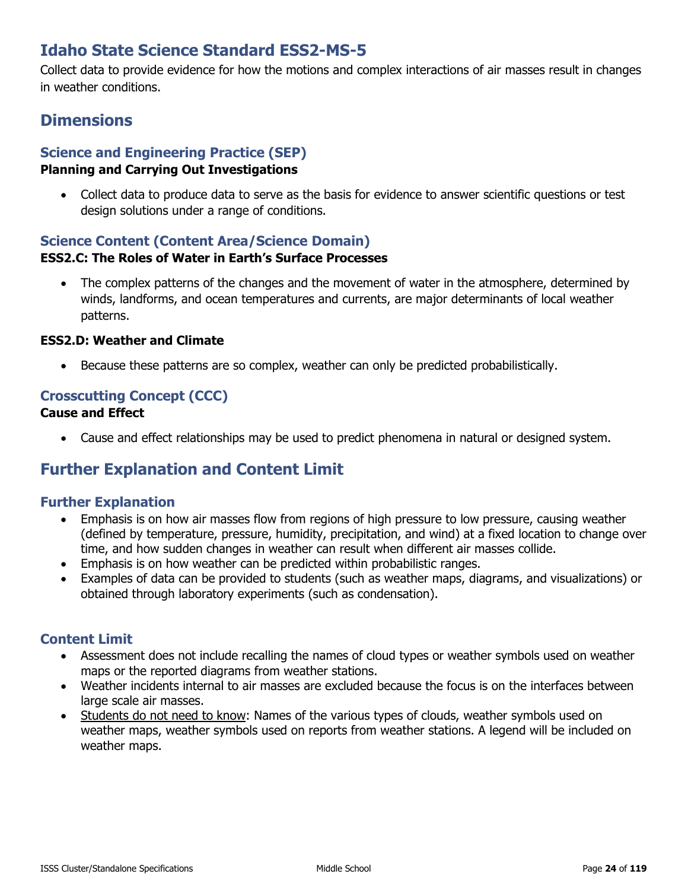# **Idaho State Science Standard ESS2-MS-5**

Collect data to provide evidence for how the motions and complex interactions of air masses result in changes in weather conditions.

# **Dimensions**

# **Science and Engineering Practice (SEP)**

### **Planning and Carrying Out Investigations**

• Collect data to produce data to serve as the basis for evidence to answer scientific questions or test design solutions under a range of conditions.

#### **Science Content (Content Area/Science Domain) ESS2.C: The Roles of Water in Earth's Surface Processes**

• The complex patterns of the changes and the movement of water in the atmosphere, determined by winds, landforms, and ocean temperatures and currents, are major determinants of local weather patterns.

### **ESS2.D: Weather and Climate**

• Because these patterns are so complex, weather can only be predicted probabilistically.

### **Crosscutting Concept (CCC)**

### **Cause and Effect**

• Cause and effect relationships may be used to predict phenomena in natural or designed system.

# **Further Explanation and Content Limit**

### **Further Explanation**

- Emphasis is on how air masses flow from regions of high pressure to low pressure, causing weather (defined by temperature, pressure, humidity, precipitation, and wind) at a fixed location to change over time, and how sudden changes in weather can result when different air masses collide.
- Emphasis is on how weather can be predicted within probabilistic ranges.
- Examples of data can be provided to students (such as weather maps, diagrams, and visualizations) or obtained through laboratory experiments (such as condensation).

- Assessment does not include recalling the names of cloud types or weather symbols used on weather maps or the reported diagrams from weather stations.
- Weather incidents internal to air masses are excluded because the focus is on the interfaces between large scale air masses.
- Students do not need to know: Names of the various types of clouds, weather symbols used on weather maps, weather symbols used on reports from weather stations. A legend will be included on weather maps.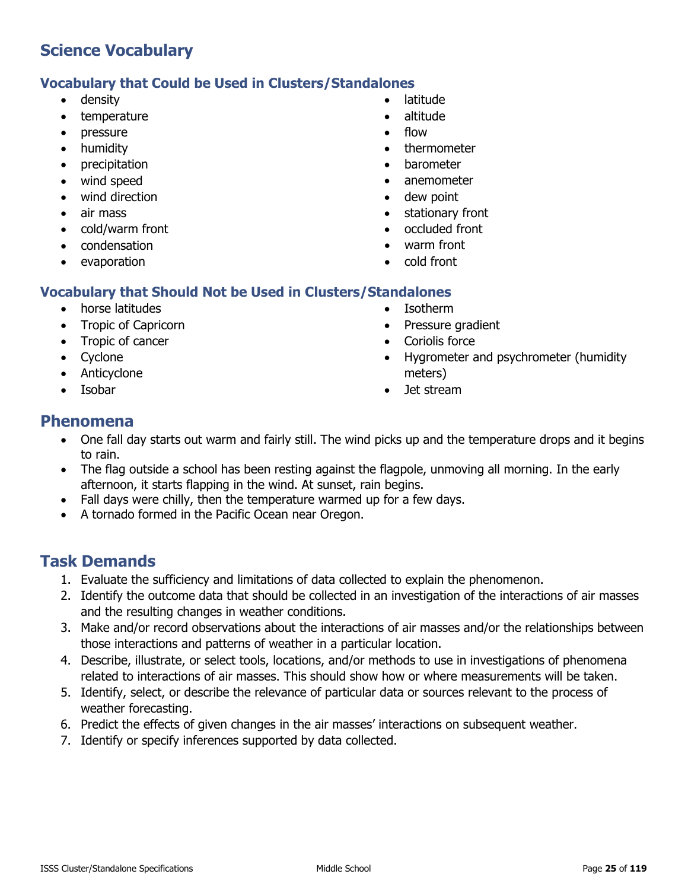### **Vocabulary that Could be Used in Clusters/Standalones**

- density
- temperature
- pressure
- humidity
- precipitation
- wind speed
- wind direction
- air mass
- cold/warm front
- condensation
- evaporation
- latitude
- altitude
- flow
- thermometer
- barometer
- anemometer
- dew point
- stationary front
- occluded front
- warm front
- cold front

### **Vocabulary that Should Not be Used in Clusters/Standalones**

- horse latitudes
- Tropic of Capricorn
- Tropic of cancer
- Cyclone
- Anticyclone
- Isobar
- Isotherm
- Pressure gradient
- Coriolis force
- Hygrometer and psychrometer (humidity meters)
- Jet stream

### **Phenomena**

- One fall day starts out warm and fairly still. The wind picks up and the temperature drops and it begins to rain.
- The flag outside a school has been resting against the flagpole, unmoving all morning. In the early afternoon, it starts flapping in the wind. At sunset, rain begins.
- Fall days were chilly, then the temperature warmed up for a few days.
- A tornado formed in the Pacific Ocean near Oregon.

- 1. Evaluate the sufficiency and limitations of data collected to explain the phenomenon.
- 2. Identify the outcome data that should be collected in an investigation of the interactions of air masses and the resulting changes in weather conditions.
- 3. Make and/or record observations about the interactions of air masses and/or the relationships between those interactions and patterns of weather in a particular location.
- 4. Describe, illustrate, or select tools, locations, and/or methods to use in investigations of phenomena related to interactions of air masses. This should show how or where measurements will be taken.
- 5. Identify, select, or describe the relevance of particular data or sources relevant to the process of weather forecasting.
- 6. Predict the effects of given changes in the air masses' interactions on subsequent weather.
- 7. Identify or specify inferences supported by data collected.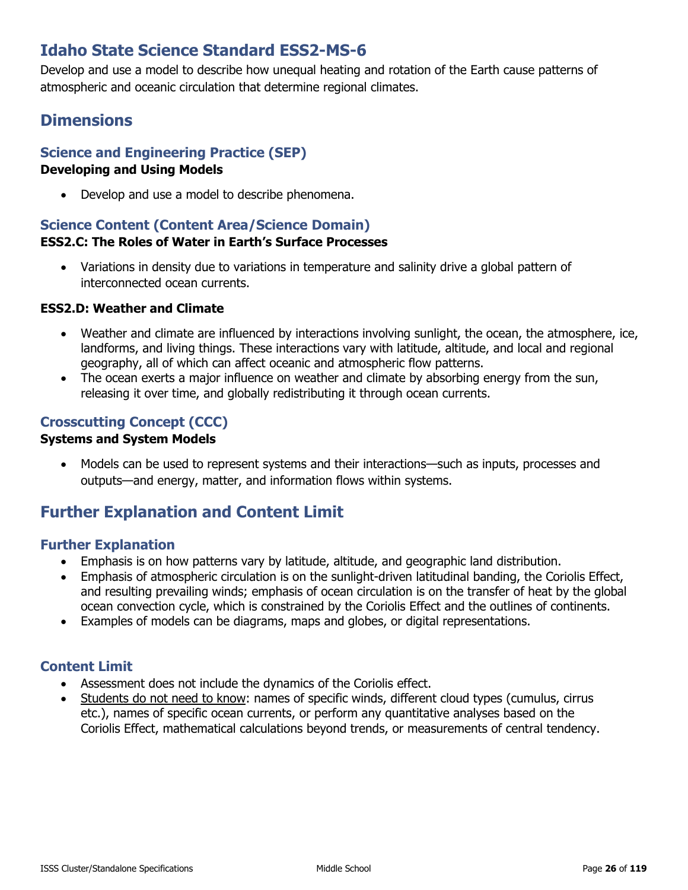# **Idaho State Science Standard ESS2-MS-6**

Develop and use a model to describe how unequal heating and rotation of the Earth cause patterns of atmospheric and oceanic circulation that determine regional climates.

# **Dimensions**

### **Science and Engineering Practice (SEP)**

### **Developing and Using Models**

• Develop and use a model to describe phenomena.

### **Science Content (Content Area/Science Domain) ESS2.C: The Roles of Water in Earth's Surface Processes**

• Variations in density due to variations in temperature and salinity drive a global pattern of interconnected ocean currents.

### **ESS2.D: Weather and Climate**

- Weather and climate are influenced by interactions involving sunlight, the ocean, the atmosphere, ice, landforms, and living things. These interactions vary with latitude, altitude, and local and regional geography, all of which can affect oceanic and atmospheric flow patterns.
- The ocean exerts a major influence on weather and climate by absorbing energy from the sun, releasing it over time, and globally redistributing it through ocean currents.

### **Crosscutting Concept (CCC)**

### **Systems and System Models**

• Models can be used to represent systems and their interactions—such as inputs, processes and outputs—and energy, matter, and information flows within systems.

# **Further Explanation and Content Limit**

### **Further Explanation**

- Emphasis is on how patterns vary by latitude, altitude, and geographic land distribution.
- Emphasis of atmospheric circulation is on the sunlight-driven latitudinal banding, the Coriolis Effect, and resulting prevailing winds; emphasis of ocean circulation is on the transfer of heat by the global ocean convection cycle, which is constrained by the Coriolis Effect and the outlines of continents.
- Examples of models can be diagrams, maps and globes, or digital representations.

- Assessment does not include the dynamics of the Coriolis effect.
- Students do not need to know: names of specific winds, different cloud types (cumulus, cirrus etc.), names of specific ocean currents, or perform any quantitative analyses based on the Coriolis Effect, mathematical calculations beyond trends, or measurements of central tendency.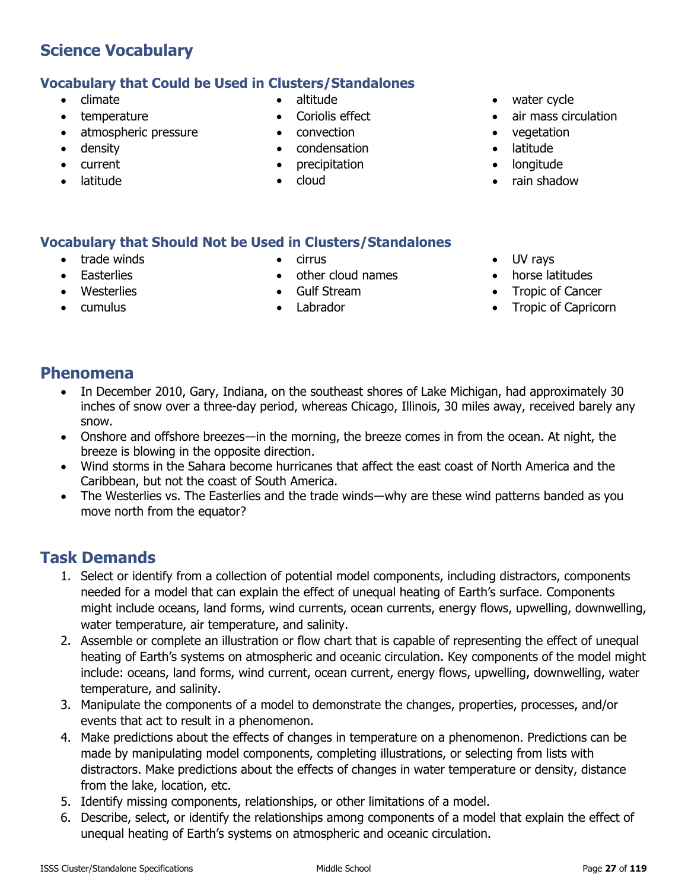- climate
- temperature

- atmospheric pressure
- density
- current
- latitude
- altitude
- Coriolis effect
- convection
- condensation
- precipitation
- cloud
- water cycle
- air mass circulation
- vegetation
- latitude
- longitude
- rain shadow

#### **Vocabulary that Should Not be Used in Clusters/Standalones**

- trade winds
- **Easterlies**

• cumulus

• Westerlies

• Gulf Stream • Labrador

• cirrus

- UV rays
- horse latitudes
- Tropic of Cancer
- Tropic of Capricorn

### **Phenomena**

- In December 2010, Gary, Indiana, on the southeast shores of Lake Michigan, had approximately 30 inches of snow over a three-day period, whereas Chicago, Illinois, 30 miles away, received barely any snow.
- Onshore and offshore breezes—in the morning, the breeze comes in from the ocean. At night, the breeze is blowing in the opposite direction.

• other cloud names

- Wind storms in the Sahara become hurricanes that affect the east coast of North America and the Caribbean, but not the coast of South America.
- The Westerlies vs. The Easterlies and the trade winds—why are these wind patterns banded as you move north from the equator?

- 1. Select or identify from a collection of potential model components, including distractors, components needed for a model that can explain the effect of unequal heating of Earth's surface. Components might include oceans, land forms, wind currents, ocean currents, energy flows, upwelling, downwelling, water temperature, air temperature, and salinity.
- 2. Assemble or complete an illustration or flow chart that is capable of representing the effect of unequal heating of Earth's systems on atmospheric and oceanic circulation. Key components of the model might include: oceans, land forms, wind current, ocean current, energy flows, upwelling, downwelling, water temperature, and salinity.
- 3. Manipulate the components of a model to demonstrate the changes, properties, processes, and/or events that act to result in a phenomenon.
- 4. Make predictions about the effects of changes in temperature on a phenomenon. Predictions can be made by manipulating model components, completing illustrations, or selecting from lists with distractors. Make predictions about the effects of changes in water temperature or density, distance from the lake, location, etc.
- 5. Identify missing components, relationships, or other limitations of a model.
- 6. Describe, select, or identify the relationships among components of a model that explain the effect of unequal heating of Earth's systems on atmospheric and oceanic circulation.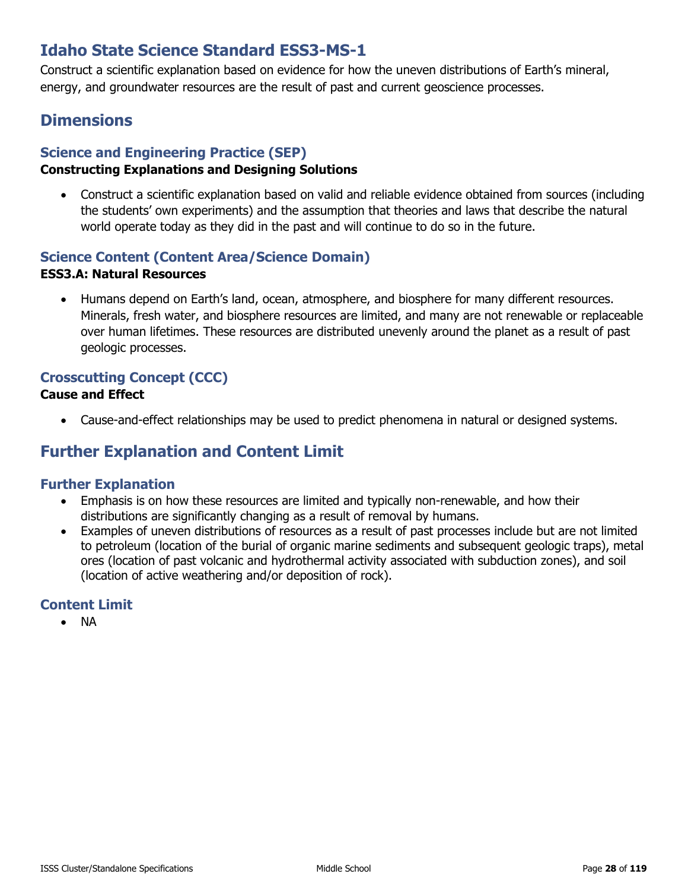# **Idaho State Science Standard ESS3-MS-1**

Construct a scientific explanation based on evidence for how the uneven distributions of Earth's mineral, energy, and groundwater resources are the result of past and current geoscience processes.

# **Dimensions**

### **Science and Engineering Practice (SEP)**

### **Constructing Explanations and Designing Solutions**

• [Construct a scientific explanation based on valid and reliable evidence obtained from sources \(including](http://www.nap.edu/openbook.php?record_id=13165&page=67)  [the students' own experiments\) and the assumption that theories and laws that describe the natural](http://www.nap.edu/openbook.php?record_id=13165&page=67)  [world operate today as they did in the past and will continue to do so in the future.](http://www.nap.edu/openbook.php?record_id=13165&page=67)

### **Science Content (Content Area/Science Domain)**

### **ESS3.A: Natural Resources**

• Humans depend on Earth's land, ocean, atmosphere, and biosphere for many different resources. Minerals, fresh water, and biosphere resources are limited, and many are not renewable or replaceable over human lifetimes. These resources are distributed unevenly around the planet as a result of past geologic processes.

### **Crosscutting Concept (CCC)**

### **Cause and Effect**

• Cause-and-effect relationships may be used to predict phenomena in natural or designed systems.

# **Further Explanation and Content Limit**

### **Further Explanation**

- Emphasis is on how these resources are limited and typically non-renewable, and how their distributions are significantly changing as a result of removal by humans.
- Examples of uneven distributions of resources as a result of past processes include but are not limited to petroleum (location of the burial of organic marine sediments and subsequent geologic traps), metal ores (location of past volcanic and hydrothermal activity associated with subduction zones), and soil (location of active weathering and/or deposition of rock).

### **Content Limit**

• NA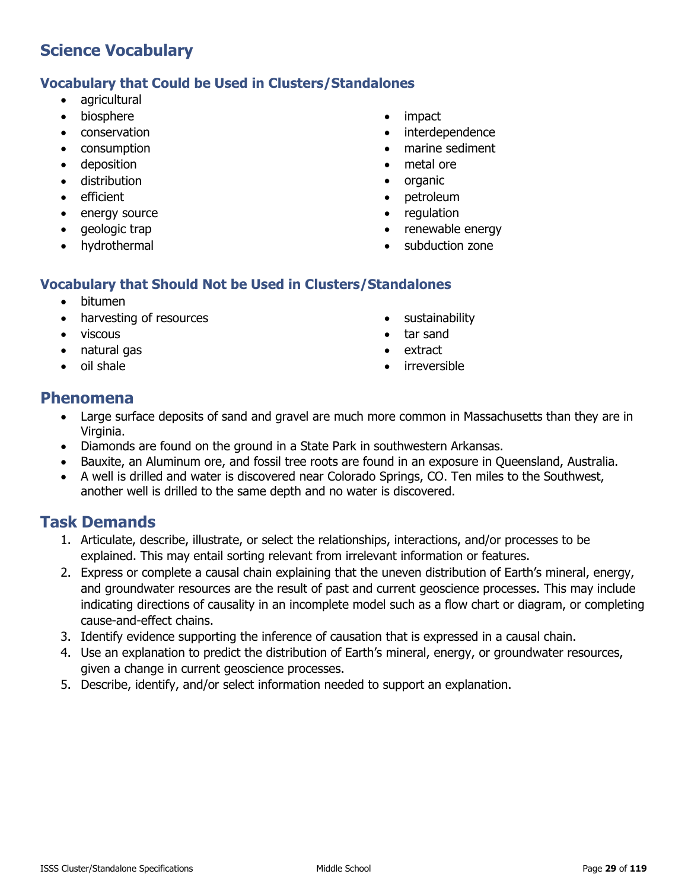### **Vocabulary that Could be Used in Clusters/Standalones**

- agricultural
- biosphere
- conservation
- consumption
- deposition
- distribution
- efficient
- energy source
- geologic trap
- hydrothermal
- impact
- interdependence
- marine sediment
- metal ore
- organic
- petroleum
- regulation
- renewable energy
- subduction zone

### **Vocabulary that Should Not be Used in Clusters/Standalones**

- bitumen
- harvesting of resources
- viscous
- natural gas
- oil shale
- sustainability
- tar sand
- extract
- irreversible

### **Phenomena**

- Large surface deposits of sand and gravel are much more common in Massachusetts than they are in Virginia.
- Diamonds are found on the ground in a State Park in southwestern Arkansas.
- Bauxite, an Aluminum ore, and fossil tree roots are found in an exposure in Queensland, Australia.
- A well is drilled and water is discovered near Colorado Springs, CO. Ten miles to the Southwest, another well is drilled to the same depth and no water is discovered.

- 1. Articulate, describe, illustrate, or select the relationships, interactions, and/or processes to be explained. This may entail sorting relevant from irrelevant information or features.
- 2. Express or complete a causal chain explaining that the uneven distribution of Earth's mineral, energy, and groundwater resources are the result of past and current geoscience processes. This may include indicating directions of causality in an incomplete model such as a flow chart or diagram, or completing cause-and-effect chains.
- 3. Identify evidence supporting the inference of causation that is expressed in a causal chain.
- 4. Use an explanation to predict the distribution of Earth's mineral, energy, or groundwater resources, given a change in current geoscience processes.
- 5. Describe, identify, and/or select information needed to support an explanation.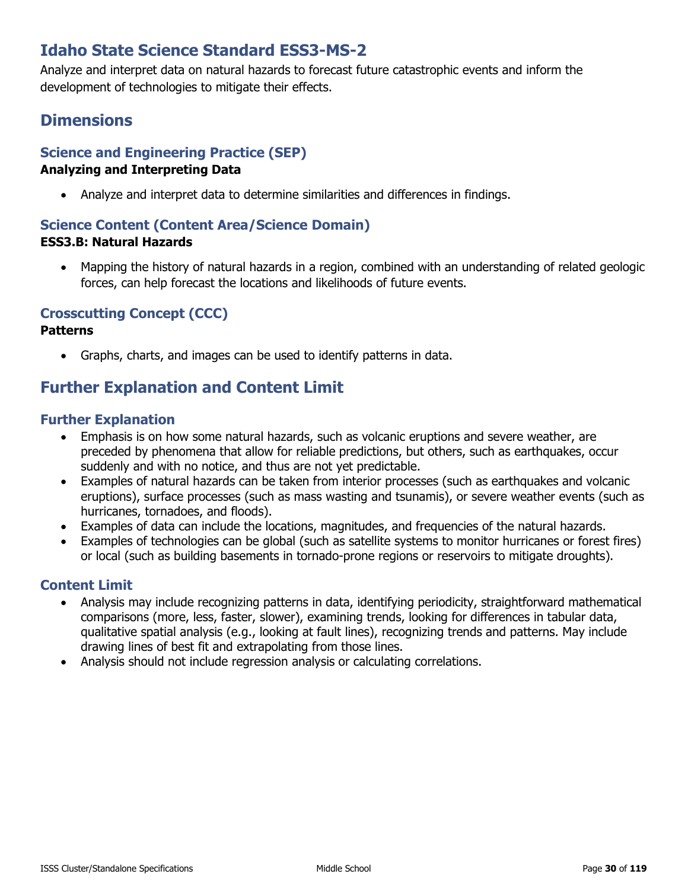# **Idaho State Science Standard ESS3-MS-2**

Analyze and interpret data on natural hazards to forecast future catastrophic events and inform the development of technologies to mitigate their effects.

# **Dimensions**

# **Science and Engineering Practice (SEP)**

### **Analyzing and Interpreting Data**

• Analyze and interpret data to determine similarities and differences in findings.

### **Science Content (Content Area/Science Domain) ESS3.B: Natural Hazards**

• Mapping the history of natural hazards in a region, combined with an understanding of related geologic forces, can help forecast the locations and likelihoods of future events.

### **Crosscutting Concept (CCC)**

### **Patterns**

• Graphs, charts, and images can be used to identify patterns in data.

# **Further Explanation and Content Limit**

### **Further Explanation**

- Emphasis is on how some natural hazards, such as volcanic eruptions and severe weather, are preceded by phenomena that allow for reliable predictions, but others, such as earthquakes, occur suddenly and with no notice, and thus are not yet predictable.
- Examples of natural hazards can be taken from interior processes (such as earthquakes and volcanic eruptions), surface processes (such as mass wasting and tsunamis), or severe weather events (such as hurricanes, tornadoes, and floods).
- Examples of data can include the locations, magnitudes, and frequencies of the natural hazards.
- Examples of technologies can be global (such as satellite systems to monitor hurricanes or forest fires) or local (such as building basements in tornado-prone regions or reservoirs to mitigate droughts).

- Analysis may include recognizing patterns in data, identifying periodicity, straightforward mathematical comparisons (more, less, faster, slower), examining trends, looking for differences in tabular data, qualitative spatial analysis (e.g., looking at fault lines), recognizing trends and patterns. May include drawing lines of best fit and extrapolating from those lines.
- Analysis should not include regression analysis or calculating correlations.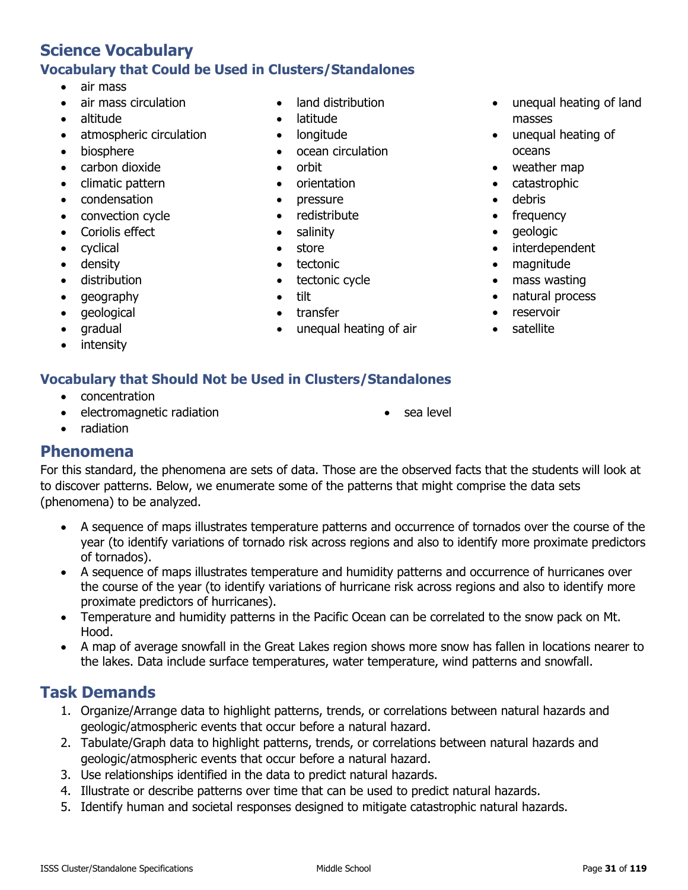# **Science Vocabulary Vocabulary that Could be Used in Clusters/Standalones**

- air mass
- air mass circulation
- altitude
- atmospheric circulation
- biosphere
- carbon dioxide
- climatic pattern
- condensation
- convection cycle
- Coriolis effect
- cyclical
- density
- distribution
- geography
- geological
- gradual
- **intensity**

### • land distribution

- latitude
- longitude
- ocean circulation
- orbit
- orientation
- pressure
- redistribute
- salinity
- **store**
- tectonic
- tectonic cycle
- 
- 
- 
- unequal heating of land masses
- unequal heating of oceans
- weather map
- catastrophic
- debris
- frequency
- geologic
- interdependent
- magnitude
- mass wasting
- natural process
- reservoir
- satellite

### **Vocabulary that Should Not be Used in Clusters/Standalones**

- concentration
- electromagnetic radiation

sea level

• radiation

# **Phenomena**

For this standard, the phenomena are sets of data. Those are the observed facts that the students will look at to discover patterns. Below, we enumerate some of the patterns that might comprise the data sets (phenomena) to be analyzed.

- A sequence of maps illustrates temperature patterns and occurrence of tornados over the course of the year (to identify variations of tornado risk across regions and also to identify more proximate predictors of tornados).
- A sequence of maps illustrates temperature and humidity patterns and occurrence of hurricanes over the course of the year (to identify variations of hurricane risk across regions and also to identify more proximate predictors of hurricanes).
- Temperature and humidity patterns in the Pacific Ocean can be correlated to the snow pack on Mt. Hood.
- A map of average snowfall in the Great Lakes region shows more snow has fallen in locations nearer to the lakes. Data include surface temperatures, water temperature, wind patterns and snowfall.

- 1. Organize/Arrange data to highlight patterns, trends, or correlations between natural hazards and geologic/atmospheric events that occur before a natural hazard.
- 2. Tabulate/Graph data to highlight patterns, trends, or correlations between natural hazards and geologic/atmospheric events that occur before a natural hazard.
- 3. Use relationships identified in the data to predict natural hazards.
- 4. Illustrate or describe patterns over time that can be used to predict natural hazards.
- 5. Identify human and societal responses designed to mitigate catastrophic natural hazards.
- tilt
- transfer
- unequal heating of air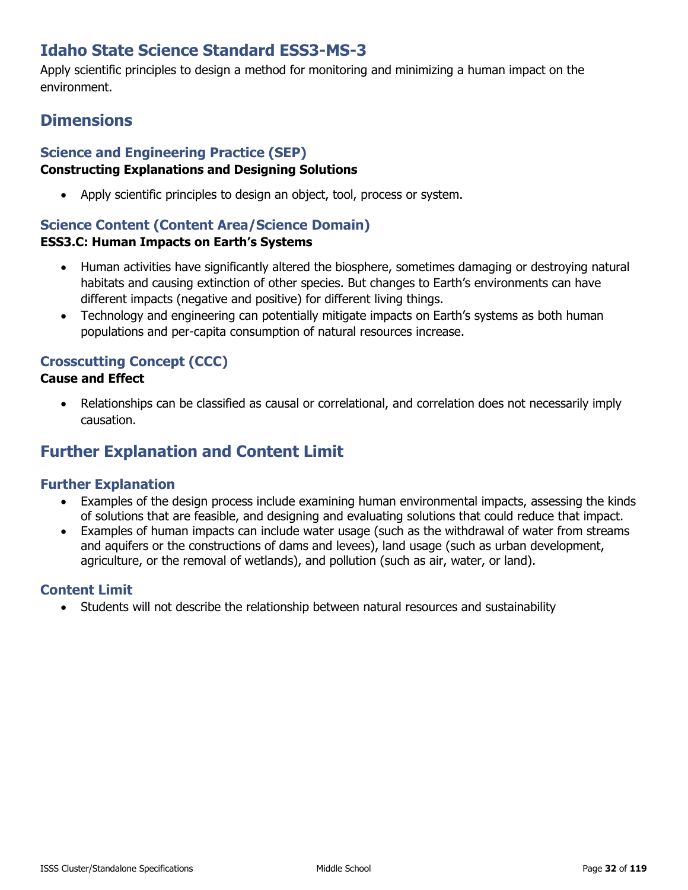# **Idaho State Science Standard ESS3-MS-3**

Apply scientific principles to design a method for monitoring and minimizing a human impact on the environment.

# **Dimensions**

### **Science and Engineering Practice (SEP)**

### **Constructing Explanations and Designing Solutions**

• Apply scientific principles to design an object, tool, process or system.

### **Science Content (Content Area/Science Domain)**

### **ESS3.C: Human Impacts on Earth's Systems**

- Human activities have significantly altered the biosphere, sometimes damaging or destroying natural habitats and causing extinction of other species. But changes to Earth's environments can have different impacts (negative and positive) for different living things.
- Technology and engineering can potentially mitigate impacts on Earth's systems as both human populations and per-capita consumption of natural resources increase.

### **Crosscutting Concept (CCC)**

### **Cause and Effect**

• Relationships can be classified as causal or correlational, and correlation does not necessarily imply causation.

# **Further Explanation and Content Limit**

### **Further Explanation**

- Examples of the design process include examining human environmental impacts, assessing the kinds of solutions that are feasible, and designing and evaluating solutions that could reduce that impact.
- Examples of human impacts can include water usage (such as the withdrawal of water from streams and aquifers or the constructions of dams and levees), land usage (such as urban development, agriculture, or the removal of wetlands), and pollution (such as air, water, or land).

### **Content Limit**

• Students will not describe the relationship between natural resources and sustainability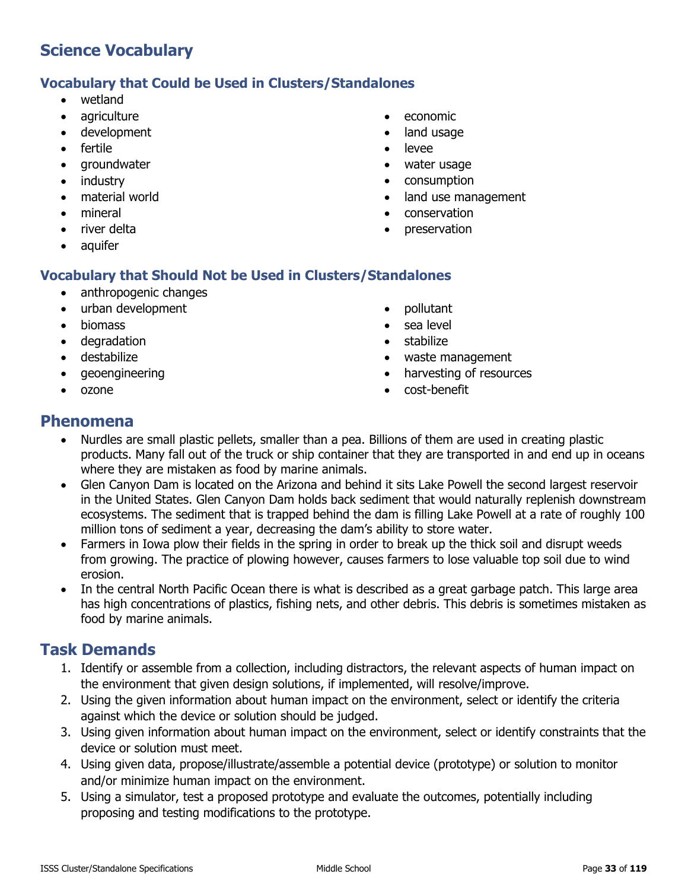### **Vocabulary that Could be Used in Clusters/Standalones**

- wetland
- agriculture
- development
- fertile
- groundwater
- industry
- material world
- mineral
- river delta
- aquifer

### **Vocabulary that Should Not be Used in Clusters/Standalones**

- anthropogenic changes
- urban development
- biomass
- degradation
- destabilize
- geoengineering
- ozone
- economic
- land usage
- **levee**
- water usage
- consumption
- land use management
- conservation
- preservation
- - pollutant • sea level
	- stabilize
	- waste management
	- harvesting of resources
	- cost-benefit

### **Phenomena**

- Nurdles are small plastic pellets, smaller than a pea. Billions of them are used in creating plastic products. Many fall out of the truck or ship container that they are transported in and end up in oceans where they are mistaken as food by marine animals.
- Glen Canyon Dam is located on the Arizona and behind it sits Lake Powell the second largest reservoir in the United States. Glen Canyon Dam holds back sediment that would naturally replenish downstream ecosystems. The sediment that is trapped behind the dam is filling Lake Powell at a rate of roughly 100 million tons of sediment a year, decreasing the dam's ability to store water.
- Farmers in Iowa plow their fields in the spring in order to break up the thick soil and disrupt weeds from growing. The practice of plowing however, causes farmers to lose valuable top soil due to wind erosion.
- In the central North Pacific Ocean there is what is described as a great garbage patch. This large area has high concentrations of plastics, fishing nets, and other debris. This debris is sometimes mistaken as food by marine animals.

- 1. Identify or assemble from a collection, including distractors, the relevant aspects of human impact on the environment that given design solutions, if implemented, will resolve/improve.
- 2. Using the given information about human impact on the environment, select or identify the criteria against which the device or solution should be judged.
- 3. Using given information about human impact on the environment, select or identify constraints that the device or solution must meet.
- 4. Using given data, propose/illustrate/assemble a potential device (prototype) or solution to monitor and/or minimize human impact on the environment.
- 5. Using a simulator, test a proposed prototype and evaluate the outcomes, potentially including proposing and testing modifications to the prototype.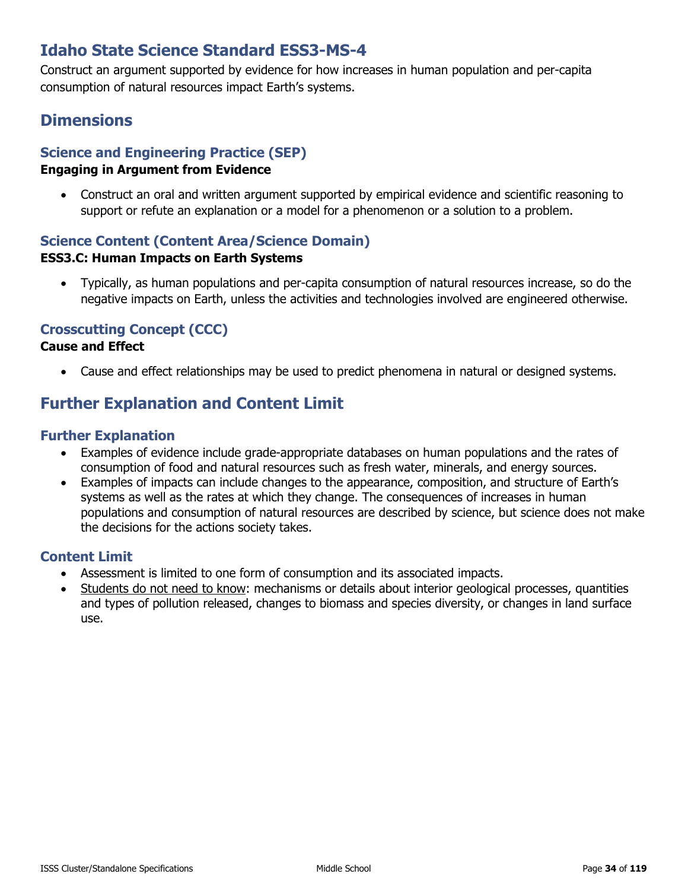# **Idaho State Science Standard ESS3-MS-4**

Construct an argument supported by evidence for how increases in human population and per-capita consumption of natural resources impact Earth's systems.

# **Dimensions**

# **Science and Engineering Practice (SEP)**

### **Engaging in Argument from Evidence**

• Construct an oral and written argument supported by empirical evidence and scientific reasoning to support or refute an explanation or a model for a phenomenon or a solution to a problem.

#### **Science Content (Content Area/Science Domain) ESS3.C: Human Impacts on Earth Systems**

• Typically, as human populations and per-capita consumption of natural resources increase, so do the negative impacts on Earth, unless the activities and technologies involved are engineered otherwise.

### **Crosscutting Concept (CCC)**

### **Cause and Effect**

• Cause and effect relationships may be used to predict phenomena in natural or designed systems.

# **Further Explanation and Content Limit**

### **Further Explanation**

- Examples of evidence include grade-appropriate databases on human populations and the rates of consumption of food and natural resources such as fresh water, minerals, and energy sources.
- Examples of impacts can include changes to the appearance, composition, and structure of Earth's systems as well as the rates at which they change. The consequences of increases in human populations and consumption of natural resources are described by science, but science does not make the decisions for the actions society takes.

- Assessment is limited to one form of consumption and its associated impacts.
- Students do not need to know: mechanisms or details about interior geological processes, quantities and types of pollution released, changes to biomass and species diversity, or changes in land surface use.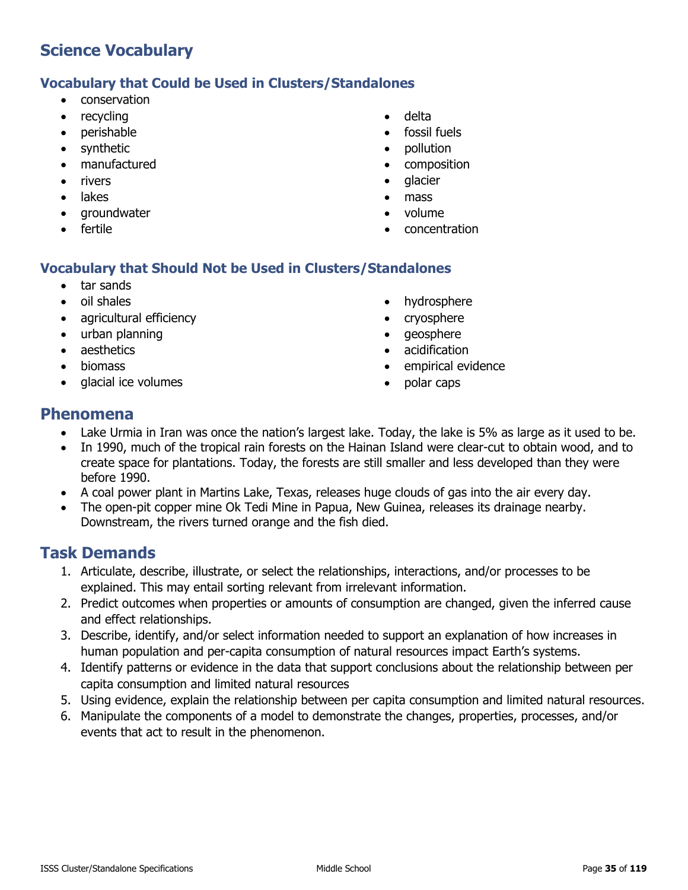### **Vocabulary that Could be Used in Clusters/Standalones**

- conservation
- recycling
- perishable
- synthetic
- manufactured
- **rivers**
- lakes
- groundwater
- fertile
- delta
- fossil fuels
- pollution
- composition
- glacier
- mass
- volume
- concentration

### **Vocabulary that Should Not be Used in Clusters/Standalones**

- tar sands
- oil shales
- agricultural efficiency
- urban planning
- aesthetics
- biomass
- glacial ice volumes
- hydrosphere
- cryosphere
- geosphere
- acidification
- empirical evidence
- polar caps

### **Phenomena**

- Lake Urmia in Iran was once the nation's largest lake. Today, the lake is 5% as large as it used to be.
- In 1990, much of the tropical rain forests on the Hainan Island were clear-cut to obtain wood, and to create space for plantations. Today, the forests are still smaller and less developed than they were before 1990.
- A coal power plant in Martins Lake, Texas, releases huge clouds of gas into the air every day.
- The open-pit copper mine Ok Tedi Mine in Papua, New Guinea, releases its drainage nearby. Downstream, the rivers turned orange and the fish died.

- 1. Articulate, describe, illustrate, or select the relationships, interactions, and/or processes to be explained. This may entail sorting relevant from irrelevant information.
- 2. Predict outcomes when properties or amounts of consumption are changed, given the inferred cause and effect relationships.
- 3. Describe, identify, and/or select information needed to support an explanation of how increases in human population and per-capita consumption of natural resources impact Earth's systems.
- 4. Identify patterns or evidence in the data that support conclusions about the relationship between per capita consumption and limited natural resources
- 5. Using evidence, explain the relationship between per capita consumption and limited natural resources.
- 6. Manipulate the components of a model to demonstrate the changes, properties, processes, and/or events that act to result in the phenomenon.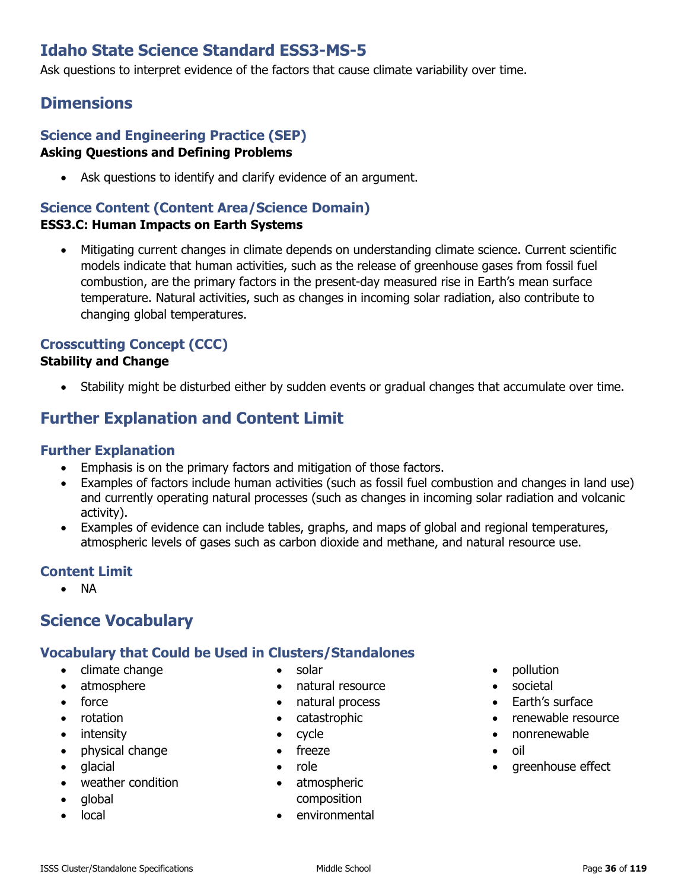# **Idaho State Science Standard ESS3-MS-5**

Ask questions to interpret evidence of the factors that cause climate variability over time.

# **Dimensions**

### **Science and Engineering Practice (SEP) Asking Questions and Defining Problems**

• Ask questions to identify and clarify evidence of an argument.

### **Science Content (Content Area/Science Domain)**

### **ESS3.C: Human Impacts on Earth Systems**

• Mitigating current changes in climate depends on understanding climate science. Current scientific models indicate that human activities, such as the release of greenhouse gases from fossil fuel combustion, are the primary factors in the present-day measured rise in Earth's mean surface temperature. Natural activities, such as changes in incoming solar radiation, also contribute to changing global temperatures.

### **Crosscutting Concept (CCC)**

### **Stability and Change**

• Stability might be disturbed either by sudden events or gradual changes that accumulate over time.

# **Further Explanation and Content Limit**

### **Further Explanation**

- Emphasis is on the primary factors and mitigation of those factors.
- Examples of factors include human activities (such as fossil fuel combustion and changes in land use) and currently operating natural processes (such as changes in incoming solar radiation and volcanic activity).
- Examples of evidence can include tables, graphs, and maps of global and regional temperatures, atmospheric levels of gases such as carbon dioxide and methane, and natural resource use.

### **Content Limit**

• NA

# **Science Vocabulary**

### **Vocabulary that Could be Used in Clusters/Standalones**

- climate change
- atmosphere
- force
- rotation
- intensity
- physical change
- glacial
- weather condition
- global
- local
- solar
- natural resource
- natural process
- catastrophic
- cycle
- freeze
- role
- atmospheric composition
- environmental
- pollution
- societal
- Earth's surface
- renewable resource
- nonrenewable
- 
- oil
- greenhouse effect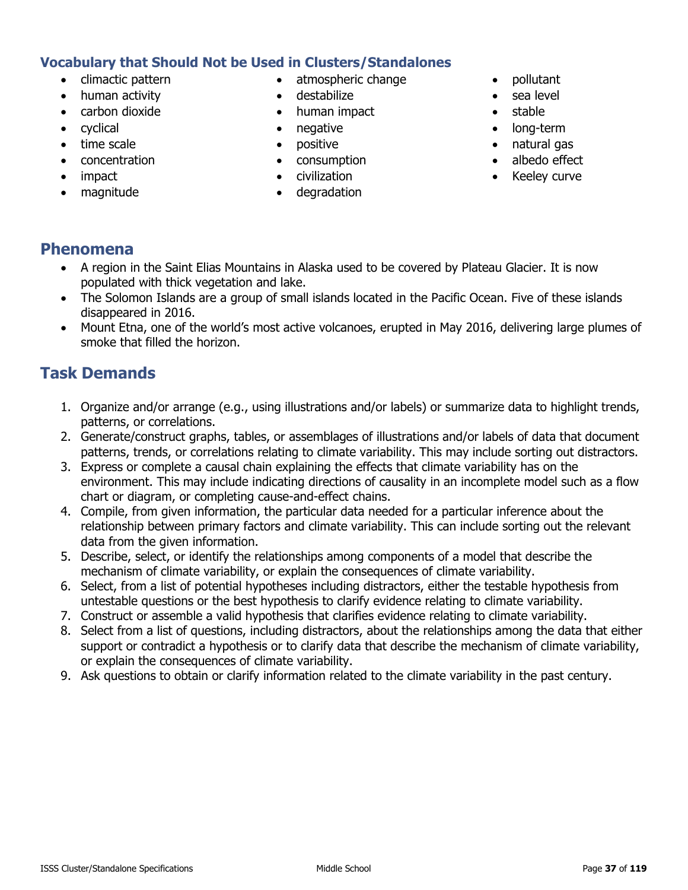## **Vocabulary that Should Not be Used in Clusters/Standalones**

- climactic pattern
- human activity
- carbon dioxide
- cyclical
- time scale
- concentration
- impact
- magnitude
- atmospheric change
- destabilize
- human impact
- negative
- positive
- consumption
- civilization
- degradation
- pollutant
- sea level
- stable
- long-term
- natural gas
- albedo effect
- Keeley curve

## **Phenomena**

- A region in the Saint Elias Mountains in Alaska used to be covered by Plateau Glacier. It is now populated with thick vegetation and lake.
- The Solomon Islands are a group of small islands located in the Pacific Ocean. Five of these islands disappeared in 2016.
- Mount Etna, one of the world's most active volcanoes, erupted in May 2016, delivering large plumes of smoke that filled the horizon.

- 1. Organize and/or arrange (e.g., using illustrations and/or labels) or summarize data to highlight trends, patterns, or correlations.
- 2. Generate/construct graphs, tables, or assemblages of illustrations and/or labels of data that document patterns, trends, or correlations relating to climate variability. This may include sorting out distractors.
- 3. Express or complete a causal chain explaining the effects that climate variability has on the environment. This may include indicating directions of causality in an incomplete model such as a flow chart or diagram, or completing cause-and-effect chains.
- 4. Compile, from given information, the particular data needed for a particular inference about the relationship between primary factors and climate variability. This can include sorting out the relevant data from the given information.
- 5. Describe, select, or identify the relationships among components of a model that describe the mechanism of climate variability, or explain the consequences of climate variability.
- 6. Select, from a list of potential hypotheses including distractors, either the testable hypothesis from untestable questions or the best hypothesis to clarify evidence relating to climate variability.
- 7. Construct or assemble a valid hypothesis that clarifies evidence relating to climate variability.
- 8. Select from a list of questions, including distractors, about the relationships among the data that either support or contradict a hypothesis or to clarify data that describe the mechanism of climate variability, or explain the consequences of climate variability.
- 9. Ask questions to obtain or clarify information related to the climate variability in the past century.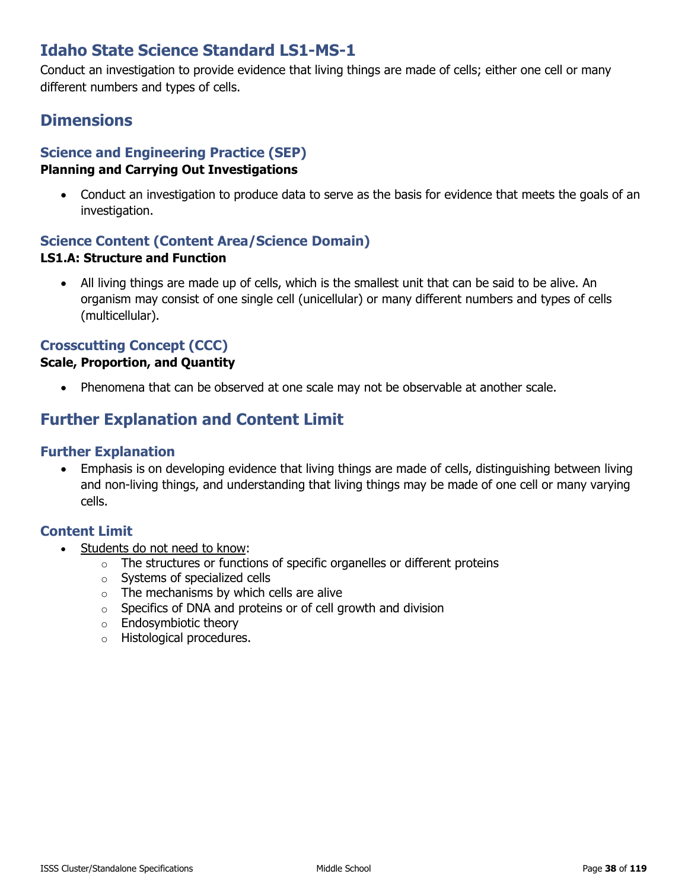# **Idaho State Science Standard LS1-MS-1**

Conduct an investigation to provide evidence that living things are made of cells; either one cell or many different numbers and types of cells.

# **Dimensions**

# **Science and Engineering Practice (SEP)**

### **Planning and Carrying Out Investigations**

• Conduct an investigation to produce data to serve as the basis for evidence that meets the goals of an investigation.

## **Science Content (Content Area/Science Domain)**

### **LS1.A: Structure and Function**

• All living things are made up of cells, which is the smallest unit that can be said to be alive. An organism may consist of one single cell (unicellular) or many different numbers and types of cells (multicellular).

### **Crosscutting Concept (CCC)**

### **Scale, Proportion, and Quantity**

• Phenomena that can be observed at one scale may not be observable at another scale.

# **Further Explanation and Content Limit**

### **Further Explanation**

• Emphasis is on developing evidence that living things are made of cells, distinguishing between living and non-living things, and understanding that living things may be made of one cell or many varying cells.

- Students do not need to know:
	- $\circ$  The structures or functions of specific organelles or different proteins
	- o Systems of specialized cells
	- $\circ$  The mechanisms by which cells are alive
	- o Specifics of DNA and proteins or of cell growth and division
	- o Endosymbiotic theory
	- o Histological procedures.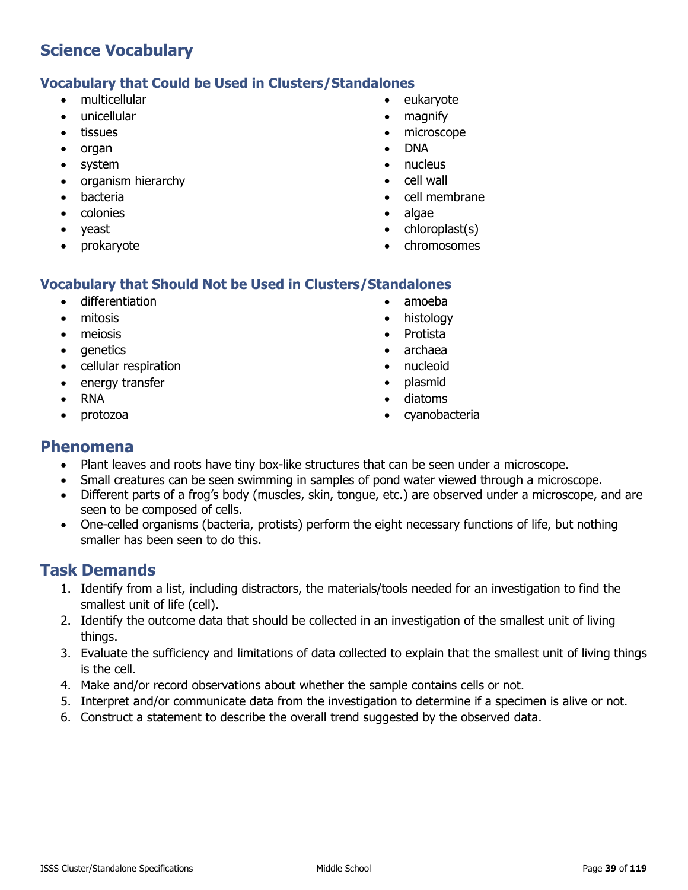### **Vocabulary that Could be Used in Clusters/Standalones**

- multicellular
- unicellular
- tissues
- organ
- system
- organism hierarchy
- bacteria
- colonies
- yeast
- prokaryote
- eukaryote
- magnify
- microscope
- DNA
- nucleus
- cell wall
- cell membrane
- algae
- chloroplast(s)
- chromosomes

### **Vocabulary that Should Not be Used in Clusters/Standalones**

- differentiation
- mitosis
- meiosis
- genetics
- cellular respiration
- energy transfer
- RNA
- protozoa
- amoeba
- histology
- Protista
- archaea
- nucleoid
- plasmid
- diatoms
- cyanobacteria

### **Phenomena**

- Plant leaves and roots have tiny box-like structures that can be seen under a microscope.
- Small creatures can be seen swimming in samples of pond water viewed through a microscope.
- Different parts of a frog's body (muscles, skin, tongue, etc.) are observed under a microscope, and are seen to be composed of cells.
- One-celled organisms (bacteria, protists) perform the eight necessary functions of life, but nothing smaller has been seen to do this.

- 1. Identify from a list, including distractors, the materials/tools needed for an investigation to find the smallest unit of life (cell).
- 2. Identify the outcome data that should be collected in an investigation of the smallest unit of living things.
- 3. Evaluate the sufficiency and limitations of data collected to explain that the smallest unit of living things is the cell.
- 4. Make and/or record observations about whether the sample contains cells or not.
- 5. Interpret and/or communicate data from the investigation to determine if a specimen is alive or not.
- 6. Construct a statement to describe the overall trend suggested by the observed data.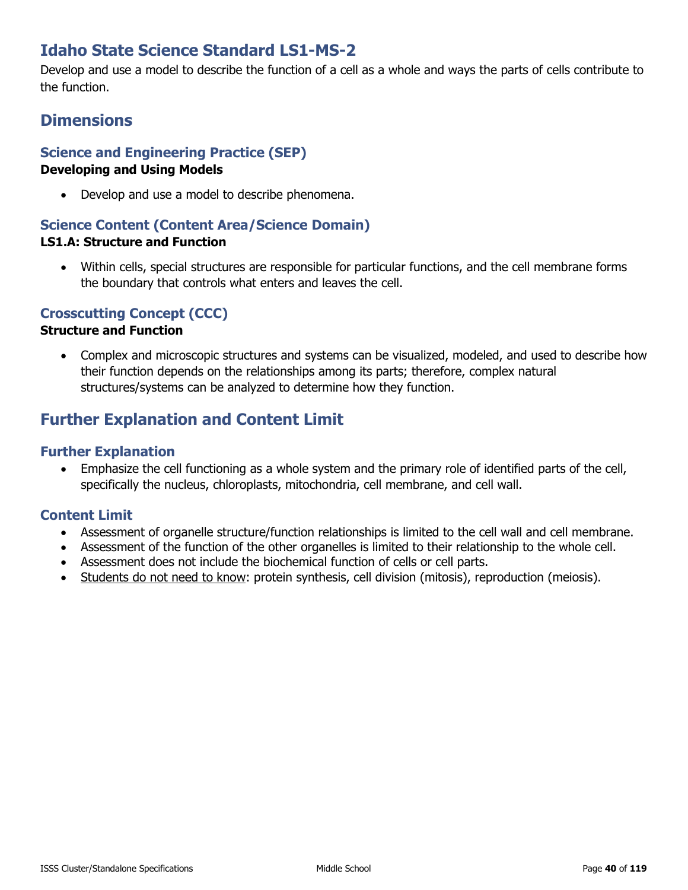# **Idaho State Science Standard LS1-MS-2**

Develop and use a model to describe the function of a cell as a whole and ways the parts of cells contribute to the function.

# **Dimensions**

## **Science and Engineering Practice (SEP)**

#### **Developing and Using Models**

• Develop and use a model to describe phenomena.

#### **Science Content (Content Area/Science Domain) LS1.A: Structure and Function**

• Within cells, special structures are responsible for particular functions, and the cell membrane forms the boundary that controls what enters and leaves the cell.

### **Crosscutting Concept (CCC)**

#### **Structure and Function**

• Complex and microscopic structures and systems can be visualized, modeled, and used to describe how their function depends on the relationships among its parts; therefore, complex natural structures/systems can be analyzed to determine how they function.

# **Further Explanation and Content Limit**

### **Further Explanation**

• Emphasize the cell functioning as a whole system and the primary role of identified parts of the cell, specifically the nucleus, chloroplasts, mitochondria, cell membrane, and cell wall.

- Assessment of organelle structure/function relationships is limited to the cell wall and cell membrane.
- Assessment of the function of the other organelles is limited to their relationship to the whole cell.
- Assessment does not include the biochemical function of cells or cell parts.
- Students do not need to know: protein synthesis, cell division (mitosis), reproduction (meiosis).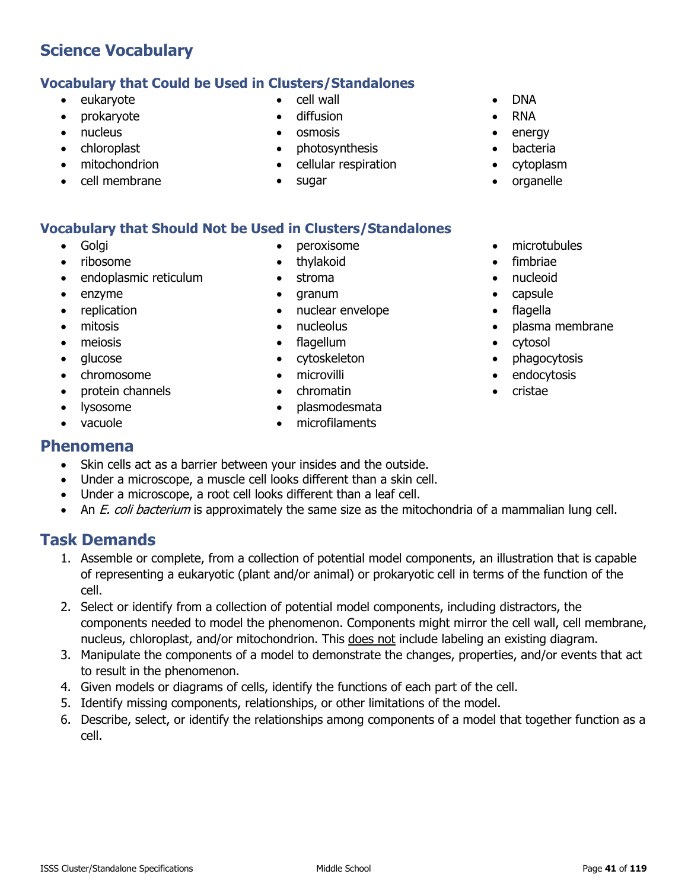# **Vocabulary that Could be Used in Clusters/Standalones**

- eukaryote
- prokaryote
- nucleus
- chloroplast
- mitochondrion
- cell membrane
- cell wall
- diffusion
- osmosis
- photosynthesis
- cellular respiration
- sugar

# **Vocabulary that Should Not be Used in Clusters/Standalones**

- Golgi
- ribosome
- endoplasmic reticulum
- enzyme
- replication
- mitosis
- meiosis
- glucose
- chromosome
- protein channels
- lysosome
- vacuole

## **Phenomena**

- Skin cells act as a barrier between your insides and the outside.
- Under a microscope, a muscle cell looks different than a skin cell.
- Under a microscope, a root cell looks different than a leaf cell.
- An *E. coli bacterium* is approximately the same size as the mitochondria of a mammalian lung cell.

# **Task Demands**

- 1. Assemble or complete, from a collection of potential model components, an illustration that is capable of representing a eukaryotic (plant and/or animal) or prokaryotic cell in terms of the function of the cell.
- 2. Select or identify from a collection of potential model components, including distractors, the components needed to model the phenomenon. Components might mirror the cell wall, cell membrane, nucleus, chloroplast, and/or mitochondrion. This does not include labeling an existing diagram.
- 3. Manipulate the components of a model to demonstrate the changes, properties, and/or events that act to result in the phenomenon.
- 4. Given models or diagrams of cells, identify the functions of each part of the cell.
- 5. Identify missing components, relationships, or other limitations of the model.
- 6. Describe, select, or identify the relationships among components of a model that together function as a cell.
- peroxisome
- thylakoid
- stroma
- granum
- nuclear envelope
- nucleolus
- flagellum
- cytoskeleton
- microvilli
- chromatin
- plasmodesmata
- 
- 
- 
- microfilaments
- 
- 
- 
- phagocytosis • endocytosis
	- cristae

• cytosol

- DNA
- RNA
- energy
- **bacteria**
- cytoplasm

• microtubules • fimbriae • nucleoid • capsule • flagella

• plasma membrane

• organelle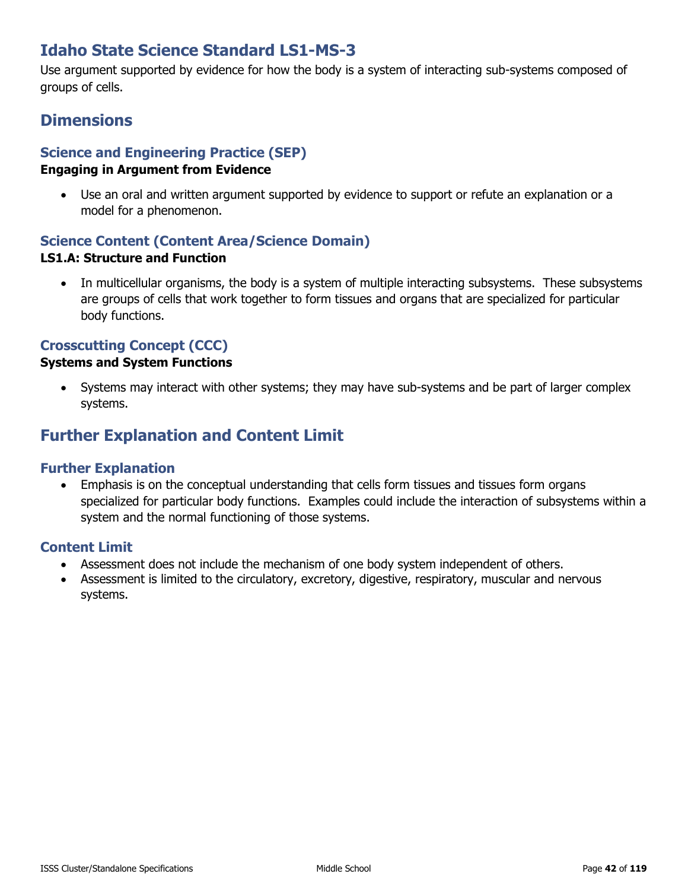# **Idaho State Science Standard LS1-MS-3**

Use argument supported by evidence for how the body is a system of interacting sub-systems composed of groups of cells.

# **Dimensions**

# **Science and Engineering Practice (SEP)**

#### **Engaging in Argument from Evidence**

• Use an oral and written argument supported by evidence to support or refute an explanation or a model for a phenomenon.

## **Science Content (Content Area/Science Domain)**

### **LS1.A: Structure and Function**

• In multicellular organisms, the body is a system of multiple interacting subsystems. These subsystems are groups of cells that work together to form tissues and organs that are specialized for particular body functions.

### **Crosscutting Concept (CCC)**

### **Systems and System Functions**

• Systems may interact with other systems; they may have sub-systems and be part of larger complex systems.

## **Further Explanation and Content Limit**

### **Further Explanation**

• Emphasis is on the conceptual understanding that cells form tissues and tissues form organs specialized for particular body functions. Examples could include the interaction of subsystems within a system and the normal functioning of those systems.

- Assessment does not include the mechanism of one body system independent of others.
- Assessment is limited to the circulatory, excretory, digestive, respiratory, muscular and nervous systems.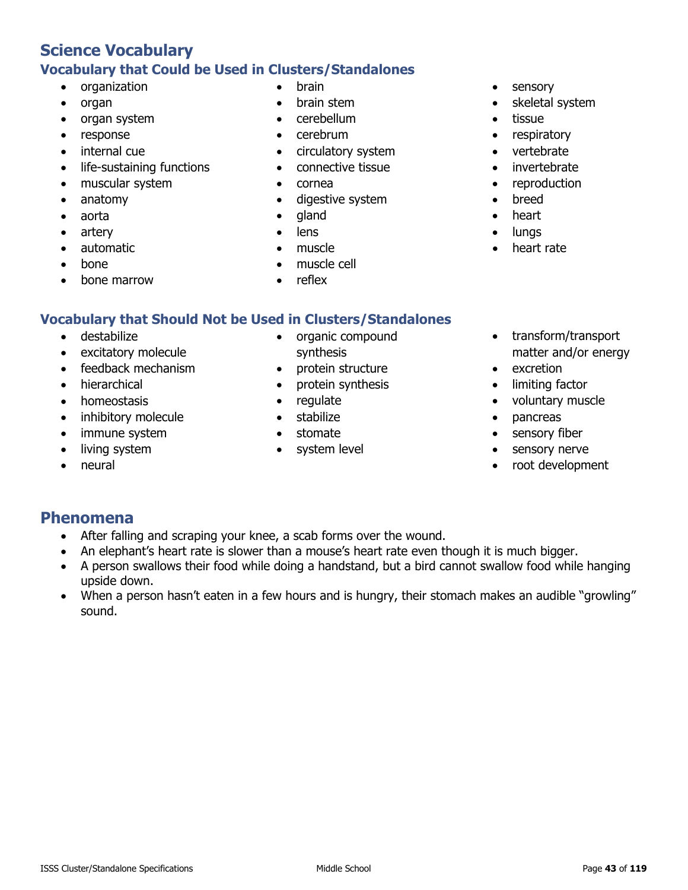## **Science Vocabulary Vocabulary that Could be Used in Clusters/Standalones**

- organization
- organ
- organ system
- response
- internal cue
- life-sustaining functions
- muscular system
- anatomy
- aorta
- artery
- automatic
- bone
- bone marrow
- brain
- brain stem
- cerebellum
- cerebrum
- circulatory system
- connective tissue
- cornea
- digestive system
- gland
- lens
- muscle
- muscle cell
- reflex

### **Vocabulary that Should Not be Used in Clusters/Standalones**

- destabilize
- excitatory molecule
- feedback mechanism
- hierarchical
- homeostasis
- inhibitory molecule
- immune system
- living system
- neural
- organic compound synthesis
- protein structure
- protein synthesis
- regulate
- stabilize
- stomate
- system level
- sensory
- skeletal system
- tissue
- respiratory
- vertebrate
- invertebrate
- reproduction
- breed
- heart
- lungs
- heart rate
- transform/transport matter and/or energy
- excretion
- limiting factor
- voluntary muscle
- pancreas
- sensory fiber
- sensory nerve
- root development

## **Phenomena**

- After falling and scraping your knee, a scab forms over the wound.
- An elephant's heart rate is slower than a mouse's heart rate even though it is much bigger.
- A person swallows their food while doing a handstand, but a bird cannot swallow food while hanging upside down.
- When a person hasn't eaten in a few hours and is hungry, their stomach makes an audible "growling" sound.
- 
-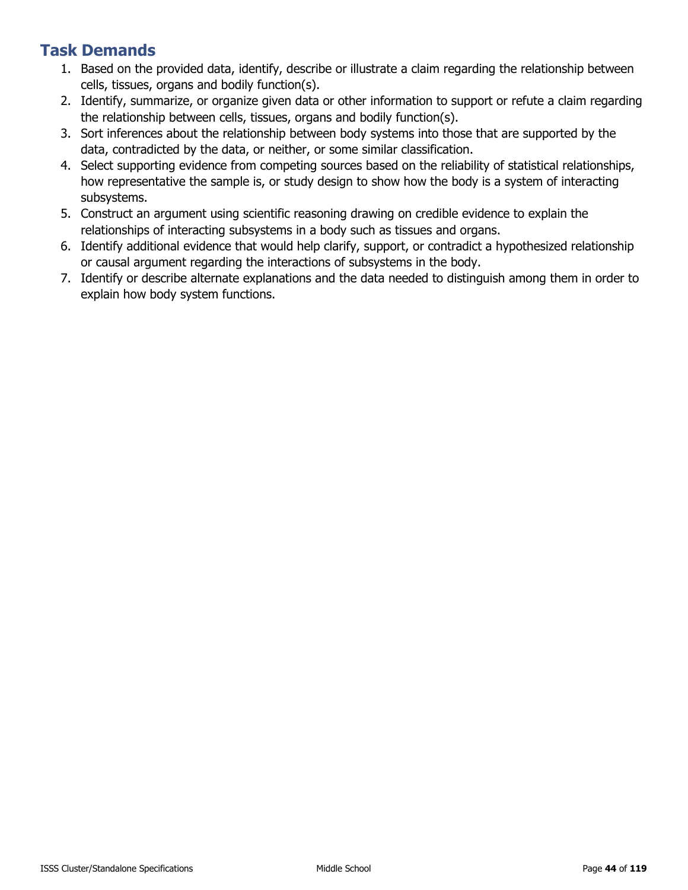- 1. Based on the provided data, identify, describe or illustrate a claim regarding the relationship between cells, tissues, organs and bodily function(s).
- 2. Identify, summarize, or organize given data or other information to support or refute a claim regarding the relationship between cells, tissues, organs and bodily function(s).
- 3. Sort inferences about the relationship between body systems into those that are supported by the data, contradicted by the data, or neither, or some similar classification.
- 4. Select supporting evidence from competing sources based on the reliability of statistical relationships, how representative the sample is, or study design to show how the body is a system of interacting subsystems.
- 5. Construct an argument using scientific reasoning drawing on credible evidence to explain the relationships of interacting subsystems in a body such as tissues and organs.
- 6. Identify additional evidence that would help clarify, support, or contradict a hypothesized relationship or causal argument regarding the interactions of subsystems in the body.
- 7. Identify or describe alternate explanations and the data needed to distinguish among them in order to explain how body system functions.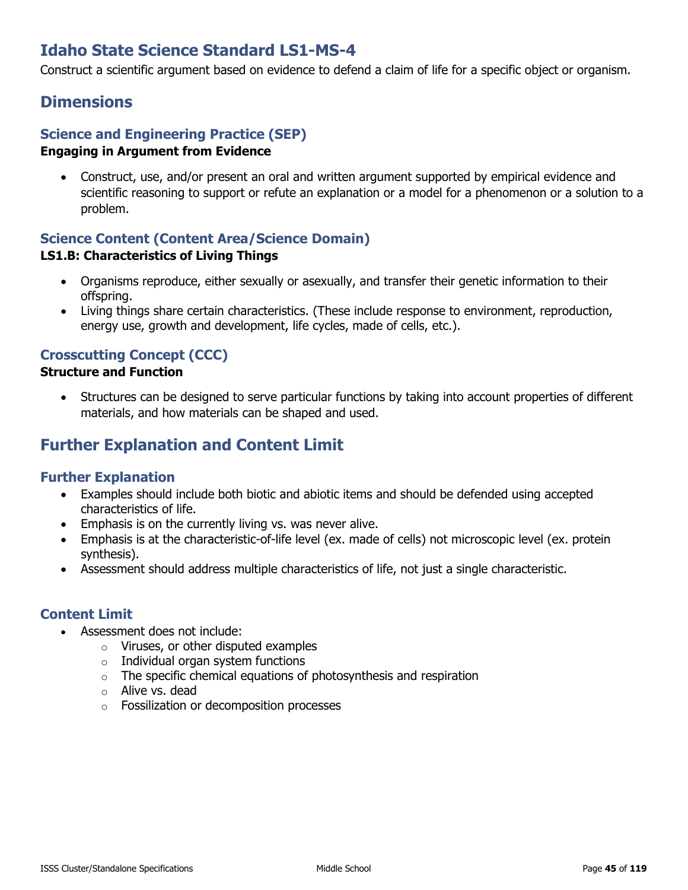# **Idaho State Science Standard LS1-MS-4**

Construct a scientific argument based on evidence to defend a claim of life for a specific object or organism.

## **Dimensions**

### **Science and Engineering Practice (SEP)**

#### **Engaging in Argument from Evidence**

• Construct, use, and/or present an oral and written argument supported by empirical evidence and scientific reasoning to support or refute an explanation or a model for a phenomenon or a solution to a problem.

## **Science Content (Content Area/Science Domain)**

#### **LS1.B: Characteristics of Living Things**

- Organisms reproduce, either sexually or asexually, and transfer their genetic information to their offspring.
- Living things share certain characteristics. (These include response to environment, reproduction, energy use, growth and development, life cycles, made of cells, etc.).

## **Crosscutting Concept (CCC)**

#### **Structure and Function**

• Structures can be designed to serve particular functions by taking into account properties of different materials, and how materials can be shaped and used.

# **Further Explanation and Content Limit**

### **Further Explanation**

- Examples should include both biotic and abiotic items and should be defended using accepted characteristics of life.
- Emphasis is on the currently living vs. was never alive.
- Emphasis is at the characteristic-of-life level (ex. made of cells) not microscopic level (ex. protein synthesis).
- Assessment should address multiple characteristics of life, not just a single characteristic.

- Assessment does not include:
	- o Viruses, or other disputed examples
	- $\circ$  Individual organ system functions
	- $\circ$  The specific chemical equations of photosynthesis and respiration
	- o Alive vs. dead
	- o Fossilization or decomposition processes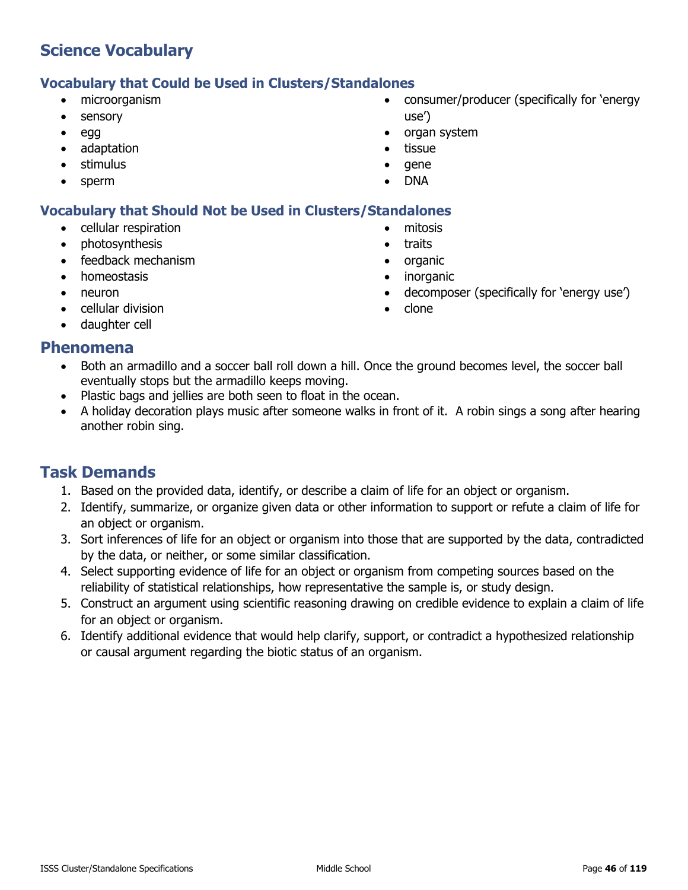### **Vocabulary that Could be Used in Clusters/Standalones**

- microorganism
- sensory
- egg
- adaptation
- stimulus
- sperm

• consumer/producer (specifically for 'energy use')

• decomposer (specifically for 'energy use')

- organ system
- **tissue**
- gene
- DNA

• mitosis • traits • organic • inorganic

• clone

### **Vocabulary that Should Not be Used in Clusters/Standalones**

- cellular respiration
- photosynthesis
- feedback mechanism
- homeostasis
- neuron
- cellular division
- daughter cell

### **Phenomena**

- Both an armadillo and a soccer ball roll down a hill. Once the ground becomes level, the soccer ball eventually stops but the armadillo keeps moving.
- Plastic bags and jellies are both seen to float in the ocean.
- A holiday decoration plays music after someone walks in front of it. A robin sings a song after hearing another robin sing.

- 1. Based on the provided data, identify, or describe a claim of life for an object or organism.
- 2. Identify, summarize, or organize given data or other information to support or refute a claim of life for an object or organism.
- 3. Sort inferences of life for an object or organism into those that are supported by the data, contradicted by the data, or neither, or some similar classification.
- 4. Select supporting evidence of life for an object or organism from competing sources based on the reliability of statistical relationships, how representative the sample is, or study design.
- 5. Construct an argument using scientific reasoning drawing on credible evidence to explain a claim of life for an object or organism.
- 6. Identify additional evidence that would help clarify, support, or contradict a hypothesized relationship or causal argument regarding the biotic status of an organism.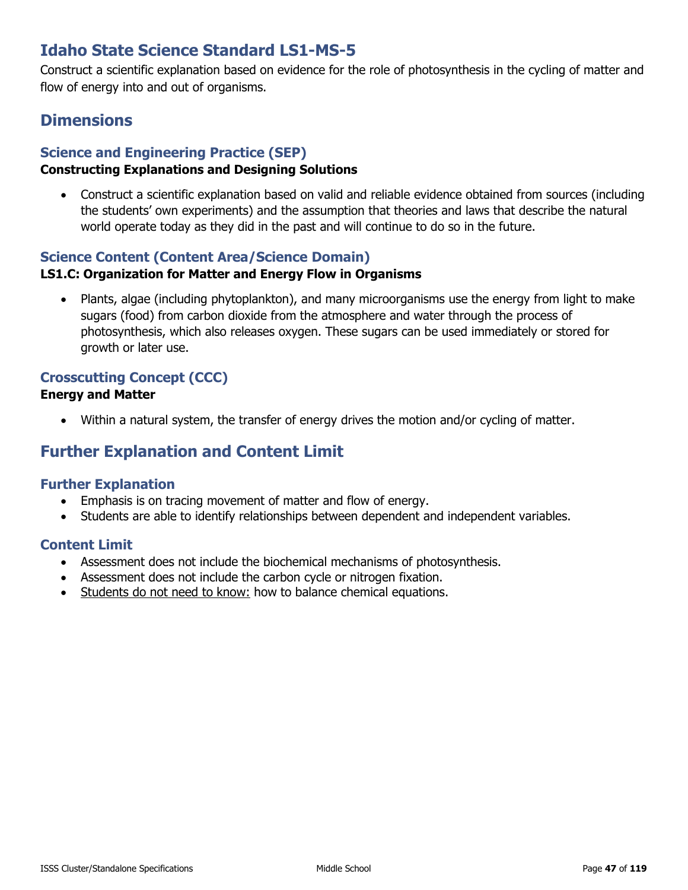# **Idaho State Science Standard LS1-MS-5**

Construct a scientific explanation based on evidence for the role of photosynthesis in the cycling of matter and flow of energy into and out of organisms.

## **Dimensions**

### **Science and Engineering Practice (SEP)**

### **Constructing Explanations and Designing Solutions**

• Construct a scientific explanation based on valid and reliable evidence obtained from sources (including the students' own experiments) and the assumption that theories and laws that describe the natural world operate today as they did in the past and will continue to do so in the future.

### **Science Content (Content Area/Science Domain)**

#### **LS1.C: Organization for Matter and Energy Flow in Organisms**

• Plants, algae (including phytoplankton), and many microorganisms use the energy from light to make sugars (food) from carbon dioxide from the atmosphere and water through the process of photosynthesis, which also releases oxygen. These sugars can be used immediately or stored for growth or later use.

### **Crosscutting Concept (CCC)**

#### **Energy and Matter**

• Within a natural system, the transfer of energy drives the motion and/or cycling of matter.

## **Further Explanation and Content Limit**

### **Further Explanation**

- Emphasis is on tracing movement of matter and flow of energy.
- Students are able to identify relationships between dependent and independent variables.

- Assessment does not include the biochemical mechanisms of photosynthesis.
- Assessment does not include the carbon cycle or nitrogen fixation.
- Students do not need to know: how to balance chemical equations.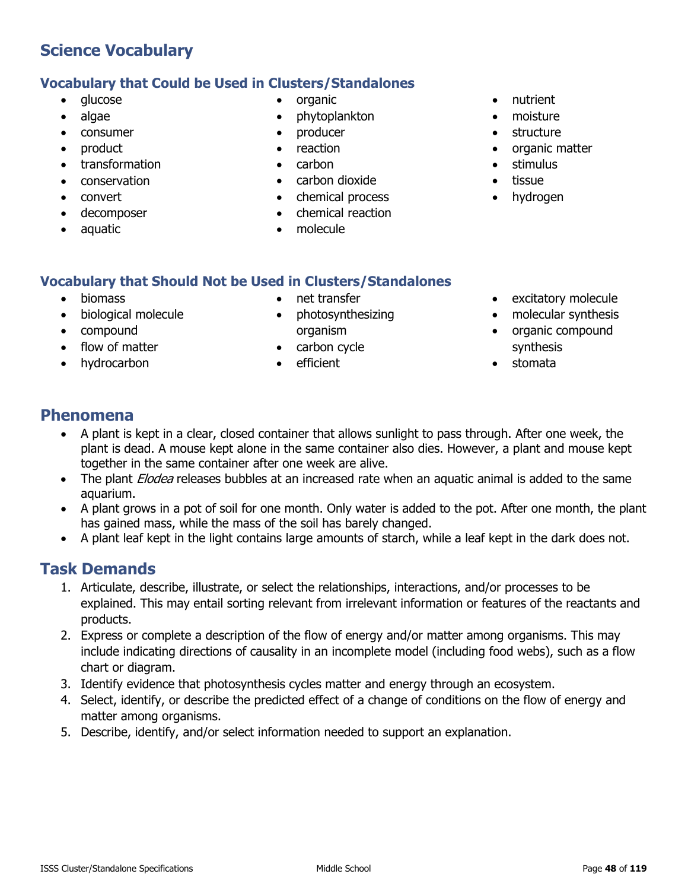## **Vocabulary that Could be Used in Clusters/Standalones**

- alucose
- algae
- consumer
- product
- transformation
- conservation
- convert
- decomposer
- aquatic
- organic
- phytoplankton
- producer
- reaction
- carbon
- carbon dioxide
- chemical process
- chemical reaction
- molecule
- nutrient
- moisture
- structure
- organic matter
- stimulus
- tissue
- hydrogen

### **Vocabulary that Should Not be Used in Clusters/Standalones**

- biomass
- biological molecule
- compound
- flow of matter
- hydrocarbon
- net transfer
- photosynthesizing organism
- carbon cycle
- efficient
- excitatory molecule
- molecular synthesis
- organic compound synthesis
- stomata

## **Phenomena**

- A plant is kept in a clear, closed container that allows sunlight to pass through. After one week, the plant is dead. A mouse kept alone in the same container also dies. However, a plant and mouse kept together in the same container after one week are alive.
- The plant *Elodea* releases bubbles at an increased rate when an aquatic animal is added to the same aquarium.
- A plant grows in a pot of soil for one month. Only water is added to the pot. After one month, the plant has gained mass, while the mass of the soil has barely changed.
- A plant leaf kept in the light contains large amounts of starch, while a leaf kept in the dark does not.

- 1. Articulate, describe, illustrate, or select the relationships, interactions, and/or processes to be explained. This may entail sorting relevant from irrelevant information or features of the reactants and products.
- 2. Express or complete a description of the flow of energy and/or matter among organisms. This may include indicating directions of causality in an incomplete model (including food webs), such as a flow chart or diagram.
- 3. Identify evidence that photosynthesis cycles matter and energy through an ecosystem.
- 4. Select, identify, or describe the predicted effect of a change of conditions on the flow of energy and matter among organisms.
- 5. Describe, identify, and/or select information needed to support an explanation.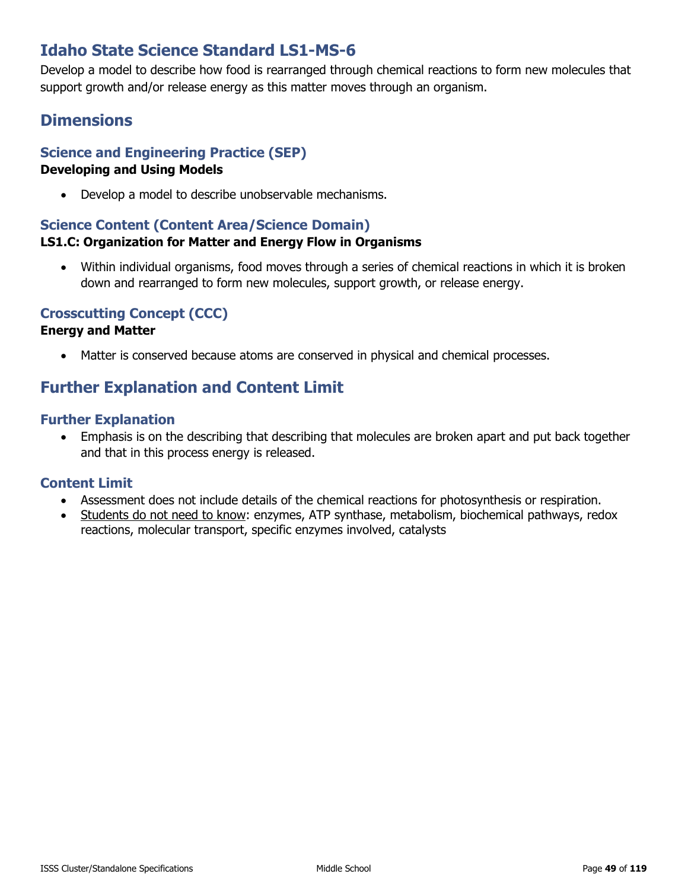# **Idaho State Science Standard LS1-MS-6**

Develop a model to describe how food is rearranged through chemical reactions to form new molecules that support growth and/or release energy as this matter moves through an organism.

# **Dimensions**

## **Science and Engineering Practice (SEP)**

### **Developing and Using Models**

• Develop a model to describe unobservable mechanisms.

### **Science Content (Content Area/Science Domain)**

### **LS1.C: Organization for Matter and Energy Flow in Organisms**

• Within individual organisms, food moves through a series of chemical reactions in which it is broken down and rearranged to form new molecules, support growth, or release energy.

### **Crosscutting Concept (CCC)**

#### **Energy and Matter**

• Matter is conserved because atoms are conserved in physical and chemical processes.

# **Further Explanation and Content Limit**

### **Further Explanation**

• Emphasis is on the describing that describing that molecules are broken apart and put back together and that in this process energy is released.

- Assessment does not include details of the chemical reactions for photosynthesis or respiration.
- Students do not need to know: enzymes, ATP synthase, metabolism, biochemical pathways, redox reactions, molecular transport, specific enzymes involved, catalysts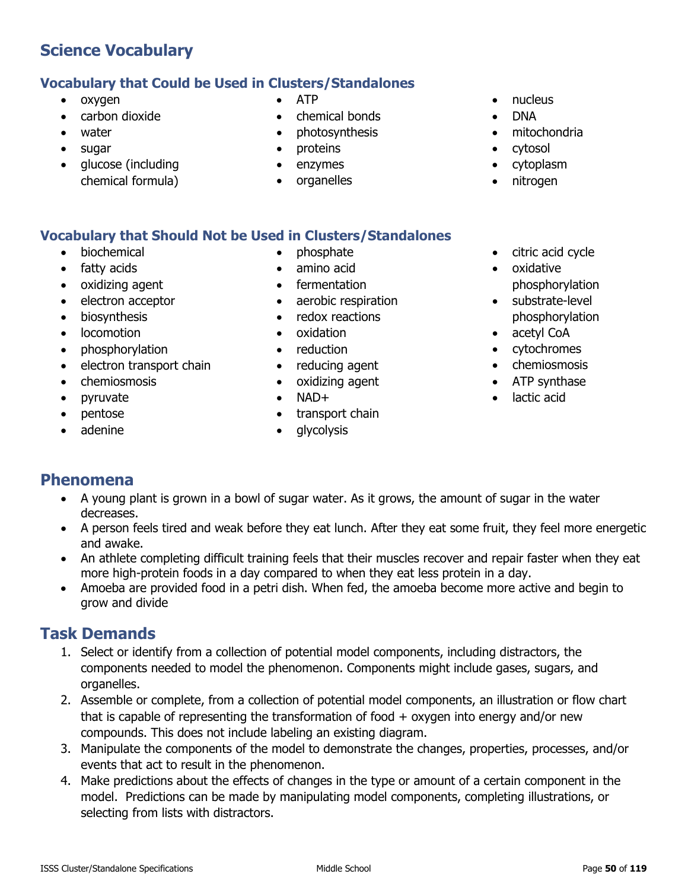## **Vocabulary that Could be Used in Clusters/Standalones**

- oxygen
- carbon dioxide
- water
- sugar
- glucose (including chemical formula)
- ATP
- chemical bonds
- photosynthesis
- proteins
- enzymes
- organelles
- nucleus
- DNA
- mitochondria
- cytosol
- cytoplasm
- nitrogen

## **Vocabulary that Should Not be Used in Clusters/Standalones**

- biochemical
- fatty acids
- oxidizing agent
- electron acceptor
- biosynthesis
- locomotion
- phosphorylation
- electron transport chain
- chemiosmosis
- pyruvate
- pentose
- adenine
- phosphate
- amino acid
- fermentation
- aerobic respiration
- redox reactions
- oxidation
- reduction
- reducing agent
- oxidizing agent
- $\bullet$  NAD+
- transport chain
- qlycolysis
- citric acid cycle
- oxidative phosphorylation
- substrate-level phosphorylation
- acetyl CoA
- cytochromes
- chemiosmosis
- ATP synthase
- lactic acid

# **Phenomena**

- A young plant is grown in a bowl of sugar water. As it grows, the amount of sugar in the water decreases.
- A person feels tired and weak before they eat lunch. After they eat some fruit, they feel more energetic and awake.
- An athlete completing difficult training feels that their muscles recover and repair faster when they eat more high-protein foods in a day compared to when they eat less protein in a day.
- Amoeba are provided food in a petri dish. When fed, the amoeba become more active and begin to grow and divide

- 1. Select or identify from a collection of potential model components, including distractors, the components needed to model the phenomenon. Components might include gases, sugars, and organelles.
- 2. Assemble or complete, from a collection of potential model components, an illustration or flow chart that is capable of representing the transformation of food  $+$  oxygen into energy and/or new compounds. This does not include labeling an existing diagram.
- 3. Manipulate the components of the model to demonstrate the changes, properties, processes, and/or events that act to result in the phenomenon.
- 4. Make predictions about the effects of changes in the type or amount of a certain component in the model. Predictions can be made by manipulating model components, completing illustrations, or selecting from lists with distractors.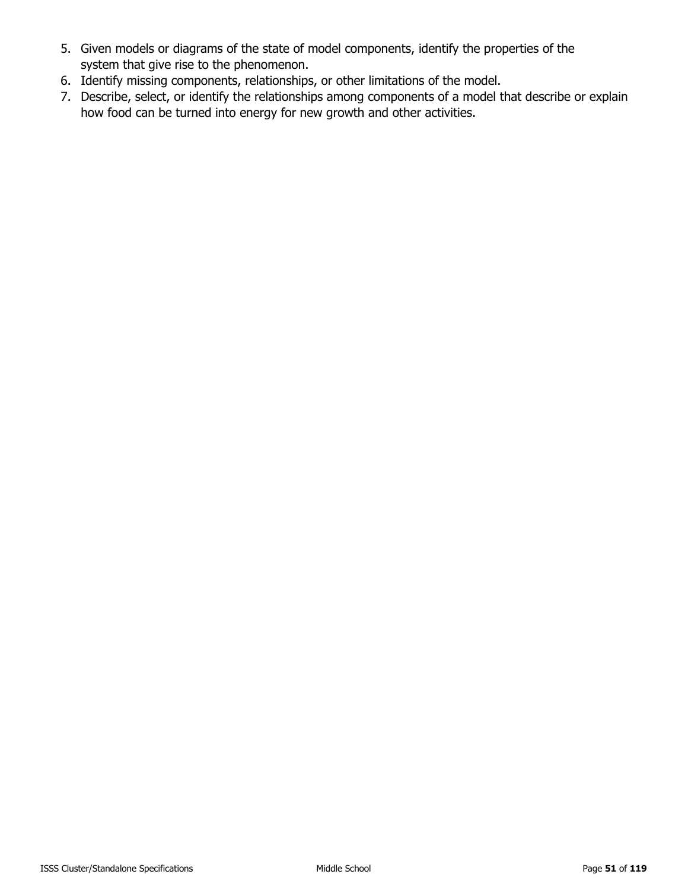- 5. Given models or diagrams of the state of model components, identify the properties of the system that give rise to the phenomenon.
- 6. Identify missing components, relationships, or other limitations of the model.
- 7. Describe, select, or identify the relationships among components of a model that describe or explain how food can be turned into energy for new growth and other activities.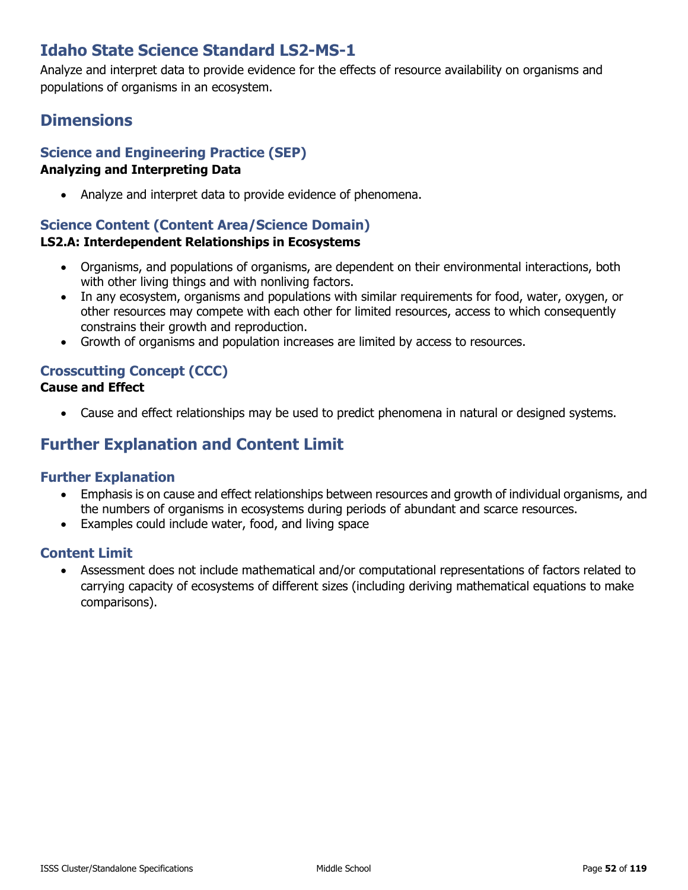# **Idaho State Science Standard LS2-MS-1**

Analyze and interpret data to provide evidence for the effects of resource availability on organisms and populations of organisms in an ecosystem.

# **Dimensions**

## **Science and Engineering Practice (SEP)**

### **Analyzing and Interpreting Data**

• Analyze and interpret data to provide evidence of phenomena.

### **Science Content (Content Area/Science Domain)**

### **LS2.A: Interdependent Relationships in Ecosystems**

- Organisms, and populations of organisms, are dependent on their environmental interactions, both with other living things and with nonliving factors.
- In any ecosystem, organisms and populations with similar requirements for food, water, oxygen, or other resources may compete with each other for limited resources, access to which consequently constrains their growth and reproduction.
- Growth of organisms and population increases are limited by access to resources.

#### **Crosscutting Concept (CCC) Cause and Effect**

• Cause and effect relationships may be used to predict phenomena in natural or designed systems.

# **Further Explanation and Content Limit**

### **Further Explanation**

- Emphasis is on cause and effect relationships between resources and growth of individual organisms, and the numbers of organisms in ecosystems during periods of abundant and scarce resources.
- Examples could include water, food, and living space

### **Content Limit**

• Assessment does not include mathematical and/or computational representations of factors related to carrying capacity of ecosystems of different sizes (including deriving mathematical equations to make comparisons).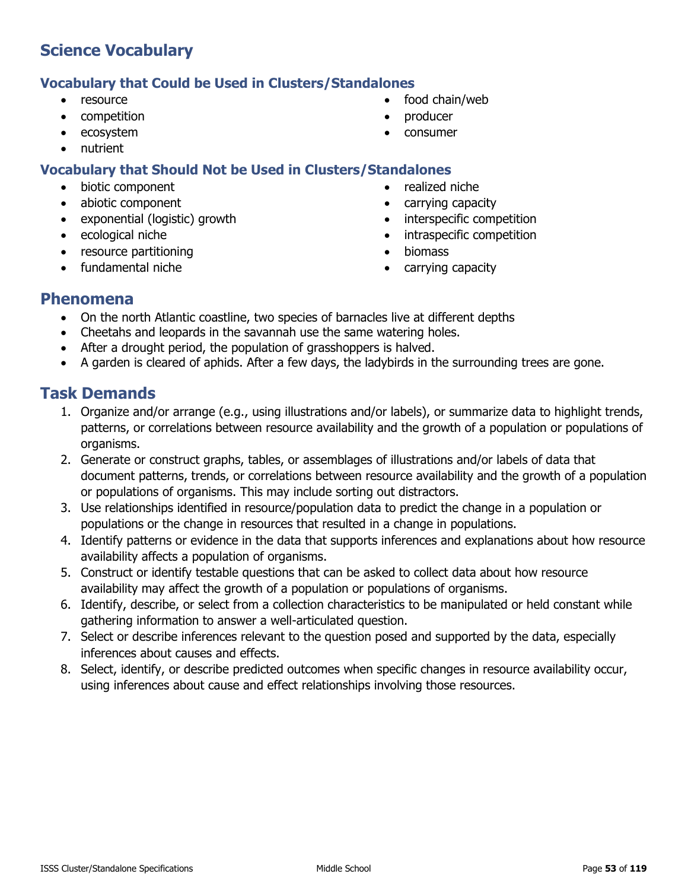### **Vocabulary that Could be Used in Clusters/Standalones**

- resource
- competition
- ecosystem
- nutrient

### **Vocabulary that Should Not be Used in Clusters/Standalones**

- biotic component
- abiotic component
- exponential (logistic) growth
- ecological niche
- resource partitioning
- fundamental niche
- food chain/web
- producer
- consumer
- 
- realized niche
- carrying capacity
- interspecific competition
- intraspecific competition
- biomass
- carrying capacity

### **Phenomena**

- On the north Atlantic coastline, two species of barnacles live at different depths
- Cheetahs and leopards in the savannah use the same watering holes.
- After a drought period, the population of grasshoppers is halved.
- A garden is cleared of aphids. After a few days, the ladybirds in the surrounding trees are gone.

- 1. Organize and/or arrange (e.g., using illustrations and/or labels), or summarize data to highlight trends, patterns, or correlations between resource availability and the growth of a population or populations of organisms.
- 2. Generate or construct graphs, tables, or assemblages of illustrations and/or labels of data that document patterns, trends, or correlations between resource availability and the growth of a population or populations of organisms. This may include sorting out distractors.
- 3. Use relationships identified in resource/population data to predict the change in a population or populations or the change in resources that resulted in a change in populations.
- 4. Identify patterns or evidence in the data that supports inferences and explanations about how resource availability affects a population of organisms.
- 5. Construct or identify testable questions that can be asked to collect data about how resource availability may affect the growth of a population or populations of organisms.
- 6. Identify, describe, or select from a collection characteristics to be manipulated or held constant while gathering information to answer a well-articulated question.
- 7. Select or describe inferences relevant to the question posed and supported by the data, especially inferences about causes and effects.
- 8. Select, identify, or describe predicted outcomes when specific changes in resource availability occur, using inferences about cause and effect relationships involving those resources.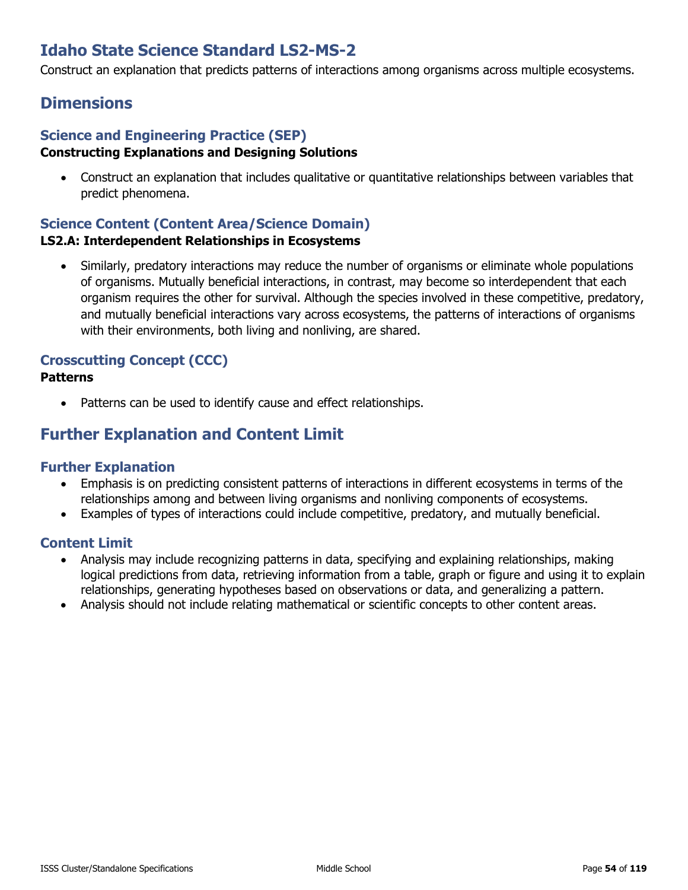# **Idaho State Science Standard LS2-MS-2**

Construct an explanation that predicts patterns of interactions among organisms across multiple ecosystems.

## **Dimensions**

#### **Science and Engineering Practice (SEP) Constructing Explanations and Designing Solutions**

• Construct an explanation that includes qualitative or quantitative relationships between variables that predict phenomena.

### **Science Content (Content Area/Science Domain)**

#### **LS2.A: Interdependent Relationships in Ecosystems**

• Similarly, predatory interactions may reduce the number of organisms or eliminate whole populations of organisms. Mutually beneficial interactions, in contrast, may become so interdependent that each organism requires the other for survival. Although the species involved in these competitive, predatory, and mutually beneficial interactions vary across ecosystems, the patterns of interactions of organisms with their environments, both living and nonliving, are shared.

# **Crosscutting Concept (CCC)**

### **Patterns**

• Patterns can be used to identify cause and effect relationships.

## **Further Explanation and Content Limit**

#### **Further Explanation**

- Emphasis is on predicting consistent patterns of interactions in different ecosystems in terms of the relationships among and between living organisms and nonliving components of ecosystems.
- Examples of types of interactions could include competitive, predatory, and mutually beneficial.

- Analysis may include recognizing patterns in data, specifying and explaining relationships, making logical predictions from data, retrieving information from a table, graph or figure and using it to explain relationships, generating hypotheses based on observations or data, and generalizing a pattern.
- Analysis should not include relating mathematical or scientific concepts to other content areas.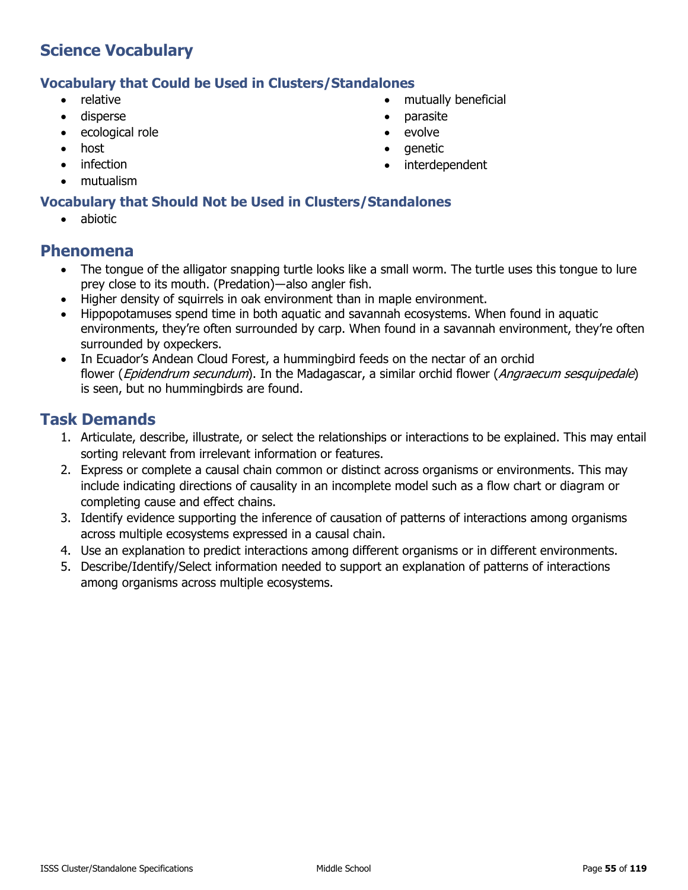#### **Vocabulary that Could be Used in Clusters/Standalones**

- relative
- disperse
- ecological role
- host
- infection
- mutualism

### **Vocabulary that Should Not be Used in Clusters/Standalones**

• abiotic

### **Phenomena**

- The tongue of the alligator snapping turtle looks like a small worm. The turtle uses this tongue to lure prey close to its mouth. (Predation)―also angler fish.
- Higher density of squirrels in oak environment than in maple environment.
- Hippopotamuses spend time in both aquatic and savannah ecosystems. When found in aquatic environments, they're often surrounded by carp. When found in a savannah environment, they're often surrounded by oxpeckers.
- In Ecuador's Andean Cloud Forest, a hummingbird feeds on the nectar of an orchid flower (Epidendrum secundum). In the Madagascar, a similar orchid flower (Angraecum sesquipedale) is seen, but no hummingbirds are found.

- 1. Articulate, describe, illustrate, or select the relationships or interactions to be explained. This may entail sorting relevant from irrelevant information or features.
- 2. Express or complete a causal chain common or distinct across organisms or environments. This may include indicating directions of causality in an incomplete model such as a flow chart or diagram or completing cause and effect chains.
- 3. Identify evidence supporting the inference of causation of patterns of interactions among organisms across multiple ecosystems expressed in a causal chain.
- 4. Use an explanation to predict interactions among different organisms or in different environments.
- 5. Describe/Identify/Select information needed to support an explanation of patterns of interactions among organisms across multiple ecosystems.
- mutually beneficial
- parasite
- evolve
- genetic
- interdependent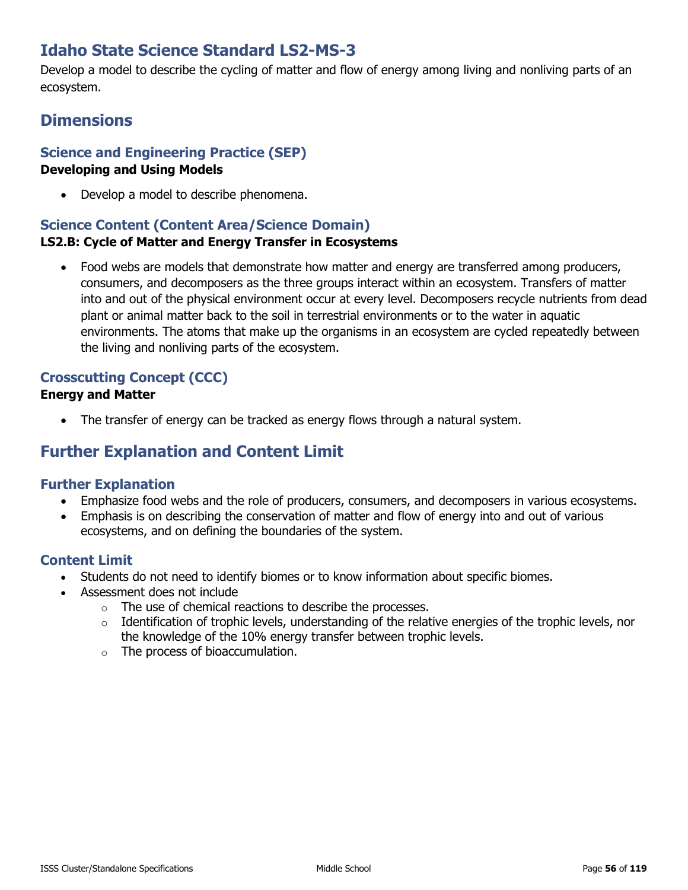# **Idaho State Science Standard LS2-MS-3**

Develop a model to describe the cycling of matter and flow of energy among living and nonliving parts of an ecosystem.

# **Dimensions**

## **Science and Engineering Practice (SEP)**

#### **Developing and Using Models**

• Develop a model to describe phenomena.

#### **Science Content (Content Area/Science Domain) LS2.B: Cycle of Matter and Energy Transfer in Ecosystems**

• Food webs are models that demonstrate how matter and energy are transferred among producers, consumers, and decomposers as the three groups interact within an ecosystem. Transfers of matter into and out of the physical environment occur at every level. Decomposers recycle nutrients from dead plant or animal matter back to the soil in terrestrial environments or to the water in aquatic environments. The atoms that make up the organisms in an ecosystem are cycled repeatedly between the living and nonliving parts of the ecosystem.

### **Crosscutting Concept (CCC)**

### **Energy and Matter**

• The transfer of energy can be tracked as energy flows through a natural system.

# **Further Explanation and Content Limit**

### **Further Explanation**

- Emphasize food webs and the role of producers, consumers, and decomposers in various ecosystems.
- Emphasis is on describing the conservation of matter and flow of energy into and out of various ecosystems, and on defining the boundaries of the system.

- Students do not need to identify biomes or to know information about specific biomes.
- Assessment does not include
	- o The use of chemical reactions to describe the processes.
	- $\circ$  Identification of trophic levels, understanding of the relative energies of the trophic levels, nor the knowledge of the 10% energy transfer between trophic levels.
	- o The process of bioaccumulation.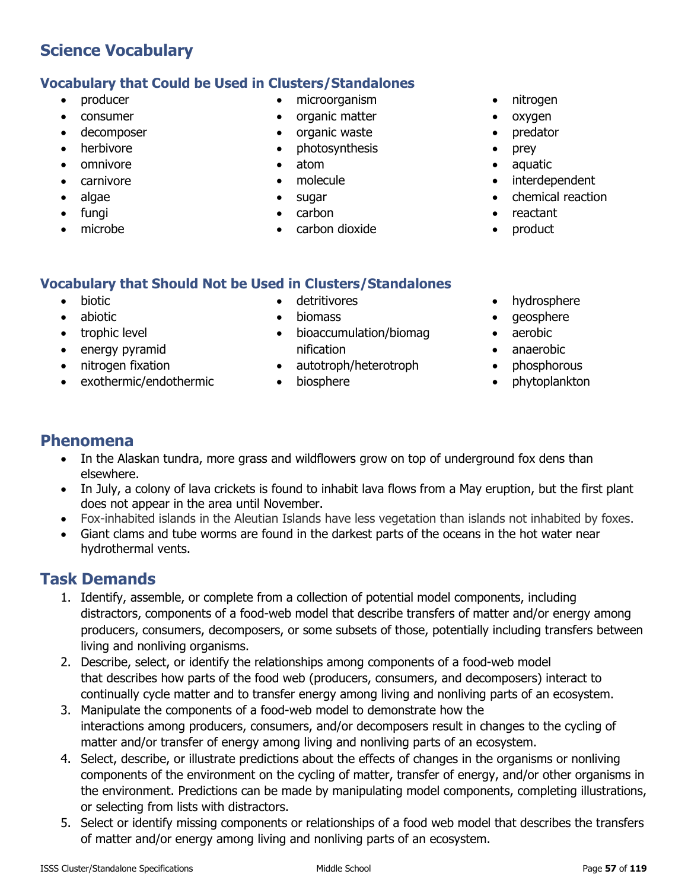## **Vocabulary that Could be Used in Clusters/Standalones**

- producer
- consumer
- decomposer
- herbivore
- omnivore
- carnivore
- algae
- fungi
- microbe
- microorganism
- organic matter
- organic waste
- photosynthesis
- atom
- molecule
- sugar
- carbon
- carbon dioxide
- nitrogen
- oxygen
- predator
- prey
- aquatic
	- interdependent
	- chemical reaction
	- reactant
	- product

### **Vocabulary that Should Not be Used in Clusters/Standalones**

- biotic
- abiotic
- trophic level
- energy pyramid
- nitrogen fixation
- exothermic/endothermic
- detritivores
- biomass
- bioaccumulation/biomag nification
- autotroph/heterotroph
- biosphere
- hydrosphere
- geosphere
- aerobic
- anaerobic
- phosphorous
- phytoplankton

## **Phenomena**

- In the Alaskan tundra, more grass and wildflowers grow on top of underground fox dens than elsewhere.
- In July, a colony of lava crickets is found to inhabit lava flows from a May eruption, but the first plant does not appear in the area until November.
- Fox-inhabited islands in the Aleutian Islands have less vegetation than islands not inhabited by foxes.
- Giant clams and tube worms are found in the darkest parts of the oceans in the hot water near hydrothermal vents.

- 1. Identify, assemble, or complete from a collection of potential model components, including distractors, components of a food-web model that describe transfers of matter and/or energy among producers, consumers, decomposers, or some subsets of those, potentially including transfers between living and nonliving organisms.
- 2. Describe, select, or identify the relationships among components of a food-web model that describes how parts of the food web (producers, consumers, and decomposers) interact to continually cycle matter and to transfer energy among living and nonliving parts of an ecosystem.
- 3. Manipulate the components of a food-web model to demonstrate how the interactions among producers, consumers, and/or decomposers result in changes to the cycling of matter and/or transfer of energy among living and nonliving parts of an ecosystem.
- 4. Select, describe, or illustrate predictions about the effects of changes in the organisms or nonliving components of the environment on the cycling of matter, transfer of energy, and/or other organisms in the environment. Predictions can be made by manipulating model components, completing illustrations, or selecting from lists with distractors.
- 5. Select or identify missing components or relationships of a food web model that describes the transfers of matter and/or energy among living and nonliving parts of an ecosystem.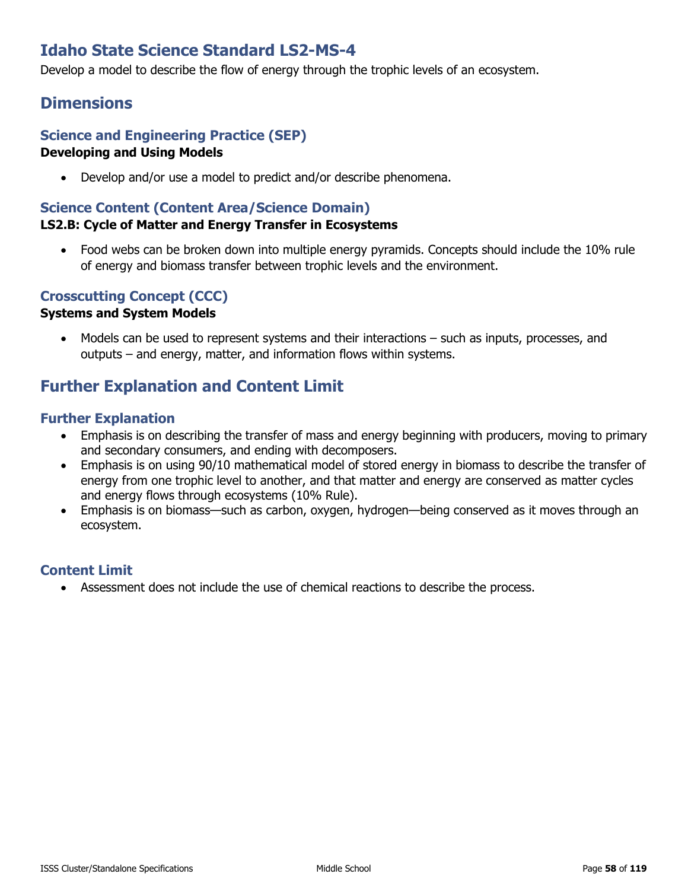# **Idaho State Science Standard LS2-MS-4**

Develop a model to describe the flow of energy through the trophic levels of an ecosystem.

## **Dimensions**

#### **Science and Engineering Practice (SEP) Developing and Using Models**

• Develop and/or use a model to predict and/or describe phenomena.

### **Science Content (Content Area/Science Domain)**

### **LS2.B: Cycle of Matter and Energy Transfer in Ecosystems**

• Food webs can be broken down into multiple energy pyramids. Concepts should include the 10% rule of energy and biomass transfer between trophic levels and the environment.

### **Crosscutting Concept (CCC)**

#### **Systems and System Models**

• Models can be used to represent systems and their interactions – such as inputs, processes, and outputs – and energy, matter, and information flows within systems.

# **Further Explanation and Content Limit**

### **Further Explanation**

- Emphasis is on describing the transfer of mass and energy beginning with producers, moving to primary and secondary consumers, and ending with decomposers.
- Emphasis is on using 90/10 mathematical model of stored energy in biomass to describe the transfer of energy from one trophic level to another, and that matter and energy are conserved as matter cycles and energy flows through ecosystems (10% Rule).
- Emphasis is on biomass—such as carbon, oxygen, hydrogen—being conserved as it moves through an ecosystem.

### **Content Limit**

• Assessment does not include the use of chemical reactions to describe the process.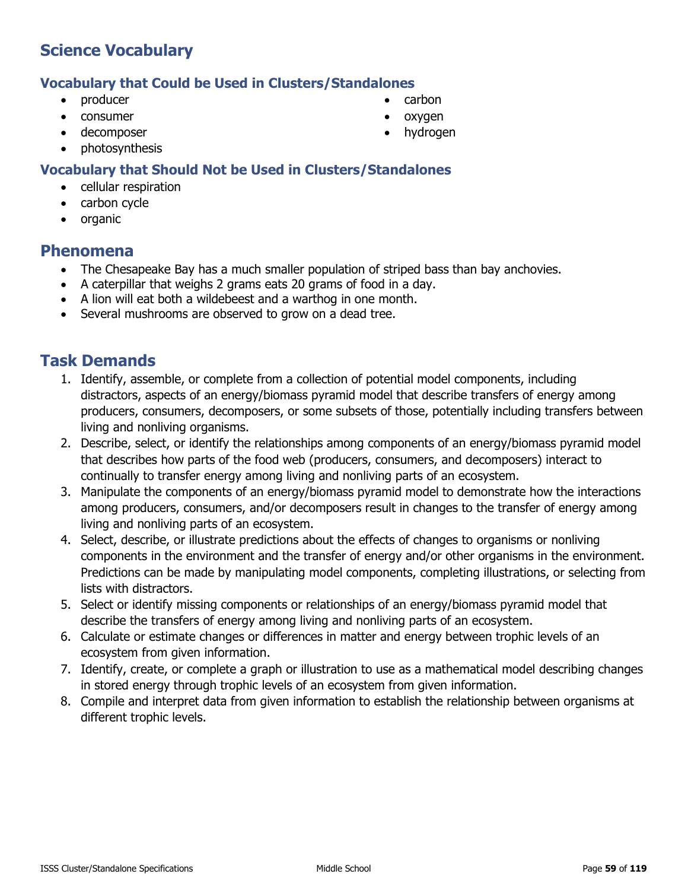### **Vocabulary that Could be Used in Clusters/Standalones**

- producer
- consumer
- decomposer
- photosynthesis

### **Vocabulary that Should Not be Used in Clusters/Standalones**

- cellular respiration
- carbon cycle
- organic

### **Phenomena**

- The Chesapeake Bay has a much smaller population of striped bass than bay anchovies.
- A caterpillar that weighs 2 grams eats 20 grams of food in a day.
- A lion will eat both a wildebeest and a warthog in one month.
- Several mushrooms are observed to grow on a dead tree.

- 1. Identify, assemble, or complete from a collection of potential model components, including distractors, aspects of an energy/biomass pyramid model that describe transfers of energy among producers, consumers, decomposers, or some subsets of those, potentially including transfers between living and nonliving organisms.
- 2. Describe, select, or identify the relationships among components of an energy/biomass pyramid model that describes how parts of the food web (producers, consumers, and decomposers) interact to continually to transfer energy among living and nonliving parts of an ecosystem.
- 3. Manipulate the components of an energy/biomass pyramid model to demonstrate how the interactions among producers, consumers, and/or decomposers result in changes to the transfer of energy among living and nonliving parts of an ecosystem.
- 4. Select, describe, or illustrate predictions about the effects of changes to organisms or nonliving components in the environment and the transfer of energy and/or other organisms in the environment. Predictions can be made by manipulating model components, completing illustrations, or selecting from lists with distractors.
- 5. Select or identify missing components or relationships of an energy/biomass pyramid model that describe the transfers of energy among living and nonliving parts of an ecosystem.
- 6. Calculate or estimate changes or differences in matter and energy between trophic levels of an ecosystem from given information.
- 7. Identify, create, or complete a graph or illustration to use as a mathematical model describing changes in stored energy through trophic levels of an ecosystem from given information.
- 8. Compile and interpret data from given information to establish the relationship between organisms at different trophic levels.
- carbon
- oxygen
- hydrogen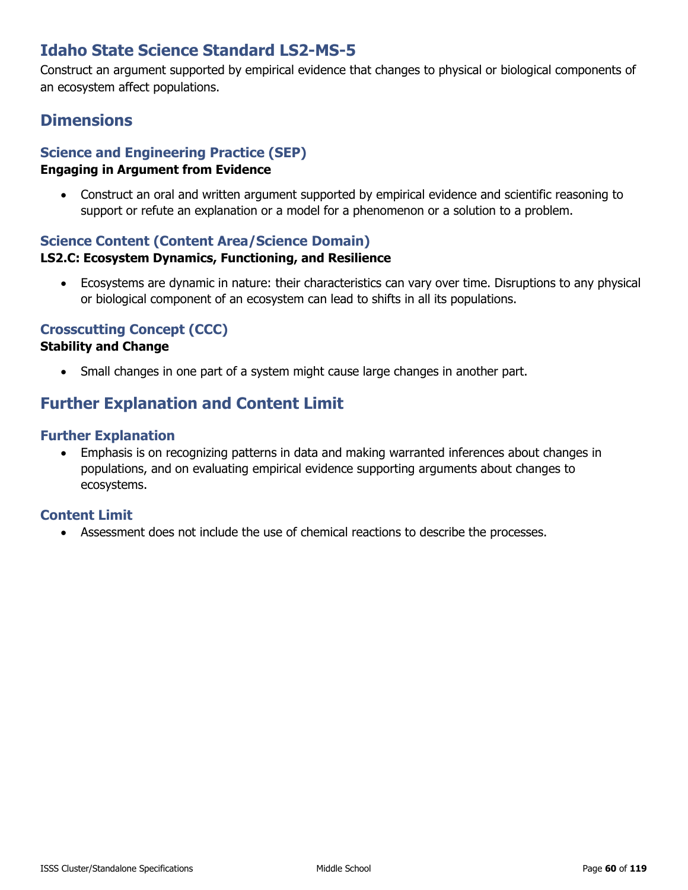# **Idaho State Science Standard LS2-MS-5**

Construct an argument supported by empirical evidence that changes to physical or biological components of an ecosystem affect populations.

## **Dimensions**

## **Science and Engineering Practice (SEP)**

### **Engaging in Argument from Evidence**

• Construct an oral and written argument supported by empirical evidence and scientific reasoning to support or refute an explanation or a model for a phenomenon or a solution to a problem.

### **Science Content (Content Area/Science Domain)**

### **LS2.C: Ecosystem Dynamics, Functioning, and Resilience**

• Ecosystems are dynamic in nature: their characteristics can vary over time. Disruptions to any physical or biological component of an ecosystem can lead to shifts in all its populations.

### **Crosscutting Concept (CCC)**

### **Stability and Change**

• Small changes in one part of a system might cause large changes in another part.

# **Further Explanation and Content Limit**

### **Further Explanation**

• Emphasis is on recognizing patterns in data and making warranted inferences about changes in populations, and on evaluating empirical evidence supporting arguments about changes to ecosystems.

### **Content Limit**

• Assessment does not include the use of chemical reactions to describe the processes.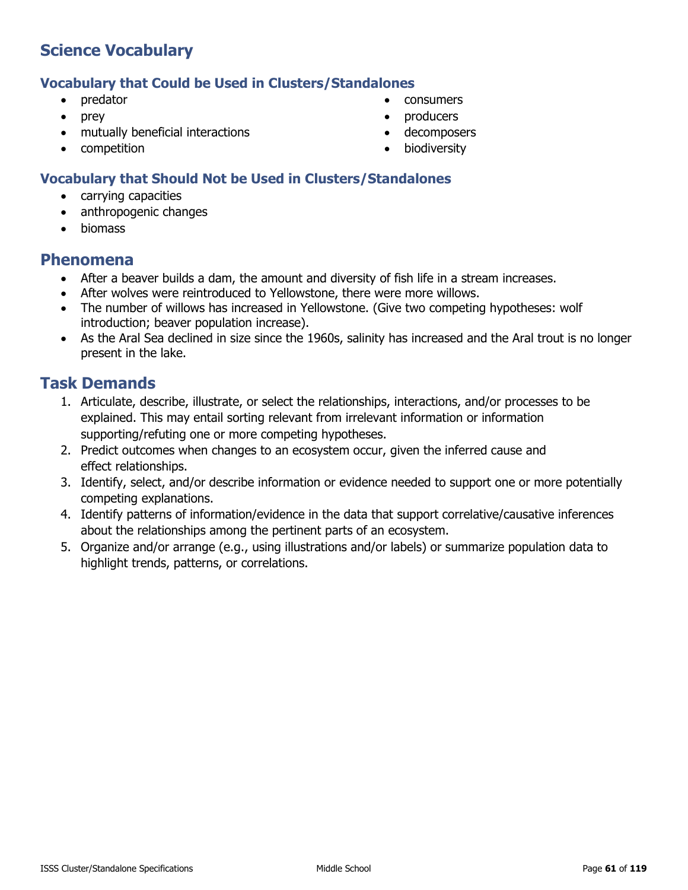#### **Vocabulary that Could be Used in Clusters/Standalones**

- predator
- prey
- mutually beneficial interactions
- competition
- consumers
- producers
- decomposers
- **biodiversity**

### **Vocabulary that Should Not be Used in Clusters/Standalones**

- carrying capacities
- anthropogenic changes
- biomass

### **Phenomena**

- After a beaver builds a dam, the amount and diversity of fish life in a stream increases.
- After wolves were reintroduced to Yellowstone, there were more willows.
- The number of willows has increased in Yellowstone. (Give two competing hypotheses: wolf introduction; beaver population increase).
- As the Aral Sea declined in size since the 1960s, salinity has increased and the Aral trout is no longer present in the lake.

- 1. Articulate, describe, illustrate, or select the relationships, interactions, and/or processes to be explained. This may entail sorting relevant from irrelevant information or information supporting/refuting one or more competing hypotheses.
- 2. Predict outcomes when changes to an ecosystem occur, given the inferred cause and effect relationships.
- 3. Identify, select, and/or describe information or evidence needed to support one or more potentially competing explanations.
- 4. Identify patterns of information/evidence in the data that support correlative/causative inferences about the relationships among the pertinent parts of an ecosystem.
- 5. Organize and/or arrange (e.g., using illustrations and/or labels) or summarize population data to highlight trends, patterns, or correlations.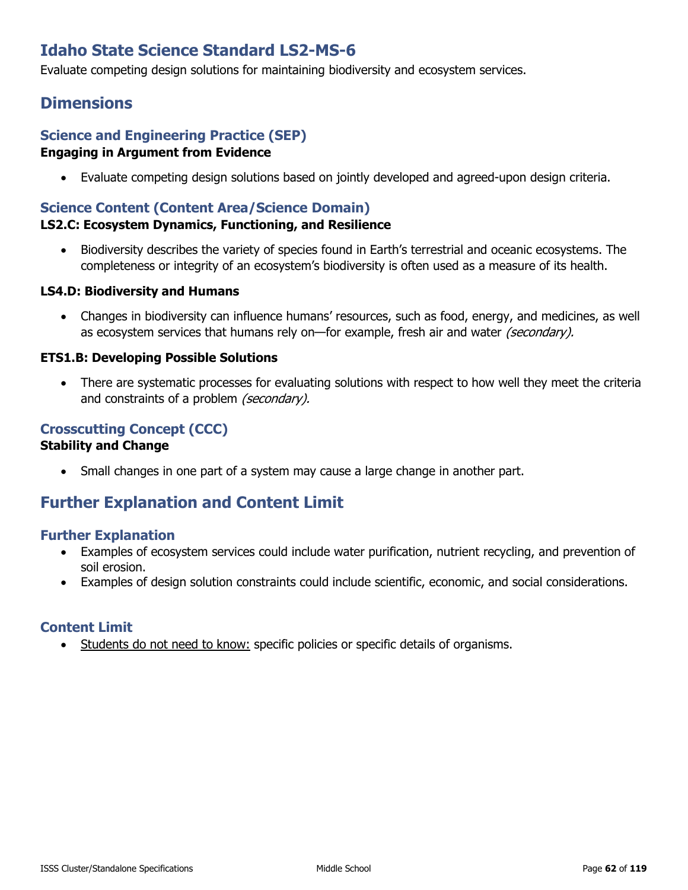# **Idaho State Science Standard LS2-MS-6**

Evaluate competing design solutions for maintaining biodiversity and ecosystem services.

## **Dimensions**

#### **Science and Engineering Practice (SEP) Engaging in Argument from Evidence**

• Evaluate competing design solutions based on jointly developed and agreed-upon design criteria.

### **Science Content (Content Area/Science Domain)**

#### **LS2.C: Ecosystem Dynamics, Functioning, and Resilience**

• Biodiversity describes the variety of species found in Earth's terrestrial and oceanic ecosystems. The completeness or integrity of an ecosystem's biodiversity is often used as a measure of its health.

#### **LS4.D: Biodiversity and Humans**

• Changes in biodiversity can influence humans' resources, such as food, energy, and medicines, as well as ecosystem services that humans rely on—for example, fresh air and water (secondary).

#### **ETS1.B: Developing Possible Solutions**

There are systematic processes for evaluating solutions with respect to how well they meet the criteria and constraints of a problem (secondary).

#### **Crosscutting Concept (CCC) Stability and Change**

• Small changes in one part of a system may cause a large change in another part.

## **Further Explanation and Content Limit**

#### **Further Explanation**

- Examples of ecosystem services could include water purification, nutrient recycling, and prevention of soil erosion.
- Examples of design solution constraints could include scientific, economic, and social considerations.

### **Content Limit**

• Students do not need to know: specific policies or specific details of organisms.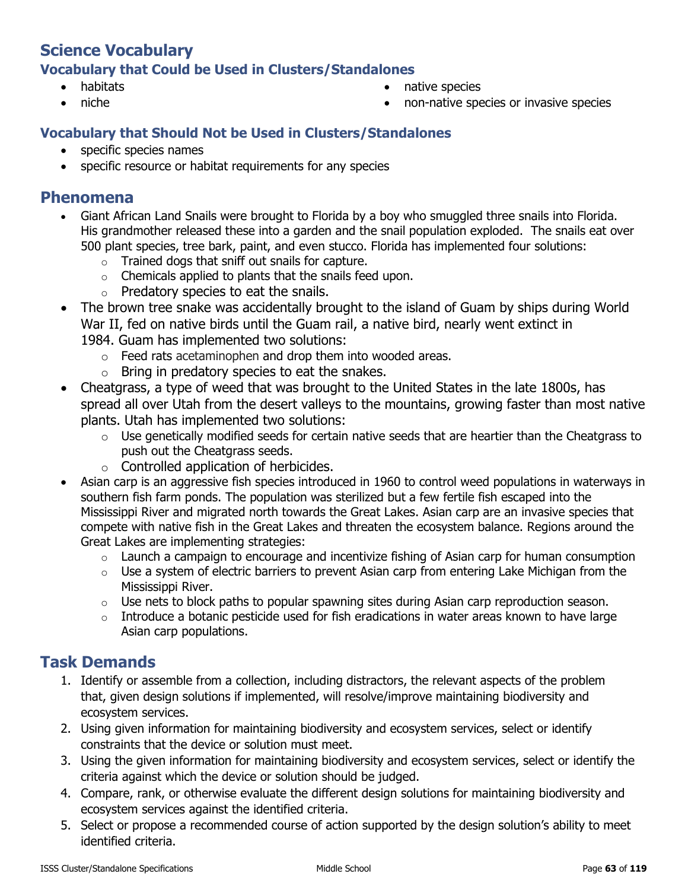## **Science Vocabulary Vocabulary that Could be Used in Clusters/Standalones**

- habitats
- niche
- native species
- non-native species or invasive species

### **Vocabulary that Should Not be Used in Clusters/Standalones**

- specific species names
- specific resource or habitat requirements for any species

### **Phenomena**

- Giant African Land Snails were brought to Florida by a boy who smuggled three snails into Florida. His grandmother released these into a garden and the snail population exploded. The snails eat over 500 plant species, tree bark, paint, and even stucco. Florida has implemented four solutions:
	- o Trained dogs that sniff out snails for capture.
	- $\circ$  Chemicals applied to plants that the snails feed upon.
	- $\circ$  Predatory species to eat the snails.
- The brown tree snake was accidentally brought to the island of Guam by ships during World War II, fed on native birds until the Guam rail, a native bird, nearly went extinct in 1984. Guam has implemented two solutions:
	- o Feed rats acetaminophen and drop them into wooded areas.
	- $\circ$  Bring in predatory species to eat the snakes.
- Cheatgrass, a type of weed that was brought to the United States in the late 1800s, has spread all over Utah from the desert valleys to the mountains, growing faster than most native plants. Utah has implemented two solutions:
	- o Use genetically modified seeds for certain native seeds that are heartier than the Cheatgrass to push out the Cheatgrass seeds.
	- o Controlled application of herbicides.
- Asian carp is an aggressive fish species introduced in 1960 to control weed populations in waterways in southern fish farm ponds. The population was sterilized but a few fertile fish escaped into the Mississippi River and migrated north towards the Great Lakes. Asian carp are an invasive species that compete with native fish in the Great Lakes and threaten the ecosystem balance. Regions around the Great Lakes are implementing strategies:
	- $\circ$  Launch a campaign to encourage and incentivize fishing of Asian carp for human consumption
	- $\circ$  Use a system of electric barriers to prevent Asian carp from entering Lake Michigan from the Mississippi River.
	- $\circ$  Use nets to block paths to popular spawning sites during Asian carp reproduction season.
	- $\circ$  Introduce a botanic pesticide used for fish eradications in water areas known to have large Asian carp populations.

- 1. Identify or assemble from a collection, including distractors, the relevant aspects of the problem that, given design solutions if implemented, will resolve/improve maintaining biodiversity and ecosystem services.
- 2. Using given information for maintaining biodiversity and ecosystem services, select or identify constraints that the device or solution must meet.
- 3. Using the given information for maintaining biodiversity and ecosystem services, select or identify the criteria against which the device or solution should be judged.
- 4. Compare, rank, or otherwise evaluate the different design solutions for maintaining biodiversity and ecosystem services against the identified criteria.
- 5. Select or propose a recommended course of action supported by the design solution's ability to meet identified criteria.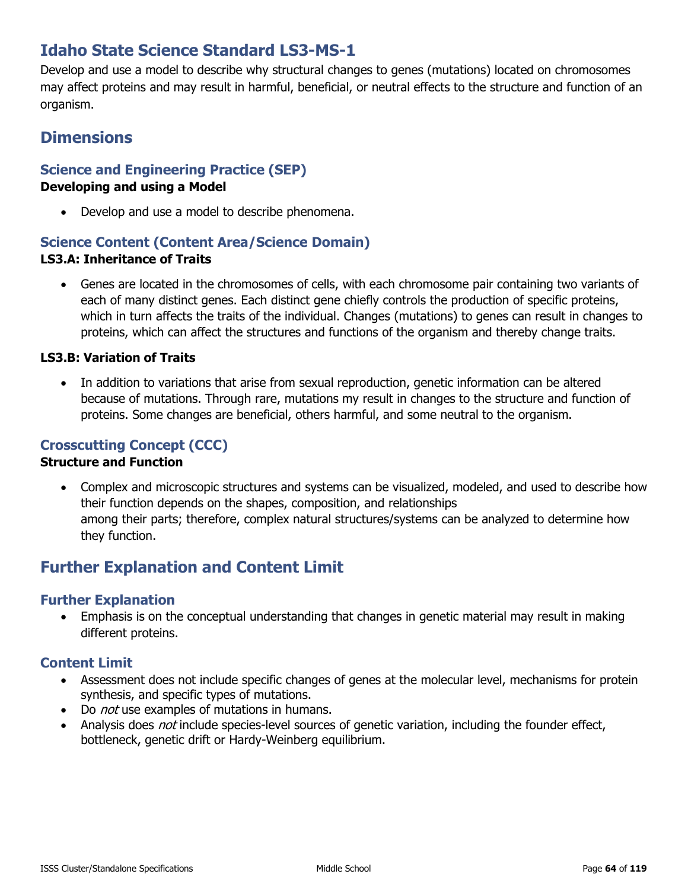# **Idaho State Science Standard LS3-MS-1**

Develop and use a model to describe why structural changes to genes (mutations) located on chromosomes may affect proteins and may result in harmful, beneficial, or neutral effects to the structure and function of an organism.

## **Dimensions**

#### **Science and Engineering Practice (SEP) Developing and using a Model**

• Develop and use a model to describe phenomena.

### **Science Content (Content Area/Science Domain) LS3.A: Inheritance of Traits**

• Genes are located in the chromosomes of cells, with each chromosome pair containing two variants of each of many distinct genes. Each distinct gene chiefly controls the production of specific proteins, which in turn affects the traits of the individual. Changes (mutations) to genes can result in changes to proteins, which can affect the structures and functions of the organism and thereby change traits.

#### **LS3.B: Variation of Traits**

In addition to variations that arise from sexual reproduction, genetic information can be altered because of mutations. Through rare, mutations my result in changes to the structure and function of proteins. Some changes are beneficial, others harmful, and some neutral to the organism.

### **Crosscutting Concept (CCC)**

#### **Structure and Function**

• Complex and microscopic structures and systems can be visualized, modeled, and used to describe how their function depends on the shapes, composition, and relationships among their parts; therefore, complex natural structures/systems can be analyzed to determine how they function.

## **Further Explanation and Content Limit**

#### **Further Explanation**

• Emphasis is on the conceptual understanding that changes in genetic material may result in making different proteins.

- Assessment does not include specific changes of genes at the molecular level, mechanisms for protein synthesis, and specific types of mutations.
- Do *not* use examples of mutations in humans.
- Analysis does *not* include species-level sources of genetic variation, including the founder effect, bottleneck, genetic drift or Hardy-Weinberg equilibrium.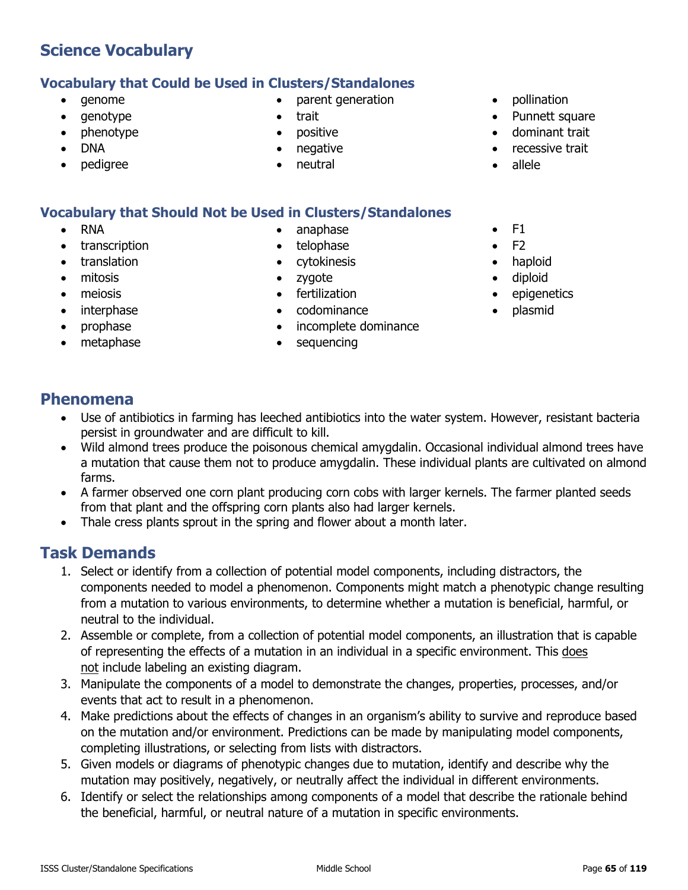## **Vocabulary that Could be Used in Clusters/Standalones**

- genome
- genotype
- phenotype
- DNA
- pedigree
- parent generation
- trait
- positive
- negative
- neutral

## **Vocabulary that Should Not be Used in Clusters/Standalones**

- RNA
- transcription
- translation
- mitosis
- meiosis
- interphase
- prophase
- metaphase
- anaphase
- telophase
- cytokinesis
- zygote
- fertilization
- codominance
- incomplete dominance
- sequencing
- pollination
- Punnett square
- dominant trait
- recessive trait
- allele
- $\bullet$  F1
- $\bullet$  F<sub>2</sub>
- haploid
- diploid
- epigenetics
- plasmid

## **Phenomena**

- Use of antibiotics in farming has leeched antibiotics into the water system. However, resistant bacteria persist in groundwater and are difficult to kill.
- Wild almond trees produce the poisonous chemical amygdalin. Occasional individual almond trees have a mutation that cause them not to produce amygdalin. These individual plants are cultivated on almond farms.
- A farmer observed one corn plant producing corn cobs with larger kernels. The farmer planted seeds from that plant and the offspring corn plants also had larger kernels.
- Thale cress plants sprout in the spring and flower about a month later.

- 1. Select or identify from a collection of potential model components, including distractors, the components needed to model a phenomenon. Components might match a phenotypic change resulting from a mutation to various environments, to determine whether a mutation is beneficial, harmful, or neutral to the individual.
- 2. Assemble or complete, from a collection of potential model components, an illustration that is capable of representing the effects of a mutation in an individual in a specific environment. This does not include labeling an existing diagram.
- 3. Manipulate the components of a model to demonstrate the changes, properties, processes, and/or events that act to result in a phenomenon.
- 4. Make predictions about the effects of changes in an organism's ability to survive and reproduce based on the mutation and/or environment. Predictions can be made by manipulating model components, completing illustrations, or selecting from lists with distractors.
- 5. Given models or diagrams of phenotypic changes due to mutation, identify and describe why the mutation may positively, negatively, or neutrally affect the individual in different environments.
- 6. Identify or select the relationships among components of a model that describe the rationale behind the beneficial, harmful, or neutral nature of a mutation in specific environments.
- 
-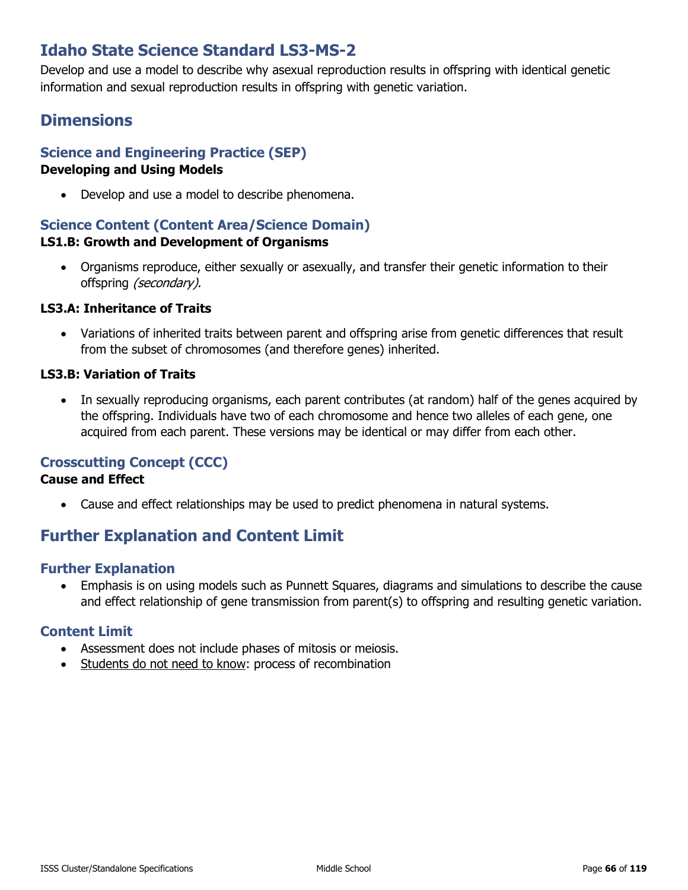# **Idaho State Science Standard LS3-MS-2**

Develop and use a model to describe why asexual reproduction results in offspring with identical genetic information and sexual reproduction results in offspring with genetic variation.

# **Dimensions**

## **Science and Engineering Practice (SEP)**

#### **Developing and Using Models**

• Develop and use a model to describe phenomena.

#### **Science Content (Content Area/Science Domain) LS1.B: Growth and Development of Organisms**

• Organisms reproduce, either sexually or asexually, and transfer their genetic information to their offspring (secondary).

#### **LS3.A: Inheritance of Traits**

• Variations of inherited traits between parent and offspring arise from genetic differences that result from the subset of chromosomes (and therefore genes) inherited.

#### **LS3.B: Variation of Traits**

• In sexually reproducing organisms, each parent contributes (at random) half of the genes acquired by the offspring. Individuals have two of each chromosome and hence two alleles of each gene, one acquired from each parent. These versions may be identical or may differ from each other.

### **Crosscutting Concept (CCC)**

#### **Cause and Effect**

• Cause and effect relationships may be used to predict phenomena in natural systems.

# **Further Explanation and Content Limit**

#### **Further Explanation**

• Emphasis is on using models such as Punnett Squares, diagrams and simulations to describe the cause and effect relationship of gene transmission from parent(s) to offspring and resulting genetic variation.

- Assessment does not include phases of mitosis or meiosis.
- Students do not need to know: process of recombination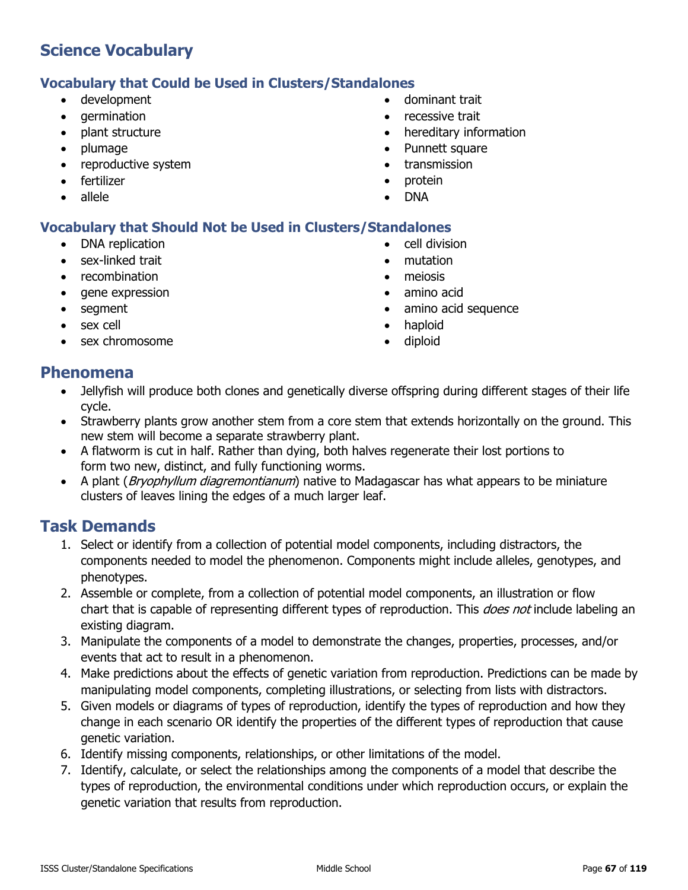### **Vocabulary that Could be Used in Clusters/Standalones**

- development
- germination
- plant structure
- plumage
- reproductive system
- fertilizer
- allele
- dominant trait
- recessive trait
- hereditary information
- Punnett square
- transmission
- protein
- DNA

### **Vocabulary that Should Not be Used in Clusters/Standalones**

- DNA replication
- sex-linked trait
- recombination
- gene expression
- segment
- sex cell
- sex chromosome
- cell division
- mutation
- meiosis
- amino acid
- amino acid sequence
- haploid
- diploid

### **Phenomena**

- Jellyfish will produce both clones and genetically diverse offspring during different stages of their life cycle.
- Strawberry plants grow another stem from a core stem that extends horizontally on the ground. This new stem will become a separate strawberry plant.
- A flatworm is cut in half. Rather than dying, both halves regenerate their lost portions to form two new, distinct, and fully functioning worms.
- A plant (Bryophyllum diagremontianum) native to Madagascar has what appears to be miniature clusters of leaves lining the edges of a much larger leaf.

- 1. Select or identify from a collection of potential model components, including distractors, the components needed to model the phenomenon. Components might include alleles, genotypes, and phenotypes.
- 2. Assemble or complete, from a collection of potential model components, an illustration or flow chart that is capable of representing different types of reproduction. This *does not* include labeling an existing diagram.
- 3. Manipulate the components of a model to demonstrate the changes, properties, processes, and/or events that act to result in a phenomenon.
- 4. Make predictions about the effects of genetic variation from reproduction. Predictions can be made by manipulating model components, completing illustrations, or selecting from lists with distractors.
- 5. Given models or diagrams of types of reproduction, identify the types of reproduction and how they change in each scenario OR identify the properties of the different types of reproduction that cause genetic variation.
- 6. Identify missing components, relationships, or other limitations of the model.
- 7. Identify, calculate, or select the relationships among the components of a model that describe the types of reproduction, the environmental conditions under which reproduction occurs, or explain the genetic variation that results from reproduction.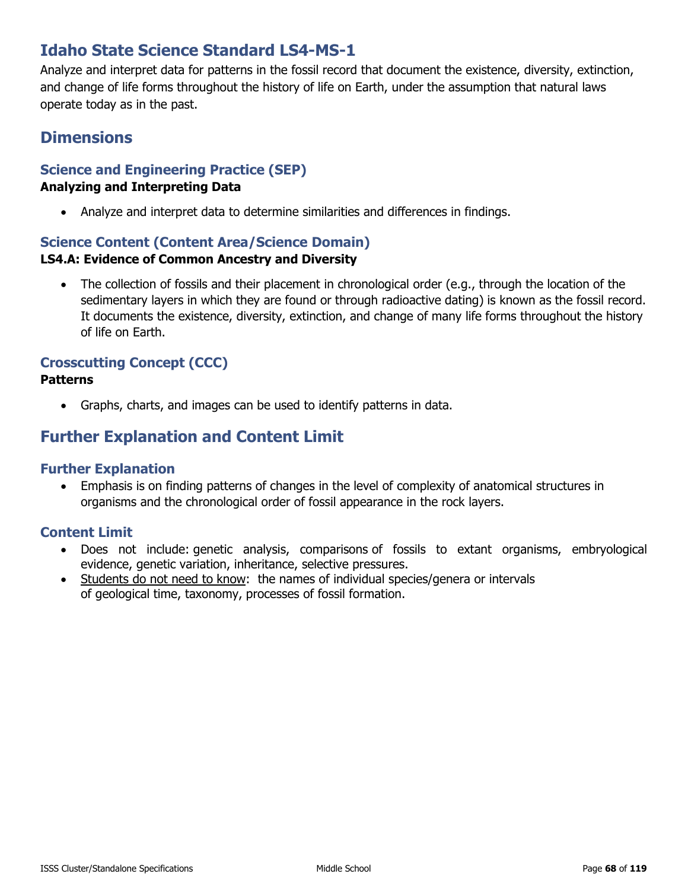# **Idaho State Science Standard LS4-MS-1**

Analyze and interpret data for patterns in the fossil record that document the existence, diversity, extinction, and change of life forms throughout the history of life on Earth, under the assumption that natural laws operate today as in the past.

## **Dimensions**

### **Science and Engineering Practice (SEP) Analyzing and Interpreting Data**

• Analyze and interpret data to determine similarities and differences in findings.

### **Science Content (Content Area/Science Domain)**

#### **LS4.A: Evidence of Common Ancestry and Diversity**

The collection of fossils and their placement in chronological order (e.g., through the location of the sedimentary layers in which they are found or through radioactive dating) is known as the fossil record. It documents the existence, diversity, extinction, and change of many life forms throughout the history of life on Earth.

### **Crosscutting Concept (CCC)**

#### **Patterns**

• Graphs, charts, and images can be used to identify patterns in data.

## **Further Explanation and Content Limit**

#### **Further Explanation**

• Emphasis is on finding patterns of changes in the level of complexity of anatomical structures in organisms and the chronological order of fossil appearance in the rock layers.

- Does not include: genetic analysis, comparisons of fossils to extant organisms, embryological evidence, genetic variation, inheritance, selective pressures.
- Students do not need to know: the names of individual species/genera or intervals of geological time, taxonomy, processes of fossil formation.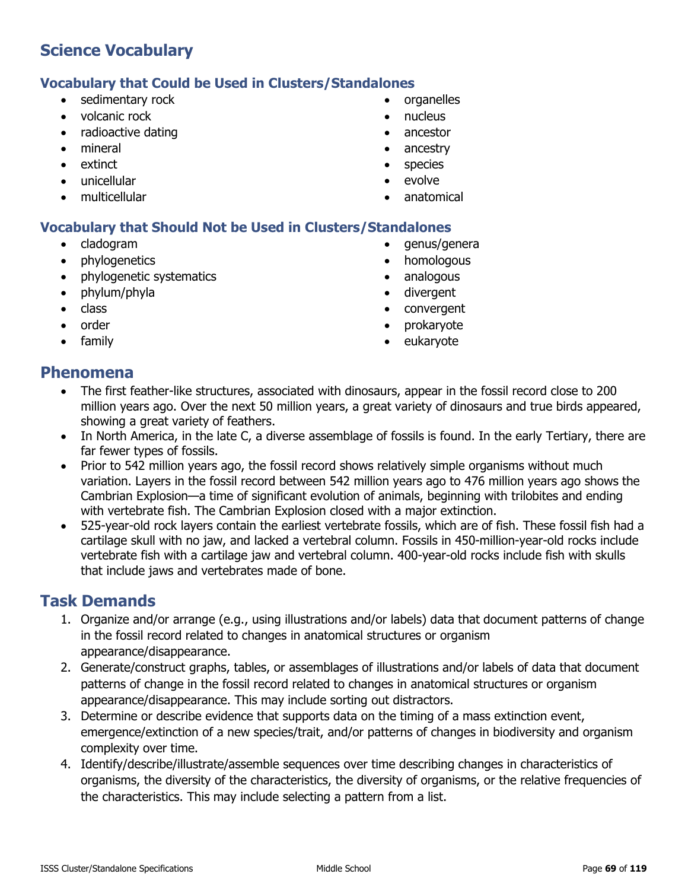### **Vocabulary that Could be Used in Clusters/Standalones**

- sedimentary rock
- volcanic rock
- radioactive dating
- mineral
- extinct
- unicellular
- multicellular
- organelles
- nucleus
- ancestor
- ancestry
- species
- evolve
- anatomical

### **Vocabulary that Should Not be Used in Clusters/Standalones**

- cladogram
- phylogenetics
- phylogenetic systematics
- phylum/phyla
- class
- order
- family
- genus/genera
- homologous
- analogous
- divergent
- convergent
- prokaryote
- eukaryote

### **Phenomena**

- The first feather-like structures, associated with dinosaurs, appear in the fossil record close to 200 million years ago. Over the next 50 million years, a great variety of dinosaurs and true birds appeared, showing a great variety of feathers.
- In North America, in the late C, a diverse assemblage of fossils is found. In the early Tertiary, there are far fewer types of fossils.
- Prior to 542 million years ago, the fossil record shows relatively simple organisms without much variation. Layers in the fossil record between 542 million years ago to 476 million years ago shows the Cambrian Explosion—a time of significant evolution of animals, beginning with trilobites and ending with vertebrate fish. The Cambrian Explosion closed with a major extinction.
- 525-year-old rock layers contain the earliest vertebrate fossils, which are of fish. These fossil fish had a cartilage skull with no jaw, and lacked a vertebral column. Fossils in 450-million-year-old rocks include vertebrate fish with a cartilage jaw and vertebral column. 400-year-old rocks include fish with skulls that include jaws and vertebrates made of bone.

- 1. Organize and/or arrange (e.g., using illustrations and/or labels) data that document patterns of change in the fossil record related to changes in anatomical structures or organism appearance/disappearance.
- 2. Generate/construct graphs, tables, or assemblages of illustrations and/or labels of data that document patterns of change in the fossil record related to changes in anatomical structures or organism appearance/disappearance. This may include sorting out distractors.
- 3. Determine or describe evidence that supports data on the timing of a mass extinction event, emergence/extinction of a new species/trait, and/or patterns of changes in biodiversity and organism complexity over time.
- 4. Identify/describe/illustrate/assemble sequences over time describing changes in characteristics of organisms, the diversity of the characteristics, the diversity of organisms, or the relative frequencies of the characteristics. This may include selecting a pattern from a list.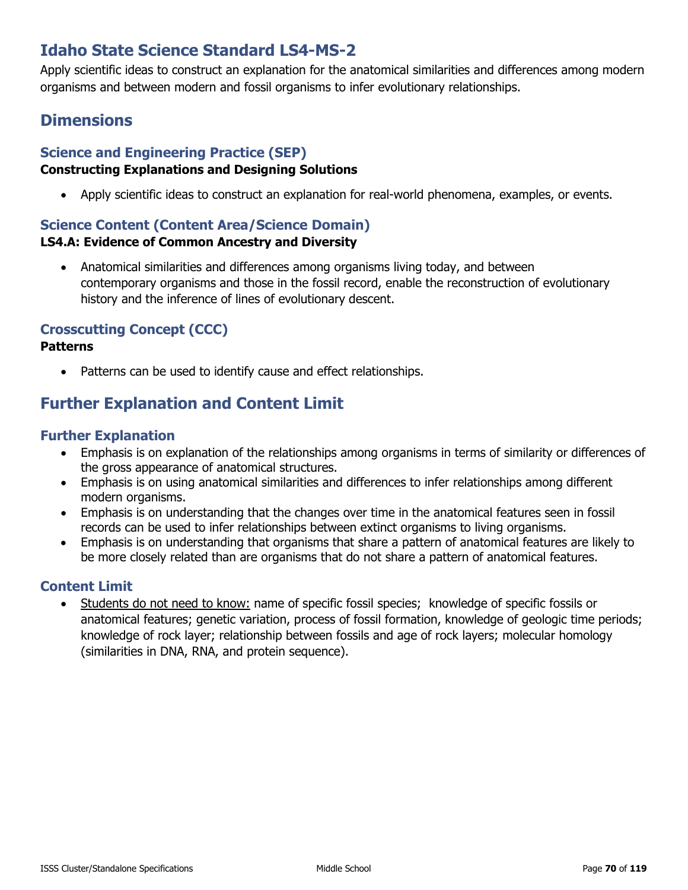# **Idaho State Science Standard LS4-MS-2**

Apply scientific ideas to construct an explanation for the anatomical similarities and differences among modern organisms and between modern and fossil organisms to infer evolutionary relationships.

# **Dimensions**

## **Science and Engineering Practice (SEP)**

### **Constructing Explanations and Designing Solutions**

• Apply scientific ideas to construct an explanation for real-world phenomena, examples, or events.

### **Science Content (Content Area/Science Domain) LS4.A: Evidence of Common Ancestry and Diversity**

• Anatomical similarities and differences among organisms living today, and between contemporary organisms and those in the fossil record, enable the reconstruction of evolutionary history and the inference of lines of evolutionary descent.

### **Crosscutting Concept (CCC)**

#### **Patterns**

Patterns can be used to identify cause and effect relationships.

# **Further Explanation and Content Limit**

### **Further Explanation**

- Emphasis is on explanation of the relationships among organisms in terms of similarity or differences of the gross appearance of anatomical structures.
- Emphasis is on using anatomical similarities and differences to infer relationships among different modern organisms.
- Emphasis is on understanding that the changes over time in the anatomical features seen in fossil records can be used to infer relationships between extinct organisms to living organisms.
- Emphasis is on understanding that organisms that share a pattern of anatomical features are likely to be more closely related than are organisms that do not share a pattern of anatomical features.

### **Content Limit**

• Students do not need to know: name of specific fossil species; knowledge of specific fossils or anatomical features; genetic variation, process of fossil formation, knowledge of geologic time periods; knowledge of rock layer; relationship between fossils and age of rock layers; molecular homology (similarities in DNA, RNA, and protein sequence).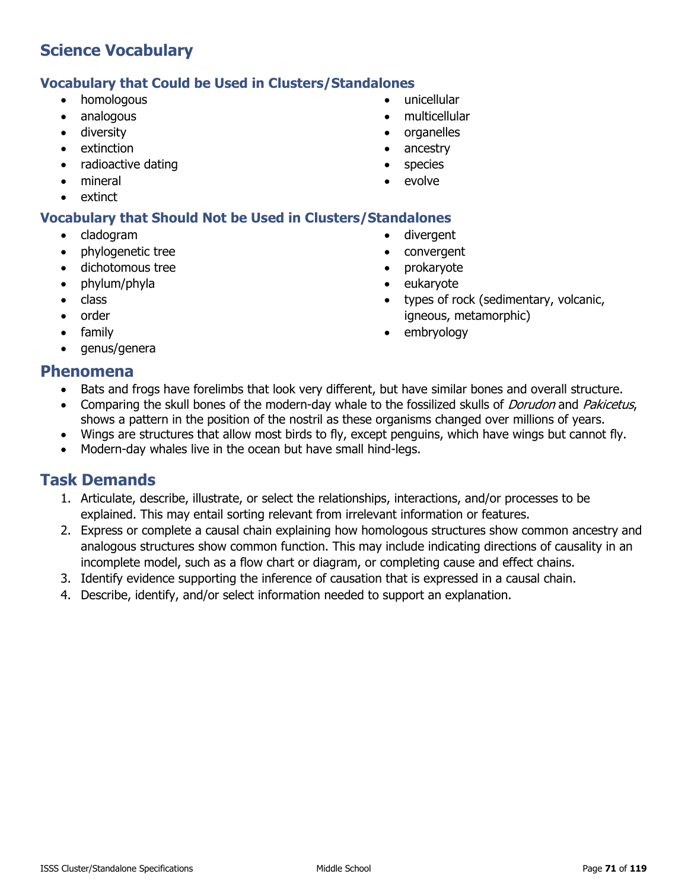### **Vocabulary that Could be Used in Clusters/Standalones**

- homologous
- analogous
- diversity
- extinction
- radioactive dating
- mineral
- extinct

### **Vocabulary that Should Not be Used in Clusters/Standalones**

- cladogram
- phylogenetic tree
- dichotomous tree
- phylum/phyla
- class
- order
- family
- genus/genera
- unicellular
- multicellular
- organelles
- ancestry
- species
- evolve
- divergent
- convergent
- prokaryote
- eukaryote
- types of rock (sedimentary, volcanic, igneous, metamorphic)
- embryology

### **Phenomena**

- Bats and frogs have forelimbs that look very different, but have similar bones and overall structure.
- Comparing the skull bones of the modern-day whale to the fossilized skulls of *Dorudon* and *Pakicetus*, shows a pattern in the position of the nostril as these organisms changed over millions of years.
- Wings are structures that allow most birds to fly, except penguins, which have wings but cannot fly.
- Modern-day whales live in the ocean but have small hind-legs.

- 1. Articulate, describe, illustrate, or select the relationships, interactions, and/or processes to be explained. This may entail sorting relevant from irrelevant information or features.
- 2. Express or complete a causal chain explaining how homologous structures show common ancestry and analogous structures show common function. This may include indicating directions of causality in an incomplete model, such as a flow chart or diagram, or completing cause and effect chains.
- 3. Identify evidence supporting the inference of causation that is expressed in a causal chain.
- 4. Describe, identify, and/or select information needed to support an explanation.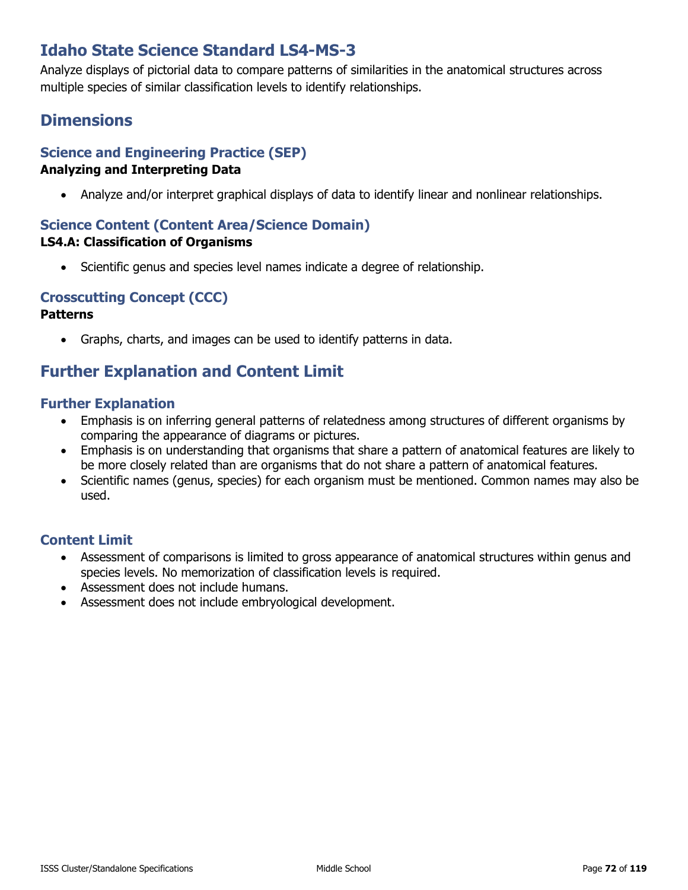# **Idaho State Science Standard LS4-MS-3**

Analyze displays of pictorial data to compare patterns of similarities in the anatomical structures across multiple species of similar classification levels to identify relationships.

# **Dimensions**

## **Science and Engineering Practice (SEP)**

### **Analyzing and Interpreting Data**

• Analyze and/or interpret graphical displays of data to identify linear and nonlinear relationships.

### **Science Content (Content Area/Science Domain)**

#### **LS4.A: Classification of Organisms**

• Scientific genus and species level names indicate a degree of relationship.

### **Crosscutting Concept (CCC)**

#### **Patterns**

• Graphs, charts, and images can be used to identify patterns in data.

## **Further Explanation and Content Limit**

### **Further Explanation**

- Emphasis is on inferring general patterns of relatedness among structures of different organisms by comparing the appearance of diagrams or pictures.
- Emphasis is on understanding that organisms that share a pattern of anatomical features are likely to be more closely related than are organisms that do not share a pattern of anatomical features.
- Scientific names (genus, species) for each organism must be mentioned. Common names may also be used.

- Assessment of comparisons is limited to gross appearance of anatomical structures within genus and species levels. No memorization of classification levels is required.
- Assessment does not include humans.
- Assessment does not include embryological development.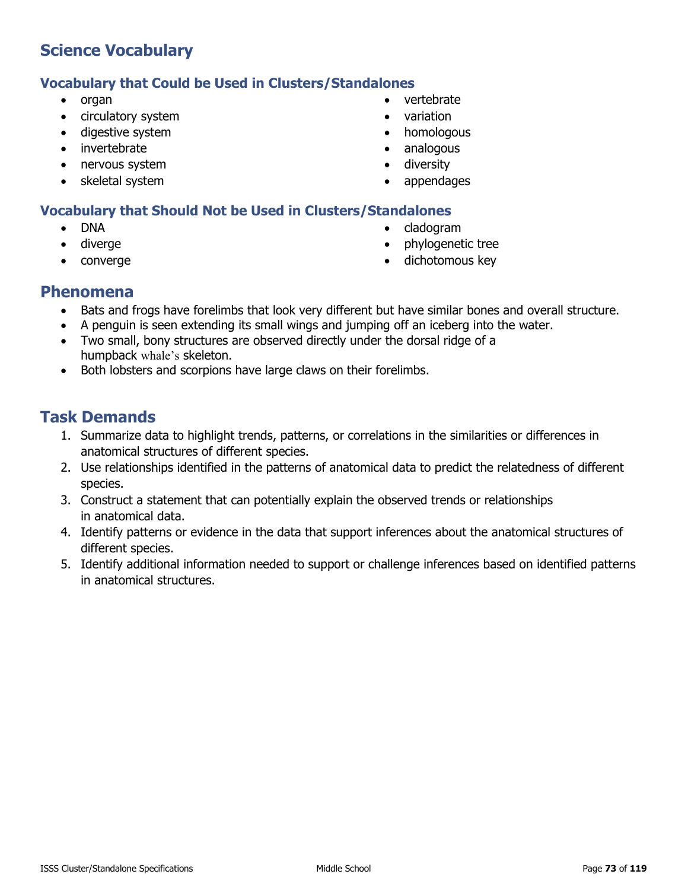#### **Vocabulary that Could be Used in Clusters/Standalones**

- organ
- circulatory system
- digestive system
- **invertebrate**
- nervous system
- skeletal system
- vertebrate
- variation
- homologous
- analogous
- diversity
- appendages

### **Vocabulary that Should Not be Used in Clusters/Standalones**

- DNA
- diverge
- converge
- cladogram
- phylogenetic tree
- dichotomous key

### **Phenomena**

- Bats and frogs have forelimbs that look very different but have similar bones and overall structure.
- A penguin is seen extending its small wings and jumping off an iceberg into the water.
- Two small, bony structures are observed directly under the dorsal ridge of a humpback whale's skeleton.
- Both lobsters and scorpions have large claws on their forelimbs.

- 1. Summarize data to highlight trends, patterns, or correlations in the similarities or differences in anatomical structures of different species.
- 2. Use relationships identified in the patterns of anatomical data to predict the relatedness of different species.
- 3. Construct a statement that can potentially explain the observed trends or relationships in anatomical data.
- 4. Identify patterns or evidence in the data that support inferences about the anatomical structures of different species.
- 5. Identify additional information needed to support or challenge inferences based on identified patterns in anatomical structures.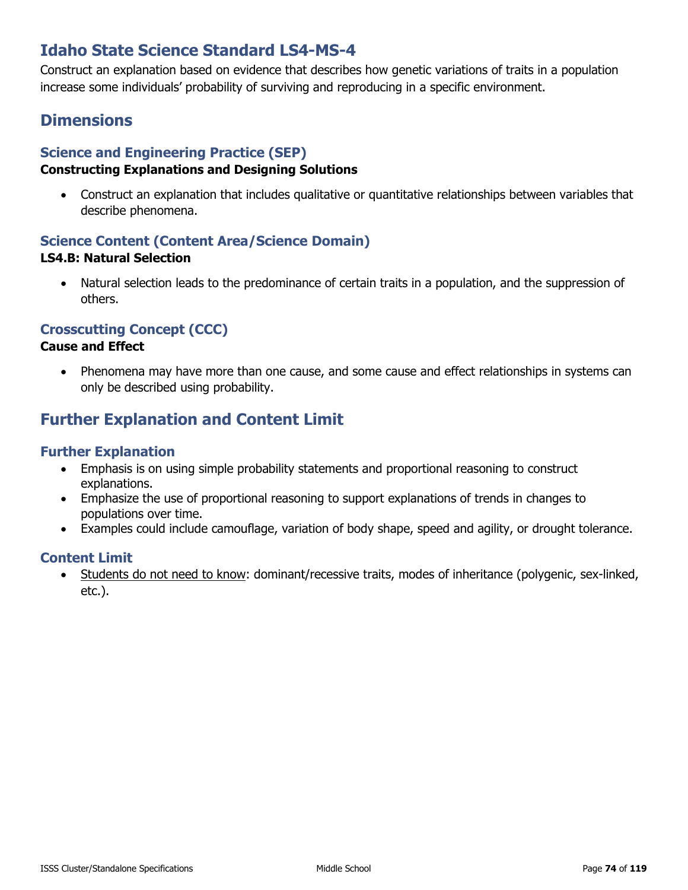# **Idaho State Science Standard LS4-MS-4**

Construct an explanation based on evidence that describes how genetic variations of traits in a population increase some individuals' probability of surviving and reproducing in a specific environment.

# **Dimensions**

### **Science and Engineering Practice (SEP)**

### **Constructing Explanations and Designing Solutions**

• Construct an explanation that includes qualitative or quantitative relationships between variables that describe phenomena.

### **Science Content (Content Area/Science Domain) LS4.B: Natural Selection**

• Natural selection leads to the predominance of certain traits in a population, and the suppression of others.

### **Crosscutting Concept (CCC)**

#### **Cause and Effect**

• Phenomena may have more than one cause, and some cause and effect relationships in systems can only be described using probability.

# **Further Explanation and Content Limit**

### **Further Explanation**

- Emphasis is on using simple probability statements and proportional reasoning to construct explanations.
- Emphasize the use of proportional reasoning to support explanations of trends in changes to populations over time.
- Examples could include camouflage, variation of body shape, speed and agility, or drought tolerance.

### **Content Limit**

• Students do not need to know: dominant/recessive traits, modes of inheritance (polygenic, sex-linked, etc.).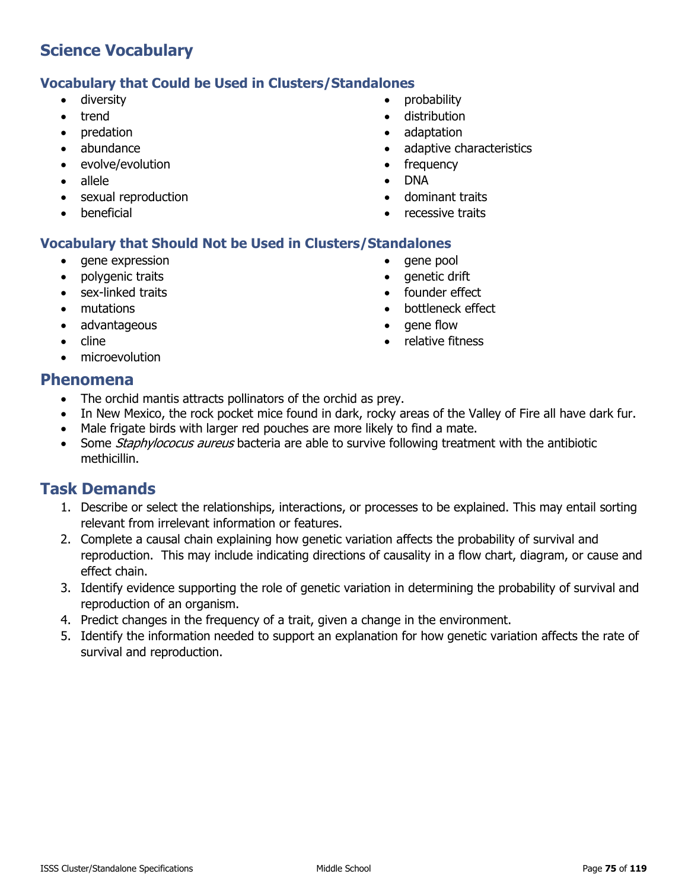### **Vocabulary that Could be Used in Clusters/Standalones**

- diversity
- trend
- predation
- abundance
- evolve/evolution
- allele
- sexual reproduction
- **beneficial**
- probability
- distribution
- adaptation
- adaptive characteristics
- frequency
- DNA
- dominant traits
- recessive traits

### **Vocabulary that Should Not be Used in Clusters/Standalones**

- gene expression
- polygenic traits
- sex-linked traits
- mutations
- advantageous
- cline
- microevolution
- gene pool
- aenetic drift
- founder effect
- bottleneck effect
- gene flow
- relative fitness

### **Phenomena**

- The orchid mantis attracts pollinators of the orchid as prey.
- In New Mexico, the rock pocket mice found in dark, rocky areas of the Valley of Fire all have dark fur.
- Male frigate birds with larger red pouches are more likely to find a mate.
- Some *Staphylococus aureus* bacteria are able to survive following treatment with the antibiotic methicillin.

- 1. Describe or select the relationships, interactions, or processes to be explained. This may entail sorting relevant from irrelevant information or features.
- 2. Complete a causal chain explaining how genetic variation affects the probability of survival and reproduction. This may include indicating directions of causality in a flow chart, diagram, or cause and effect chain.
- 3. Identify evidence supporting the role of genetic variation in determining the probability of survival and reproduction of an organism.
- 4. Predict changes in the frequency of a trait, given a change in the environment.
- 5. Identify the information needed to support an explanation for how genetic variation affects the rate of survival and reproduction.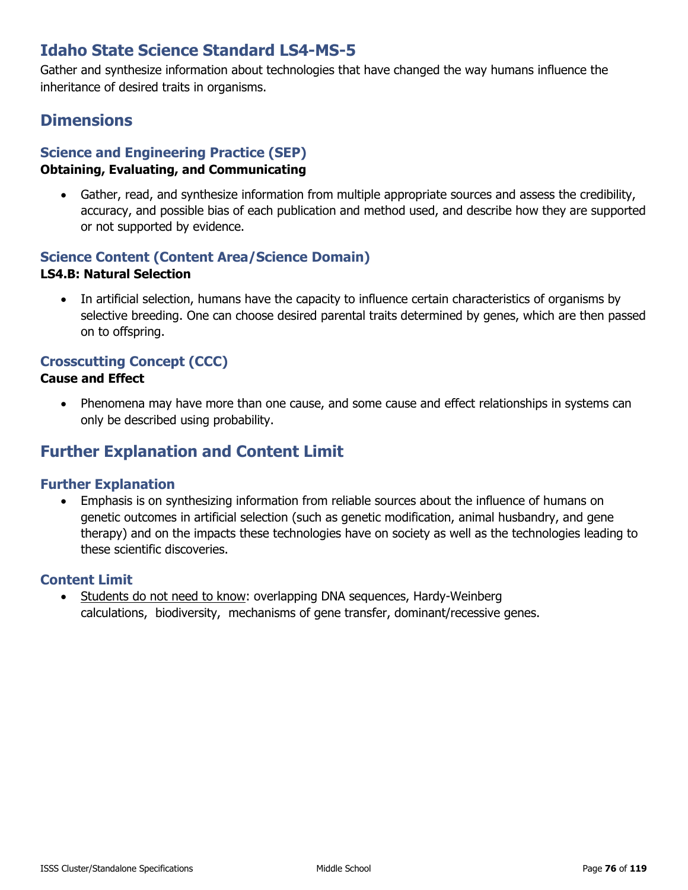# **Idaho State Science Standard LS4-MS-5**

Gather and synthesize information about technologies that have changed the way humans influence the inheritance of desired traits in organisms.

## **Dimensions**

### **Science and Engineering Practice (SEP)**

#### **Obtaining, Evaluating, and Communicating**

• Gather, read, and synthesize information from multiple appropriate sources and assess the credibility, accuracy, and possible bias of each publication and method used, and describe how they are supported or not supported by evidence.

### **Science Content (Content Area/Science Domain)**

#### **LS4.B: Natural Selection**

• In artificial selection, humans have the capacity to influence certain characteristics of organisms by selective breeding. One can choose desired parental traits determined by genes, which are then passed on to offspring.

### **Crosscutting Concept (CCC)**

#### **Cause and Effect**

• Phenomena may have more than one cause, and some cause and effect relationships in systems can only be described using probability.

### **Further Explanation and Content Limit**

### **Further Explanation**

• Emphasis is on synthesizing information from reliable sources about the influence of humans on genetic outcomes in artificial selection (such as genetic modification, animal husbandry, and gene therapy) and on the impacts these technologies have on society as well as the technologies leading to these scientific discoveries.

### **Content Limit**

• Students do not need to know: overlapping DNA sequences, Hardy-Weinberg calculations, biodiversity, mechanisms of gene transfer, dominant/recessive genes.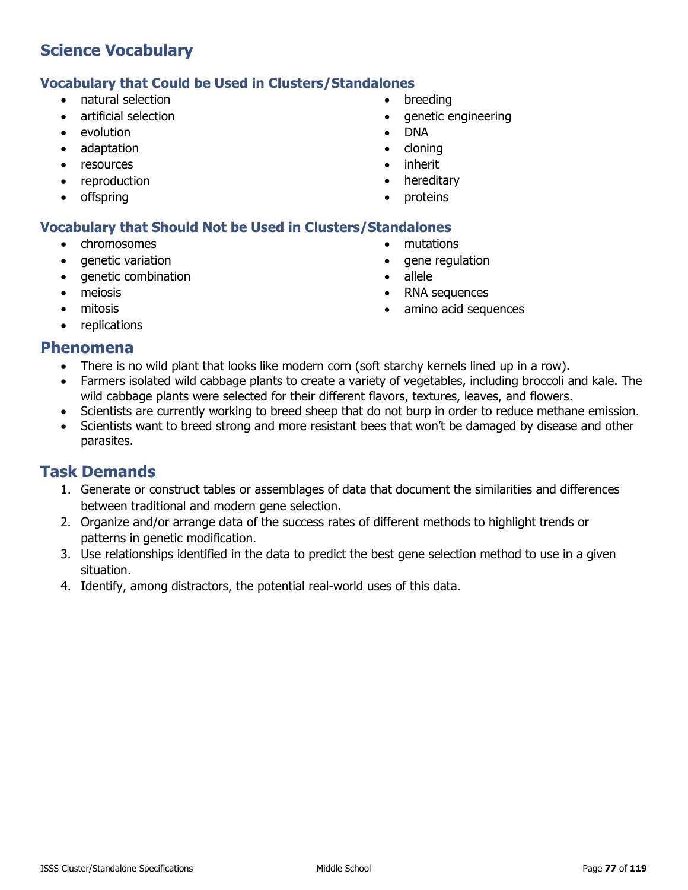### **Vocabulary that Could be Used in Clusters/Standalones**

- natural selection
- artificial selection
- evolution
- adaptation
- resources
- reproduction
- offspring
- **breeding**
- genetic engineering
- DNA
- cloning
- inherit
- hereditary

• mutations

• allele

• gene regulation

• RNA sequences

amino acid sequences

**proteins** 

### **Vocabulary that Should Not be Used in Clusters/Standalones**

- chromosomes
- genetic variation
- genetic combination
- meiosis
- mitosis
- replications

### **Phenomena**

- There is no wild plant that looks like modern corn (soft starchy kernels lined up in a row).
- Farmers isolated wild cabbage plants to create a variety of vegetables, including broccoli and kale. The wild cabbage plants were selected for their different flavors, textures, leaves, and flowers.
- Scientists are currently working to breed sheep that do not burp in order to reduce methane emission.
- Scientists want to breed strong and more resistant bees that won't be damaged by disease and other parasites.

- 1. Generate or construct tables or assemblages of data that document the similarities and differences between traditional and modern gene selection.
- 2. Organize and/or arrange data of the success rates of different methods to highlight trends or patterns in genetic modification.
- 3. Use relationships identified in the data to predict the best gene selection method to use in a given situation.
- 4. Identify, among distractors, the potential real-world uses of this data.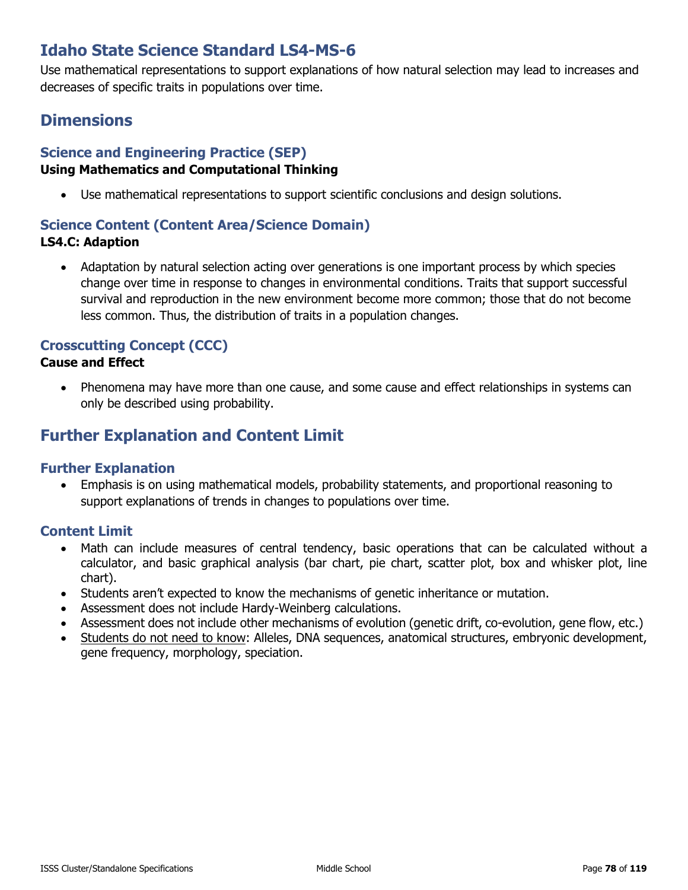# **Idaho State Science Standard LS4-MS-6**

Use mathematical representations to support explanations of how natural selection may lead to increases and decreases of specific traits in populations over time.

# **Dimensions**

### **Science and Engineering Practice (SEP)**

### **Using Mathematics and Computational Thinking**

• Use mathematical representations to support scientific conclusions and design solutions.

### **Science Content (Content Area/Science Domain) LS4.C: Adaption**

• Adaptation by natural selection acting over generations is one important process by which species change over time in response to changes in environmental conditions. Traits that support successful survival and reproduction in the new environment become more common; those that do not become less common. Thus, the distribution of traits in a population changes.

### **Crosscutting Concept (CCC)**

### **Cause and Effect**

• Phenomena may have more than one cause, and some cause and effect relationships in systems can only be described using probability.

# **Further Explanation and Content Limit**

### **Further Explanation**

• Emphasis is on using mathematical models, probability statements, and proportional reasoning to support explanations of trends in changes to populations over time.

- Math can include measures of central tendency, basic operations that can be calculated without a calculator, and basic graphical analysis (bar chart, pie chart, scatter plot, box and whisker plot, line chart).
- Students aren't expected to know the mechanisms of genetic inheritance or mutation.
- Assessment does not include Hardy-Weinberg calculations.
- Assessment does not include other mechanisms of evolution (genetic drift, co-evolution, gene flow, etc.)
- Students do not need to know: Alleles, DNA sequences, anatomical structures, embryonic development, gene frequency, morphology, speciation.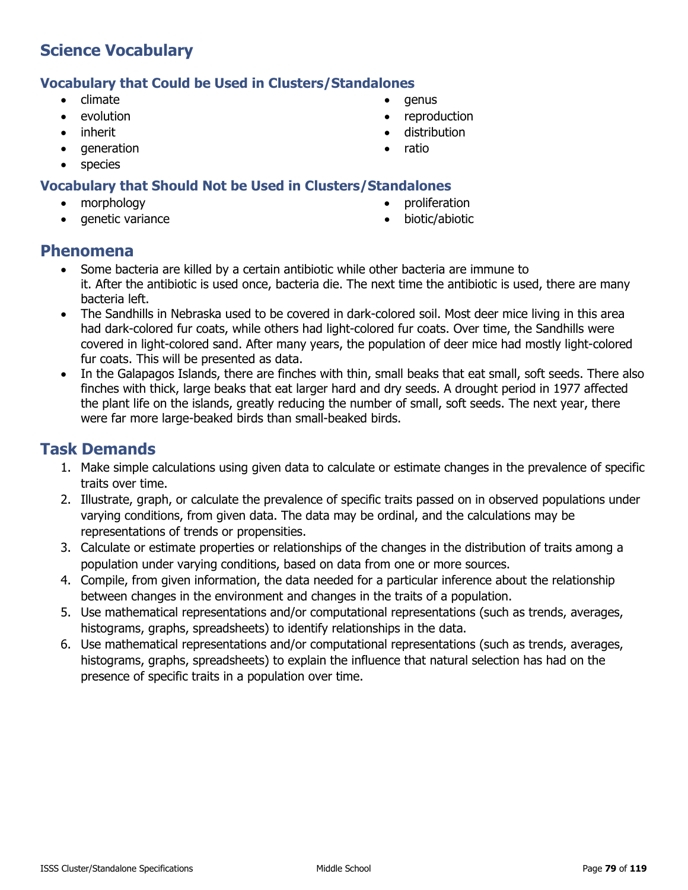### **Vocabulary that Could be Used in Clusters/Standalones**

- climate
- evolution
- inherit
- generation
- species

### **Vocabulary that Should Not be Used in Clusters/Standalones**

- morphology
- genetic variance
- genus
- reproduction
- distribution
- ratio
- 
- 
- 
- proliferation
- biotic/abiotic

### **Phenomena**

- Some bacteria are killed by a certain antibiotic while other bacteria are immune to it. After the antibiotic is used once, bacteria die. The next time the antibiotic is used, there are many bacteria left.
- The Sandhills in Nebraska used to be covered in dark-colored soil. Most deer mice living in this area had dark-colored fur coats, while others had light-colored fur coats. Over time, the Sandhills were covered in light-colored sand. After many years, the population of deer mice had mostly light-colored fur coats. This will be presented as data.
- In the Galapagos Islands, there are finches with thin, small beaks that eat small, soft seeds. There also finches with thick, large beaks that eat larger hard and dry seeds. A drought period in 1977 affected the plant life on the islands, greatly reducing the number of small, soft seeds. The next year, there were far more large-beaked birds than small-beaked birds.

- 1. Make simple calculations using given data to calculate or estimate changes in the prevalence of specific traits over time.
- 2. Illustrate, graph, or calculate the prevalence of specific traits passed on in observed populations under varying conditions, from given data. The data may be ordinal, and the calculations may be representations of trends or propensities.
- 3. Calculate or estimate properties or relationships of the changes in the distribution of traits among a population under varying conditions, based on data from one or more sources.
- 4. Compile, from given information, the data needed for a particular inference about the relationship between changes in the environment and changes in the traits of a population.
- 5. Use mathematical representations and/or computational representations (such as trends, averages, histograms, graphs, spreadsheets) to identify relationships in the data.
- 6. Use mathematical representations and/or computational representations (such as trends, averages, histograms, graphs, spreadsheets) to explain the influence that natural selection has had on the presence of specific traits in a population over time.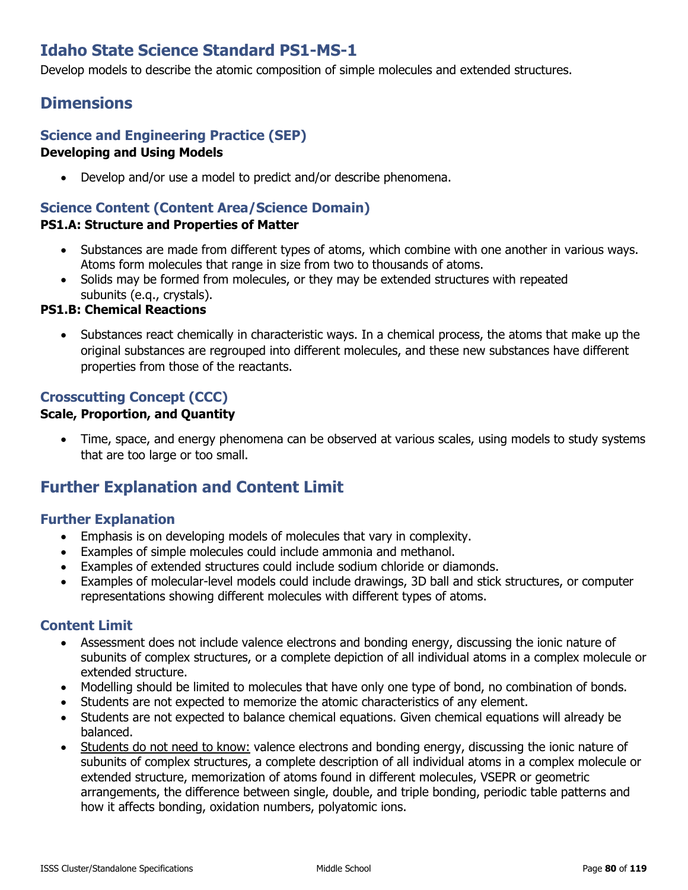# **Idaho State Science Standard PS1-MS-1**

Develop models to describe the atomic composition of simple molecules and extended structures.

### **Dimensions**

#### **Science and Engineering Practice (SEP) Developing and Using Models**

• Develop and/or use a model to predict and/or describe phenomena.

### **Science Content (Content Area/Science Domain)**

#### **PS1.A: Structure and Properties of Matter**

- Substances are made from different types of atoms, which combine with one another in various ways. Atoms form molecules that range in size from two to thousands of atoms.
- Solids may be formed from molecules, or they may be extended structures with repeated subunits (e.q., crystals).

#### **PS1.B: Chemical Reactions**

• Substances react chemically in characteristic ways. In a chemical process, the atoms that make up the original substances are regrouped into different molecules, and these new substances have different properties from those of the reactants.

### **Crosscutting Concept (CCC)**

### **Scale, Proportion, and Quantity**

• Time, space, and energy phenomena can be observed at various scales, using models to study systems that are too large or too small.

### **Further Explanation and Content Limit**

#### **Further Explanation**

- Emphasis is on developing models of molecules that vary in complexity.
- Examples of simple molecules could include ammonia and methanol.
- Examples of extended structures could include sodium chloride or diamonds.
- Examples of molecular-level models could include drawings, 3D ball and stick structures, or computer representations showing different molecules with different types of atoms.

- Assessment does not include valence electrons and bonding energy, discussing the ionic nature of subunits of complex structures, or a complete depiction of all individual atoms in a complex molecule or extended structure.
- Modelling should be limited to molecules that have only one type of bond, no combination of bonds.
- Students are not expected to memorize the atomic characteristics of any element.
- Students are not expected to balance chemical equations. Given chemical equations will already be balanced.
- Students do not need to know: valence electrons and bonding energy, discussing the ionic nature of subunits of complex structures, a complete description of all individual atoms in a complex molecule or extended structure, memorization of atoms found in different molecules, VSEPR or geometric arrangements, the difference between single, double, and triple bonding, periodic table patterns and how it affects bonding, oxidation numbers, polyatomic ions.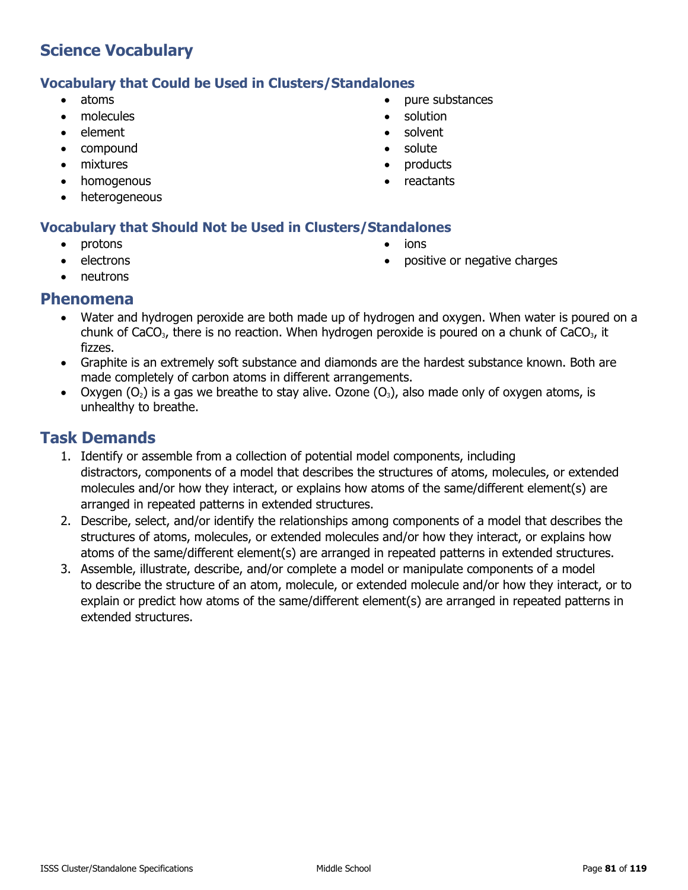### **Vocabulary that Could be Used in Clusters/Standalones**

- atoms
- molecules
- element
- compound
- mixtures
- homogenous
- heterogeneous

### **Vocabulary that Should Not be Used in Clusters/Standalones**

- protons
- **electrons**
- neutrons
- 
- 
- pure substances • solution
- solvent
- solute
- products
- **reactants**
- ions
- positive or negative charges

- **Phenomena**
	- Water and hydrogen peroxide are both made up of hydrogen and oxygen. When water is poured on a chunk of CaCO<sub>3</sub>, there is no reaction. When hydrogen peroxide is poured on a chunk of CaCO<sub>3</sub>, it fizzes.
	- Graphite is an extremely soft substance and diamonds are the hardest substance known. Both are made completely of carbon atoms in different arrangements.
	- Oxygen  $(O_2)$  is a gas we breathe to stay alive. Ozone  $(O_3)$ , also made only of oxygen atoms, is unhealthy to breathe.

- 1. Identify or assemble from a collection of potential model components, including distractors, components of a model that describes the structures of atoms, molecules, or extended molecules and/or how they interact, or explains how atoms of the same/different element(s) are arranged in repeated patterns in extended structures.
- 2. Describe, select, and/or identify the relationships among components of a model that describes the structures of atoms, molecules, or extended molecules and/or how they interact, or explains how atoms of the same/different element(s) are arranged in repeated patterns in extended structures.
- 3. Assemble, illustrate, describe, and/or complete a model or manipulate components of a model to describe the structure of an atom, molecule, or extended molecule and/or how they interact, or to explain or predict how atoms of the same/different element(s) are arranged in repeated patterns in extended structures.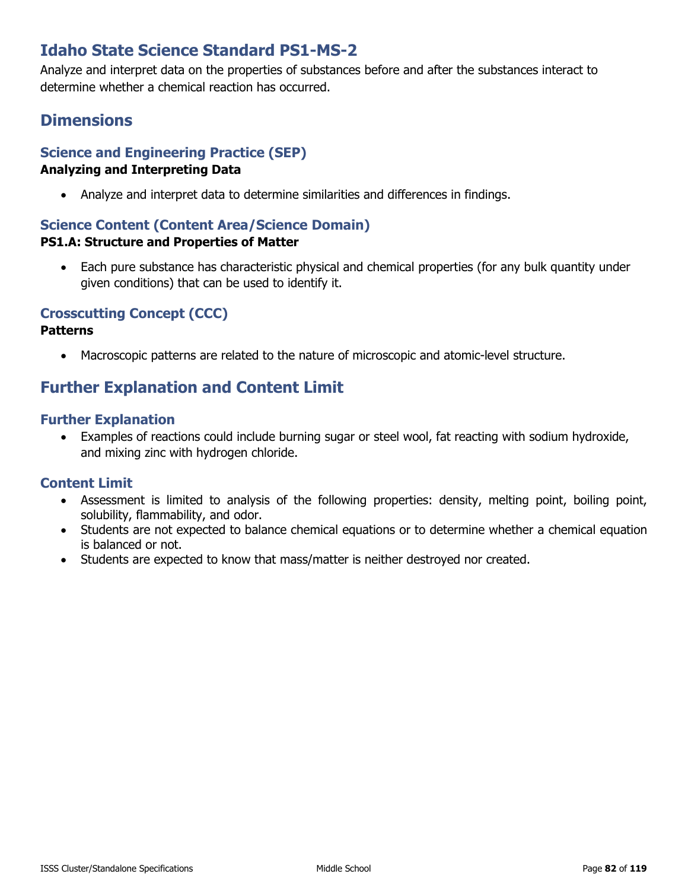# **Idaho State Science Standard PS1-MS-2**

Analyze and interpret data on the properties of substances before and after the substances interact to determine whether a chemical reaction has occurred.

# **Dimensions**

# **Science and Engineering Practice (SEP)**

#### **Analyzing and Interpreting Data**

• Analyze and interpret data to determine similarities and differences in findings.

### **Science Content (Content Area/Science Domain)**

#### **PS1.A: Structure and Properties of Matter**

• Each pure substance has characteristic physical and chemical properties (for any bulk quantity under given conditions) that can be used to identify it.

### **Crosscutting Concept (CCC)**

#### **Patterns**

• Macroscopic patterns are related to the nature of microscopic and atomic-level structure.

# **Further Explanation and Content Limit**

#### **Further Explanation**

• Examples of reactions could include burning sugar or steel wool, fat reacting with sodium hydroxide, and mixing zinc with hydrogen chloride.

- Assessment is limited to analysis of the following properties: density, melting point, boiling point, solubility, flammability, and odor.
- Students are not expected to balance chemical equations or to determine whether a chemical equation is balanced or not.
- Students are expected to know that mass/matter is neither destroyed nor created.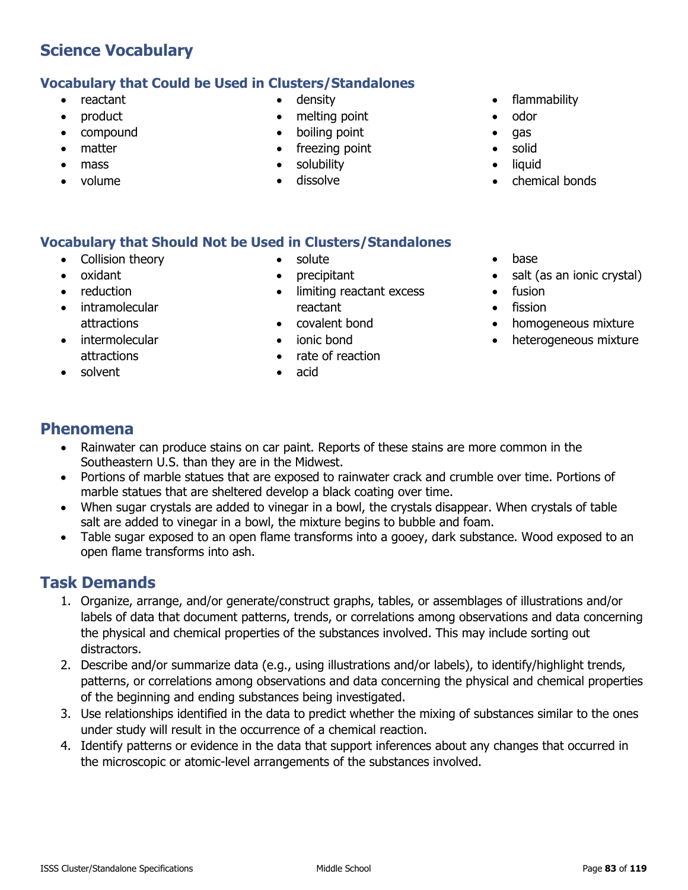### **Vocabulary that Could be Used in Clusters/Standalones**

- reactant
- product
- compound
- matter
- mass
- volume
- density
- melting point
- boiling point
- freezing point
- solubility
- dissolve
- flammability
- odor
- gas
- solid
- liquid
- chemical bonds

### **Vocabulary that Should Not be Used in Clusters/Standalones**

- Collision theory
- oxidant
- reduction
- **intramolecular** attractions
- **intermolecular** attractions
- solvent
- solute
- precipitant
- limiting reactant excess reactant
- covalent bond
- ionic bond
- rate of reaction
- acid
- base
- salt (as an ionic crystal)
- fusion
- **fission**
- homogeneous mixture
- heterogeneous mixture

### **Phenomena**

- Rainwater can produce stains on car paint. Reports of these stains are more common in the Southeastern U.S. than they are in the Midwest.
- Portions of marble statues that are exposed to rainwater crack and crumble over time. Portions of marble statues that are sheltered develop a black coating over time.
- When sugar crystals are added to vinegar in a bowl, the crystals disappear. When crystals of table salt are added to vinegar in a bowl, the mixture begins to bubble and foam.
- Table sugar exposed to an open flame transforms into a gooey, dark substance. Wood exposed to an open flame transforms into ash.

- 1. Organize, arrange, and/or generate/construct graphs, tables, or assemblages of illustrations and/or labels of data that document patterns, trends, or correlations among observations and data concerning the physical and chemical properties of the substances involved. This may include sorting out distractors.
- 2. Describe and/or summarize data (e.g., using illustrations and/or labels), to identify/highlight trends, patterns, or correlations among observations and data concerning the physical and chemical properties of the beginning and ending substances being investigated.
- 3. Use relationships identified in the data to predict whether the mixing of substances similar to the ones under study will result in the occurrence of a chemical reaction.
- 4. Identify patterns or evidence in the data that support inferences about any changes that occurred in the microscopic or atomic-level arrangements of the substances involved.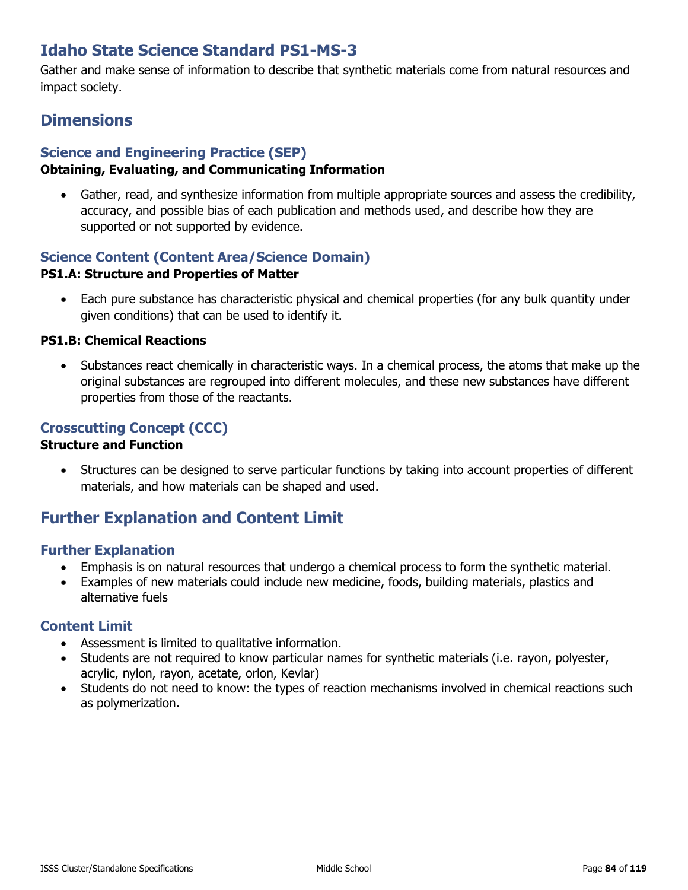# **Idaho State Science Standard PS1-MS-3**

Gather and make sense of information to describe that synthetic materials come from natural resources and impact society.

## **Dimensions**

### **Science and Engineering Practice (SEP)**

#### **Obtaining, Evaluating, and Communicating Information**

• Gather, read, and synthesize information from multiple appropriate sources and assess the credibility, accuracy, and possible bias of each publication and methods used, and describe how they are supported or not supported by evidence.

### **Science Content (Content Area/Science Domain)**

#### **PS1.A: Structure and Properties of Matter**

• Each pure substance has characteristic physical and chemical properties (for any bulk quantity under given conditions) that can be used to identify it.

#### **PS1.B: Chemical Reactions**

• Substances react chemically in characteristic ways. In a chemical process, the atoms that make up the original substances are regrouped into different molecules, and these new substances have different properties from those of the reactants.

### **Crosscutting Concept (CCC)**

#### **Structure and Function**

• Structures can be designed to serve particular functions by taking into account properties of different materials, and how materials can be shaped and used.

### **Further Explanation and Content Limit**

#### **Further Explanation**

- Emphasis is on natural resources that undergo a chemical process to form the synthetic material.
- Examples of new materials could include new medicine, foods, building materials, plastics and alternative fuels

- Assessment is limited to qualitative information.
- Students are not required to know particular names for synthetic materials (i.e. rayon, polyester, acrylic, nylon, rayon, acetate, orlon, Kevlar)
- Students do not need to know: the types of reaction mechanisms involved in chemical reactions such as polymerization.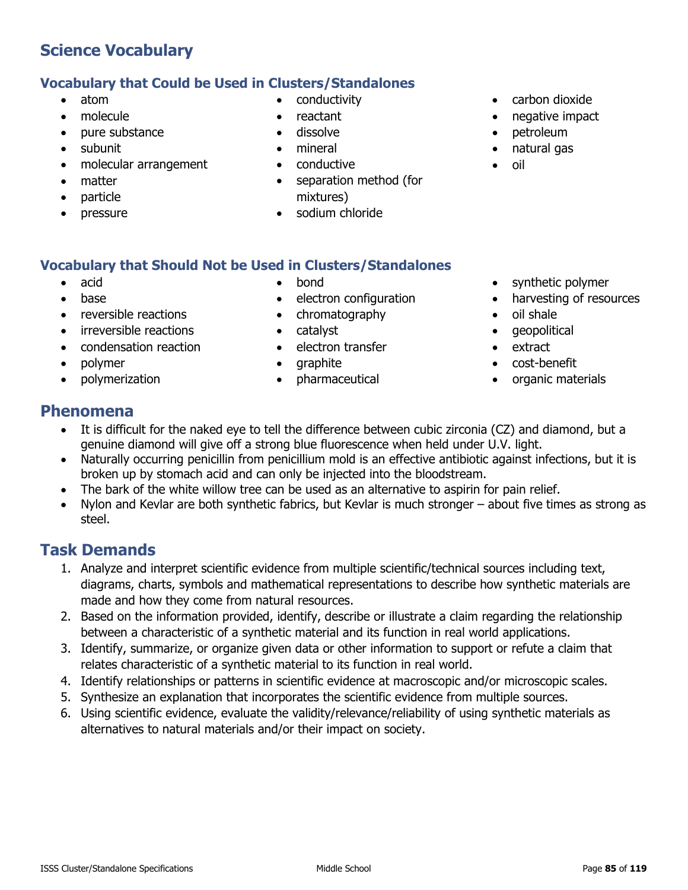#### **Vocabulary that Could be Used in Clusters/Standalones**

- atom
- molecule
- pure substance
- subunit
- molecular arrangement
- matter
- particle
- pressure
- conductivity
- reactant
- dissolve
- mineral
- conductive
- separation method (for mixtures)
- sodium chloride
- carbon dioxide
- negative impact
- petroleum
- natural gas
- oil

- **Vocabulary that Should Not be Used in Clusters/Standalones**
	- acid
	- base
	- reversible reactions
	- irreversible reactions
	- condensation reaction
	- polymer
	- polymerization
- bond
- electron configuration
- chromatography
- catalyst
- electron transfer
- graphite
- pharmaceutical
- synthetic polymer
- harvesting of resources
- oil shale
- geopolitical
- extract
- cost-benefit
- organic materials

### **Phenomena**

- It is difficult for the naked eye to tell the difference between cubic zirconia (CZ) and diamond, but a genuine diamond will give off a strong blue fluorescence when held under U.V. light.
- Naturally occurring penicillin from penicillium mold is an effective antibiotic against infections, but it is broken up by stomach acid and can only be injected into the bloodstream.
- The bark of the white willow tree can be used as an alternative to aspirin for pain relief.
- Nylon and Kevlar are both synthetic fabrics, but Kevlar is much stronger about five times as strong as steel.

- 1. Analyze and interpret scientific evidence from multiple scientific/technical sources including text, diagrams, charts, symbols and mathematical representations to describe how synthetic materials are made and how they come from natural resources.
- 2. Based on the information provided, identify, describe or illustrate a claim regarding the relationship between a characteristic of a synthetic material and its function in real world applications.
- 3. Identify, summarize, or organize given data or other information to support or refute a claim that relates characteristic of a synthetic material to its function in real world.
- 4. Identify relationships or patterns in scientific evidence at macroscopic and/or microscopic scales.
- 5. Synthesize an explanation that incorporates the scientific evidence from multiple sources.
- 6. Using scientific evidence, evaluate the validity/relevance/reliability of using synthetic materials as alternatives to natural materials and/or their impact on society.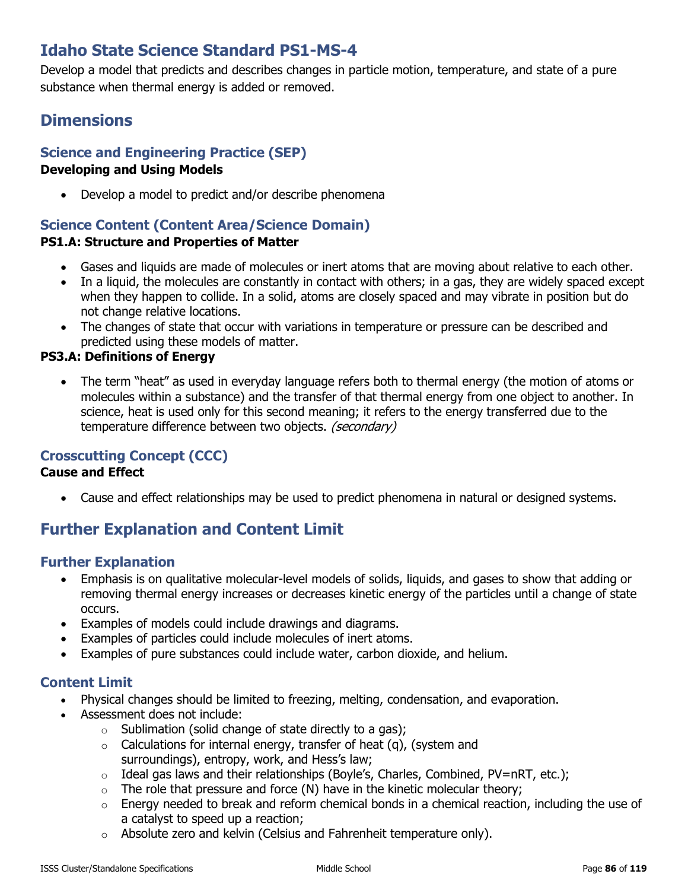# **Idaho State Science Standard PS1-MS-4**

Develop a model that predicts and describes changes in particle motion, temperature, and state of a pure substance when thermal energy is added or removed.

# **Dimensions**

### **Science and Engineering Practice (SEP)**

### **Developing and Using Models**

• Develop a model to predict and/or describe phenomena

# **Science Content (Content Area/Science Domain)**

### **PS1.A: Structure and Properties of Matter**

- Gases and liquids are made of molecules or inert atoms that are moving about relative to each other.
- In a liquid, the molecules are constantly in contact with others; in a gas, they are widely spaced except when they happen to collide. In a solid, atoms are closely spaced and may vibrate in position but do not change relative locations.
- The changes of state that occur with variations in temperature or pressure can be described and predicted using these models of matter.

#### **PS3.A: Definitions of Energy**

• The term "heat" as used in everyday language refers both to thermal energy (the motion of atoms or molecules within a substance) and the transfer of that thermal energy from one object to another. In science, heat is used only for this second meaning; it refers to the energy transferred due to the temperature difference between two objects. (secondary)

### **Crosscutting Concept (CCC)**

#### **Cause and Effect**

• Cause and effect relationships may be used to predict phenomena in natural or designed systems.

# **Further Explanation and Content Limit**

### **Further Explanation**

- Emphasis is on qualitative molecular-level models of solids, liquids, and gases to show that adding or removing thermal energy increases or decreases kinetic energy of the particles until a change of state occurs.
- Examples of models could include drawings and diagrams.
- Examples of particles could include molecules of inert atoms.
- Examples of pure substances could include water, carbon dioxide, and helium.

- Physical changes should be limited to freezing, melting, condensation, and evaporation.
- Assessment does not include:
	- $\circ$  Sublimation (solid change of state directly to a gas);
	- $\circ$  Calculations for internal energy, transfer of heat (q), (system and surroundings), entropy, work, and Hess's law;
	- $\circ$  Ideal gas laws and their relationships (Boyle's, Charles, Combined, PV=nRT, etc.);
	- $\circ$  The role that pressure and force (N) have in the kinetic molecular theory;
	- $\circ$  Energy needed to break and reform chemical bonds in a chemical reaction, including the use of a catalyst to speed up a reaction;
	- $\circ$  Absolute zero and kelvin (Celsius and Fahrenheit temperature only).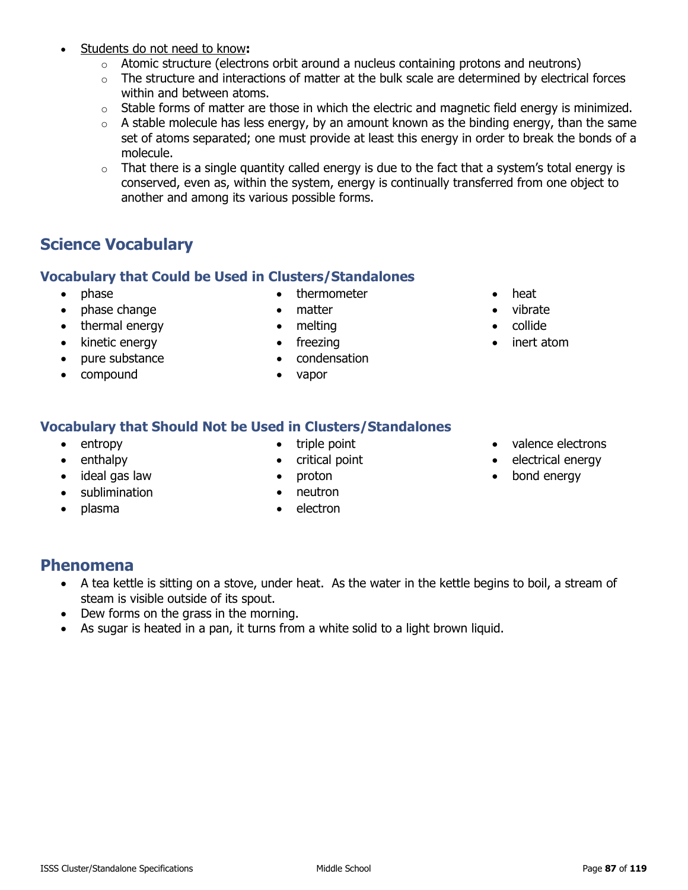- Students do not need to know**:**
	- $\circ$  Atomic structure (electrons orbit around a nucleus containing protons and neutrons)
	- $\circ$  The structure and interactions of matter at the bulk scale are determined by electrical forces within and between atoms.
	- $\circ$  Stable forms of matter are those in which the electric and magnetic field energy is minimized.
	- $\circ$  A stable molecule has less energy, by an amount known as the binding energy, than the same set of atoms separated; one must provide at least this energy in order to break the bonds of a molecule.
	- $\circ$  That there is a single quantity called energy is due to the fact that a system's total energy is conserved, even as, within the system, energy is continually transferred from one object to another and among its various possible forms.

### **Vocabulary that Could be Used in Clusters/Standalones**

- phase
- phase change
- thermal energy
- kinetic energy
- pure substance
- compound
- thermometer
- matter
- melting
- freezing
- condensation
- vapor
- heat
- vibrate
- collide
- inert atom

### **Vocabulary that Should Not be Used in Clusters/Standalones**

- entropy
- enthalpy
- ideal gas law
- sublimination
- plasma
- triple point
- critical point
- proton
- neutron
- electron
- valence electrons
- electrical energy
- bond energy

### **Phenomena**

- A tea kettle is sitting on a stove, under heat. As the water in the kettle begins to boil, a stream of steam is visible outside of its spout.
- Dew forms on the grass in the morning.
- As sugar is heated in a pan, it turns from a white solid to a light brown liquid.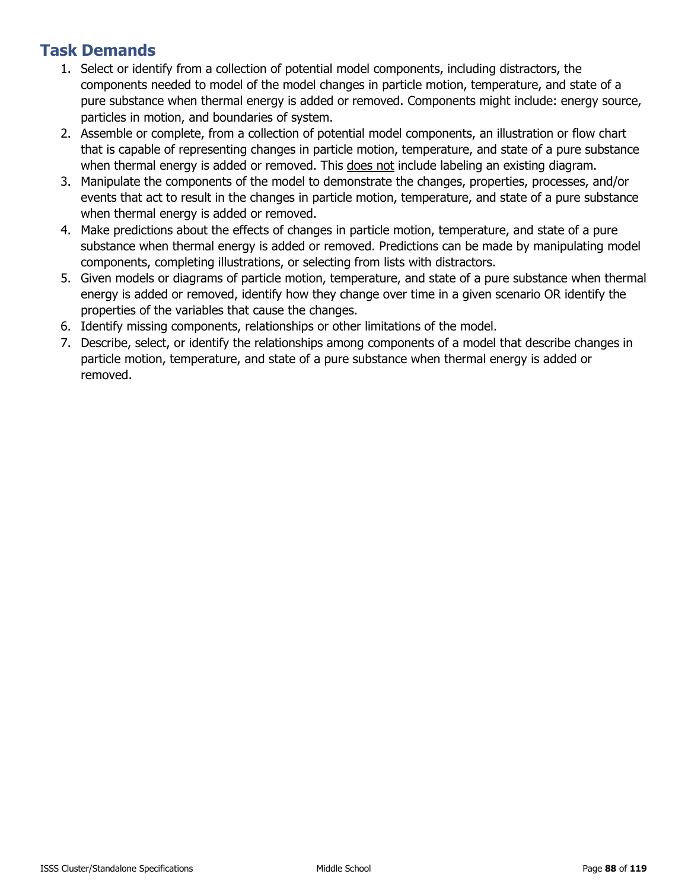- 1. Select or identify from a collection of potential model components, including distractors, the components needed to model of the model changes in particle motion, temperature, and state of a pure substance when thermal energy is added or removed. Components might include: energy source, particles in motion, and boundaries of system.
- 2. Assemble or complete, from a collection of potential model components, an illustration or flow chart that is capable of representing changes in particle motion, temperature, and state of a pure substance when thermal energy is added or removed. This does not include labeling an existing diagram.
- 3. Manipulate the components of the model to demonstrate the changes, properties, processes, and/or events that act to result in the changes in particle motion, temperature, and state of a pure substance when thermal energy is added or removed.
- 4. Make predictions about the effects of changes in particle motion, temperature, and state of a pure substance when thermal energy is added or removed. Predictions can be made by manipulating model components, completing illustrations, or selecting from lists with distractors.
- 5. Given models or diagrams of particle motion, temperature, and state of a pure substance when thermal energy is added or removed, identify how they change over time in a given scenario OR identify the properties of the variables that cause the changes.
- 6. Identify missing components, relationships or other limitations of the model.
- 7. Describe, select, or identify the relationships among components of a model that describe changes in particle motion, temperature, and state of a pure substance when thermal energy is added or removed.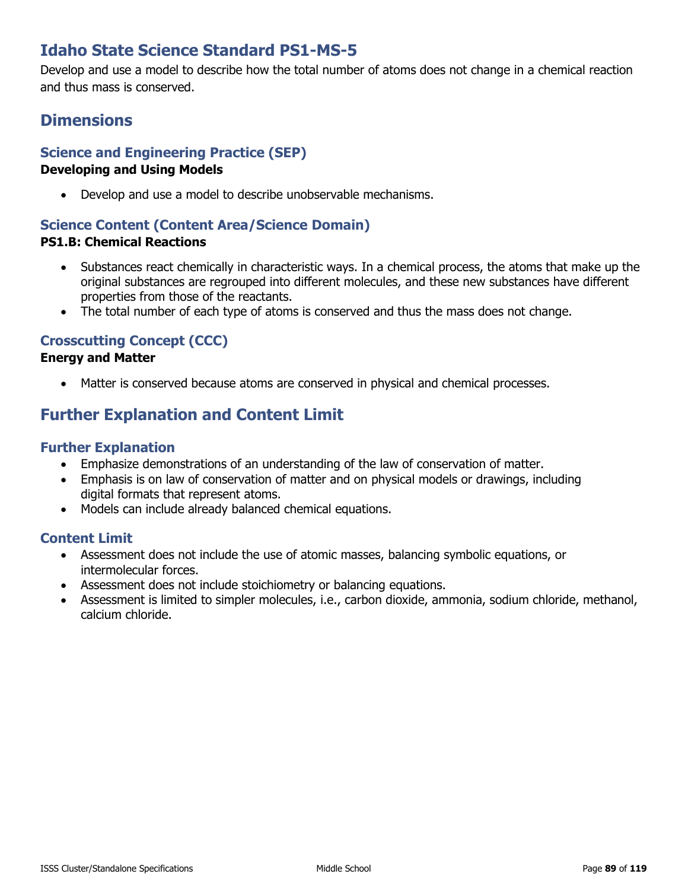# **Idaho State Science Standard PS1-MS-5**

Develop and use a model to describe how the total number of atoms does not change in a chemical reaction and thus mass is conserved.

## **Dimensions**

### **Science and Engineering Practice (SEP)**

#### **Developing and Using Models**

• Develop and use a model to describe unobservable mechanisms.

### **Science Content (Content Area/Science Domain)**

### **PS1.B: Chemical Reactions**

- Substances react chemically in characteristic ways. In a chemical process, the atoms that make up the original substances are regrouped into different molecules, and these new substances have different properties from those of the reactants.
- The total number of each type of atoms is conserved and thus the mass does not change.

### **Crosscutting Concept (CCC)**

#### **Energy and Matter**

• Matter is conserved because atoms are conserved in physical and chemical processes.

# **Further Explanation and Content Limit**

#### **Further Explanation**

- Emphasize demonstrations of an understanding of the law of conservation of matter.
- Emphasis is on law of conservation of matter and on physical models or drawings, including digital formats that represent atoms.
- Models can include already balanced chemical equations.

- Assessment does not include the use of atomic masses, balancing symbolic equations, or intermolecular forces.
- Assessment does not include stoichiometry or balancing equations.
- Assessment is limited to simpler molecules, i.e., carbon dioxide, ammonia, sodium chloride, methanol, calcium chloride.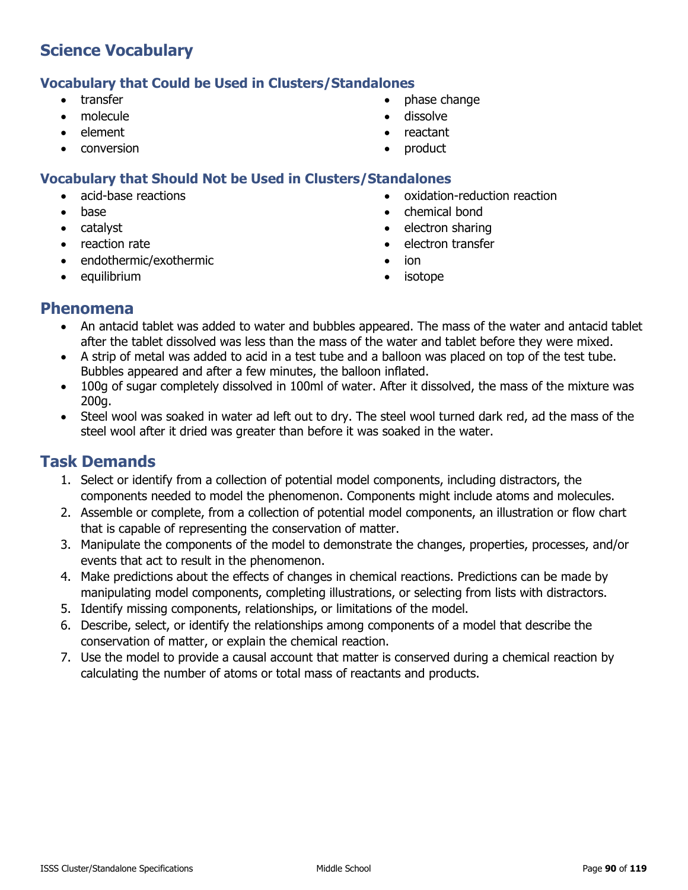#### **Vocabulary that Could be Used in Clusters/Standalones**

- transfer
- molecule
- element
- conversion
- phase change
- dissolve
- reactant
- product

### **Vocabulary that Should Not be Used in Clusters/Standalones**

- acid-base reactions
- base
- catalyst
- reaction rate
- endothermic/exothermic
- equilibrium
- oxidation-reduction reaction
- chemical bond
- electron sharing
- electron transfer
- ion
- isotope

### **Phenomena**

- An antacid tablet was added to water and bubbles appeared. The mass of the water and antacid tablet after the tablet dissolved was less than the mass of the water and tablet before they were mixed.
- A strip of metal was added to acid in a test tube and a balloon was placed on top of the test tube. Bubbles appeared and after a few minutes, the balloon inflated.
- 100g of sugar completely dissolved in 100ml of water. After it dissolved, the mass of the mixture was 200g.
- Steel wool was soaked in water ad left out to dry. The steel wool turned dark red, ad the mass of the steel wool after it dried was greater than before it was soaked in the water.

- 1. Select or identify from a collection of potential model components, including distractors, the components needed to model the phenomenon. Components might include atoms and molecules.
- 2. Assemble or complete, from a collection of potential model components, an illustration or flow chart that is capable of representing the conservation of matter.
- 3. Manipulate the components of the model to demonstrate the changes, properties, processes, and/or events that act to result in the phenomenon.
- 4. Make predictions about the effects of changes in chemical reactions. Predictions can be made by manipulating model components, completing illustrations, or selecting from lists with distractors.
- 5. Identify missing components, relationships, or limitations of the model.
- 6. Describe, select, or identify the relationships among components of a model that describe the conservation of matter, or explain the chemical reaction.
- 7. Use the model to provide a causal account that matter is conserved during a chemical reaction by calculating the number of atoms or total mass of reactants and products.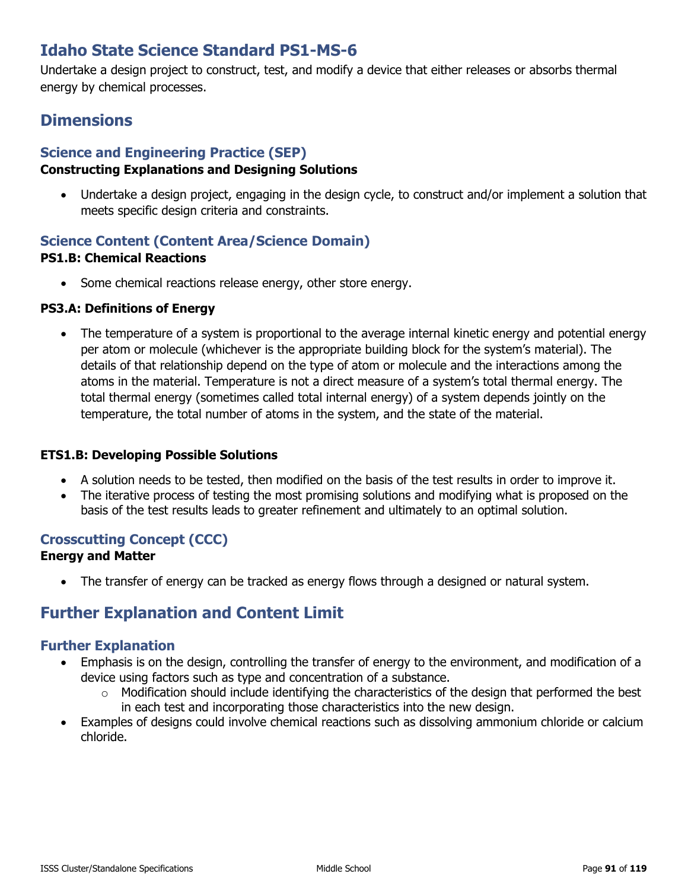# **Idaho State Science Standard PS1-MS-6**

Undertake a design project to construct, test, and modify a device that either releases or absorbs thermal energy by chemical processes.

# **Dimensions**

### **Science and Engineering Practice (SEP)**

### **Constructing Explanations and Designing Solutions**

• Undertake a design project, engaging in the design cycle, to construct and/or implement a solution that meets specific design criteria and constraints.

#### **Science Content (Content Area/Science Domain) PS1.B: Chemical Reactions**

• Some chemical reactions release energy, other store energy.

#### **PS3.A: Definitions of Energy**

• The temperature of a system is proportional to the average internal kinetic energy and potential energy per atom or molecule (whichever is the appropriate building block for the system's material). The details of that relationship depend on the type of atom or molecule and the interactions among the atoms in the material. Temperature is not a direct measure of a system's total thermal energy. The total thermal energy (sometimes called total internal energy) of a system depends jointly on the temperature, the total number of atoms in the system, and the state of the material.

#### **ETS1.B: Developing Possible Solutions**

- A solution needs to be tested, then modified on the basis of the test results in order to improve it.
- The iterative process of testing the most promising solutions and modifying what is proposed on the basis of the test results leads to greater refinement and ultimately to an optimal solution.

#### **Crosscutting Concept (CCC) Energy and Matter**

• The transfer of energy can be tracked as energy flows through a designed or natural system.

# **Further Explanation and Content Limit**

### **Further Explanation**

- Emphasis is on the design, controlling the transfer of energy to the environment, and modification of a device using factors such as type and concentration of a substance.
	- o Modification should include identifying the characteristics of the design that performed the best in each test and incorporating those characteristics into the new design.
- Examples of designs could involve chemical reactions such as dissolving ammonium chloride or calcium chloride.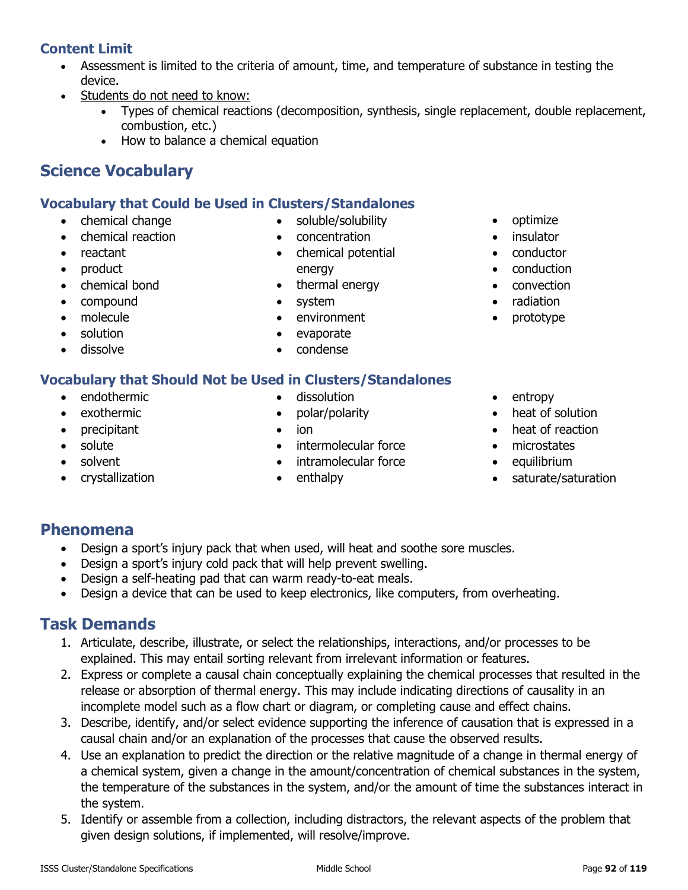## **Content Limit**

- Assessment is limited to the criteria of amount, time, and temperature of substance in testing the device.
- Students do not need to know:
	- Types of chemical reactions (decomposition, synthesis, single replacement, double replacement, combustion, etc.)
	- How to balance a chemical equation

# **Science Vocabulary**

### **Vocabulary that Could be Used in Clusters/Standalones**

- chemical change
- chemical reaction
- reactant
- product
- chemical bond
- compound
- molecule
- solution
- dissolve

### **Vocabulary that Should Not be Used in Clusters/Standalones**

- endothermic
- exothermic
- precipitant
- solute
- solvent
- crystallization
- dissolution
- polar/polarity
- ion
- intermolecular force
- intramolecular force
- enthalpy
- optimize
- insulator
- conductor
- conduction
- convection
- radiation
- prototype
- entropy
- heat of solution
- heat of reaction
- microstates
- equilibrium
- saturate/saturation

### **Phenomena**

- Design a sport's injury pack that when used, will heat and soothe sore muscles.
- Design a sport's injury cold pack that will help prevent swelling.
- Design a self-heating pad that can warm ready-to-eat meals.
- Design a device that can be used to keep electronics, like computers, from overheating.

# **Task Demands**

- 1. Articulate, describe, illustrate, or select the relationships, interactions, and/or processes to be explained. This may entail sorting relevant from irrelevant information or features.
- 2. Express or complete a causal chain conceptually explaining the chemical processes that resulted in the release or absorption of thermal energy. This may include indicating directions of causality in an incomplete model such as a flow chart or diagram, or completing cause and effect chains.
- 3. Describe, identify, and/or select evidence supporting the inference of causation that is expressed in a causal chain and/or an explanation of the processes that cause the observed results.
- 4. Use an explanation to predict the direction or the relative magnitude of a change in thermal energy of a chemical system, given a change in the amount/concentration of chemical substances in the system, the temperature of the substances in the system, and/or the amount of time the substances interact in the system.
- 5. Identify or assemble from a collection, including distractors, the relevant aspects of the problem that given design solutions, if implemented, will resolve/improve.

• chemical potential energy • thermal energy

• soluble/solubility • concentration

- system
- environment
- evaporate
- condense
- 
- -
	-
	-
	-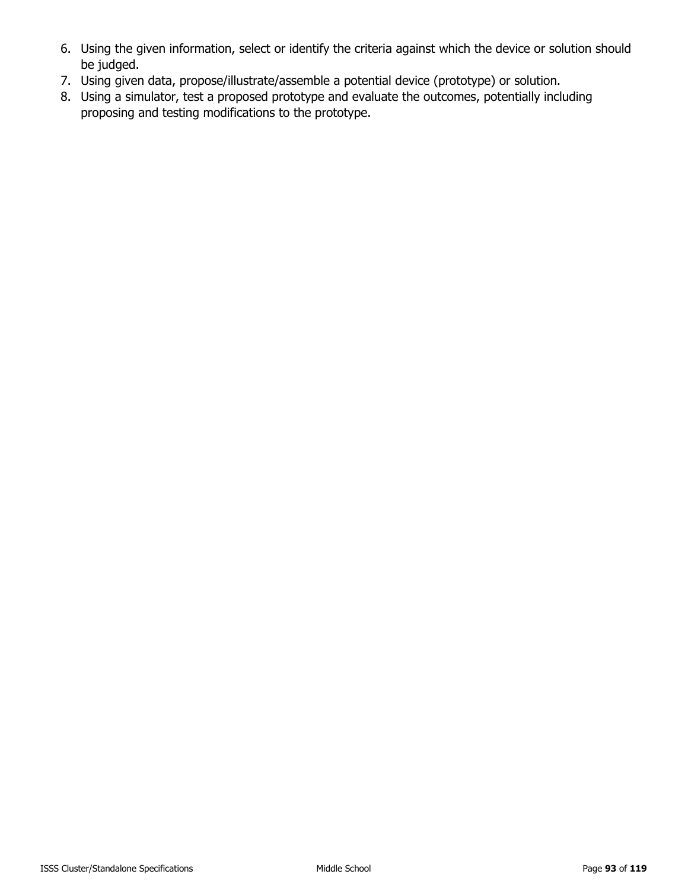- 6. Using the given information, select or identify the criteria against which the device or solution should be judged.
- 7. Using given data, propose/illustrate/assemble a potential device (prototype) or solution.
- 8. Using a simulator, test a proposed prototype and evaluate the outcomes, potentially including proposing and testing modifications to the prototype.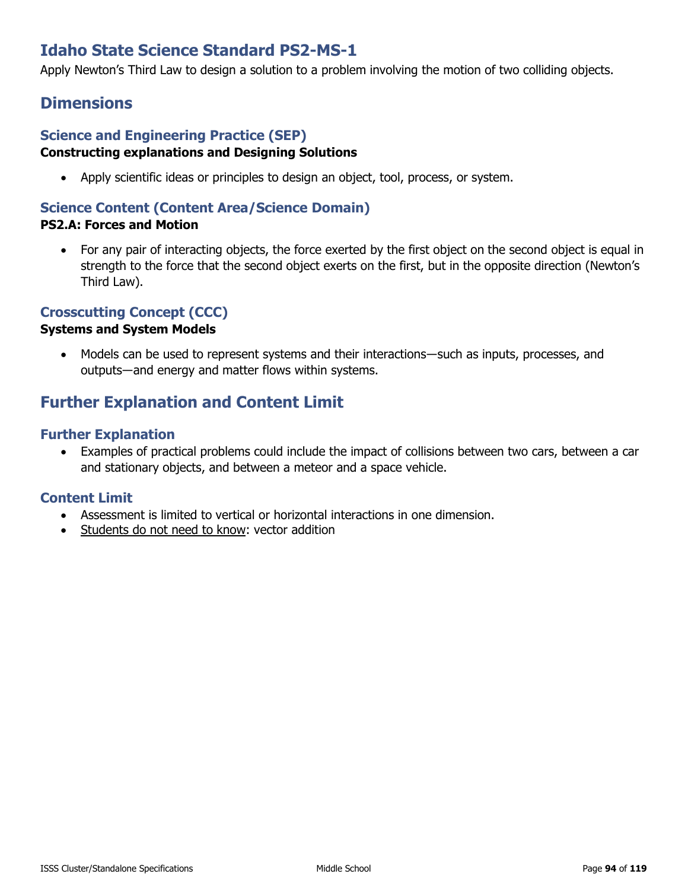# **Idaho State Science Standard PS2-MS-1**

Apply Newton's Third Law to design a solution to a problem involving the motion of two colliding objects.

### **Dimensions**

#### **Science and Engineering Practice (SEP) Constructing explanations and Designing Solutions**

• Apply scientific ideas or principles to design an object, tool, process, or system.

### **Science Content (Content Area/Science Domain)**

### **PS2.A: Forces and Motion**

• For any pair of interacting objects, the force exerted by the first object on the second object is equal in strength to the force that the second object exerts on the first, but in the opposite direction (Newton's Third Law).

### **Crosscutting Concept (CCC)**

#### **Systems and System Models**

• Models can be used to represent systems and their interactions—such as inputs, processes, and outputs―and energy and matter flows within systems.

# **Further Explanation and Content Limit**

### **Further Explanation**

• Examples of practical problems could include the impact of collisions between two cars, between a car and stationary objects, and between a meteor and a space vehicle.

- Assessment is limited to vertical or horizontal interactions in one dimension.
- Students do not need to know: vector addition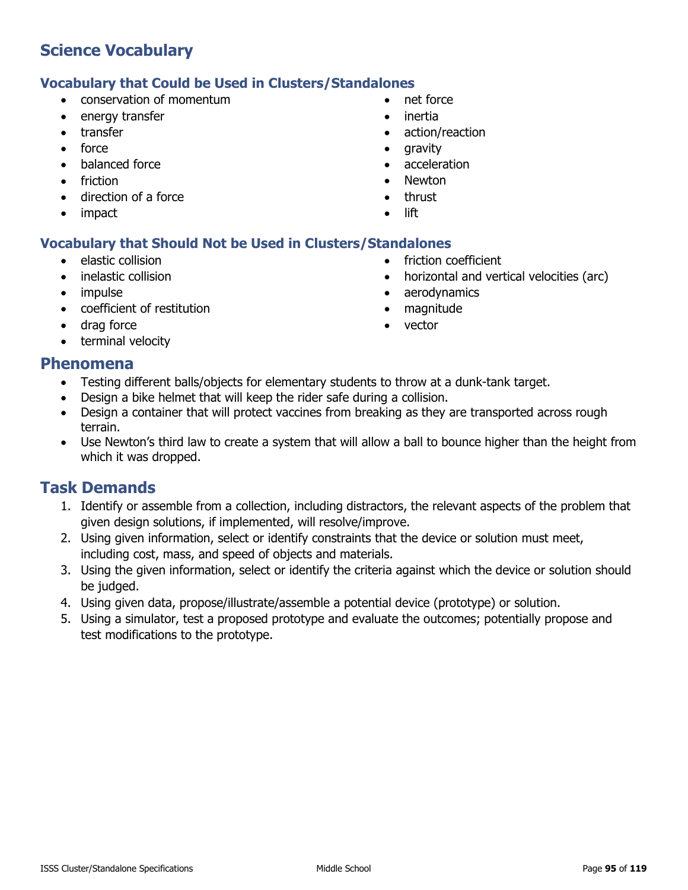#### **Vocabulary that Could be Used in Clusters/Standalones**

- conservation of momentum
- energy transfer
- transfer
- force
- balanced force
- friction
- direction of a force
- impact
- net force
- inertia
- action/reaction

• friction coefficient

• aerodynamics • magnitude • vector

• horizontal and vertical velocities (arc)

- gravity
- acceleration
- Newton
- thrust
- lift

### **Vocabulary that Should Not be Used in Clusters/Standalones**

- elastic collision
- inelastic collision
- impulse
- coefficient of restitution
- drag force
- terminal velocity

### **Phenomena**

- Testing different balls/objects for elementary students to throw at a dunk-tank target.
- Design a bike helmet that will keep the rider safe during a collision.
- Design a container that will protect vaccines from breaking as they are transported across rough terrain.
- Use Newton's third law to create a system that will allow a ball to bounce higher than the height from which it was dropped.

- 1. Identify or assemble from a collection, including distractors, the relevant aspects of the problem that given design solutions, if implemented, will resolve/improve.
- 2. Using given information, select or identify constraints that the device or solution must meet, including cost, mass, and speed of objects and materials.
- 3. Using the given information, select or identify the criteria against which the device or solution should be judged.
- 4. Using given data, propose/illustrate/assemble a potential device (prototype) or solution.
- 5. Using a simulator, test a proposed prototype and evaluate the outcomes; potentially propose and test modifications to the prototype.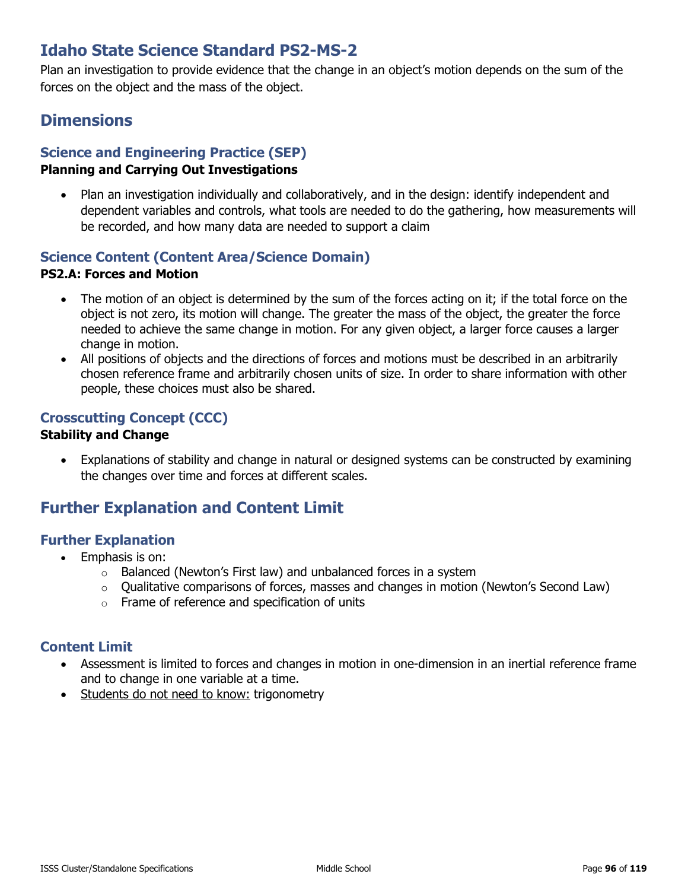# **Idaho State Science Standard PS2-MS-2**

Plan an investigation to provide evidence that the change in an object's motion depends on the sum of the forces on the object and the mass of the object.

### **Dimensions**

### **Science and Engineering Practice (SEP)**

#### **Planning and Carrying Out Investigations**

• Plan an investigation individually and collaboratively, and in the design: identify independent and dependent variables and controls, what tools are needed to do the gathering, how measurements will be recorded, and how many data are needed to support a claim

### **Science Content (Content Area/Science Domain)**

#### **PS2.A: Forces and Motion**

- The motion of an object is determined by the sum of the forces acting on it; if the total force on the object is not zero, its motion will change. The greater the mass of the object, the greater the force needed to achieve the same change in motion. For any given object, a larger force causes a larger change in motion.
- All positions of objects and the directions of forces and motions must be described in an arbitrarily chosen reference frame and arbitrarily chosen units of size. In order to share information with other people, these choices must also be shared.

### **Crosscutting Concept (CCC)**

#### **Stability and Change**

• Explanations of stability and change in natural or designed systems can be constructed by examining the changes over time and forces at different scales.

### **Further Explanation and Content Limit**

### **Further Explanation**

- Emphasis is on:
	- o Balanced (Newton's First law) and unbalanced forces in a system
	- o Qualitative comparisons of forces, masses and changes in motion (Newton's Second Law)
	- o Frame of reference and specification of units

- Assessment is limited to forces and changes in motion in one-dimension in an inertial reference frame and to change in one variable at a time.
- Students do not need to know: trigonometry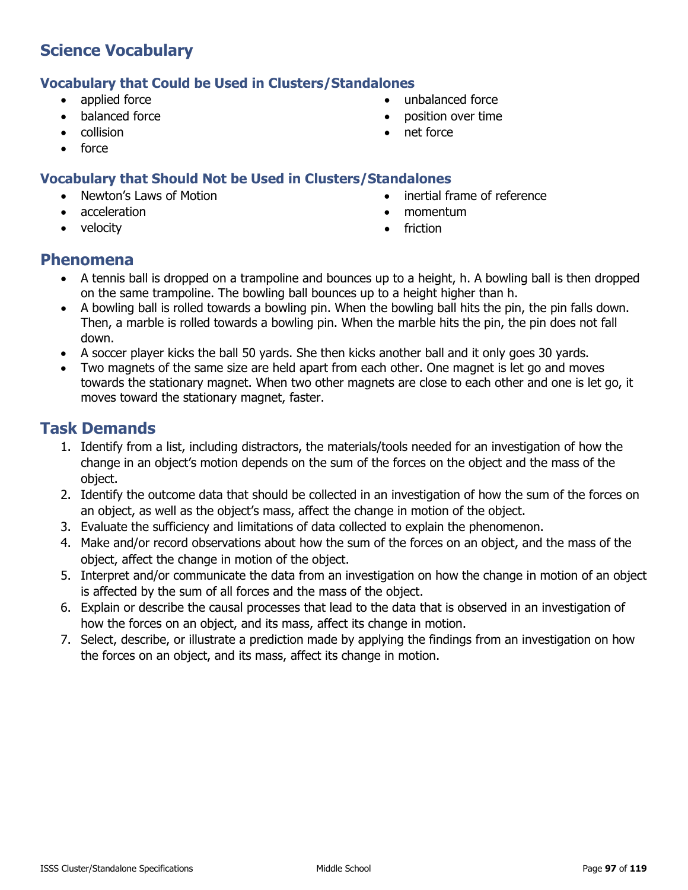### **Vocabulary that Could be Used in Clusters/Standalones**

- applied force
- balanced force
- collision
- force

### **Vocabulary that Should Not be Used in Clusters/Standalones**

- Newton's Laws of Motion
- acceleration
- velocity
- unbalanced force
- position over time
- net force
- inertial frame of reference
- momentum
- **friction**

### **Phenomena**

- A tennis ball is dropped on a trampoline and bounces up to a height, h. A bowling ball is then dropped on the same trampoline. The bowling ball bounces up to a height higher than h.
- A bowling ball is rolled towards a bowling pin. When the bowling ball hits the pin, the pin falls down. Then, a marble is rolled towards a bowling pin. When the marble hits the pin, the pin does not fall down.
- A soccer player kicks the ball 50 yards. She then kicks another ball and it only goes 30 yards.
- Two magnets of the same size are held apart from each other. One magnet is let go and moves towards the stationary magnet. When two other magnets are close to each other and one is let go, it moves toward the stationary magnet, faster.

- 1. Identify from a list, including distractors, the materials/tools needed for an investigation of how the change in an object's motion depends on the sum of the forces on the object and the mass of the object.
- 2. Identify the outcome data that should be collected in an investigation of how the sum of the forces on an object, as well as the object's mass, affect the change in motion of the object.
- 3. Evaluate the sufficiency and limitations of data collected to explain the phenomenon.
- 4. Make and/or record observations about how the sum of the forces on an object, and the mass of the object, affect the change in motion of the object.
- 5. Interpret and/or communicate the data from an investigation on how the change in motion of an object is affected by the sum of all forces and the mass of the object.
- 6. Explain or describe the causal processes that lead to the data that is observed in an investigation of how the forces on an object, and its mass, affect its change in motion.
- 7. Select, describe, or illustrate a prediction made by applying the findings from an investigation on how the forces on an object, and its mass, affect its change in motion.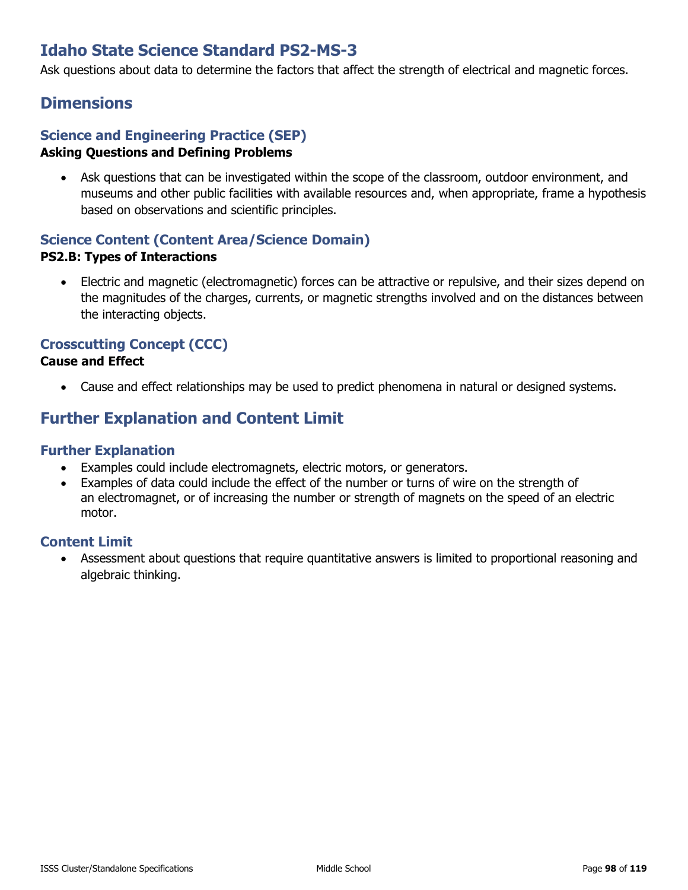# **Idaho State Science Standard PS2-MS-3**

Ask questions about data to determine the factors that affect the strength of electrical and magnetic forces.

### **Dimensions**

#### **Science and Engineering Practice (SEP) Asking Questions and Defining Problems**

• Ask questions that can be investigated within the scope of the classroom, outdoor environment, and museums and other public facilities with available resources and, when appropriate, frame a hypothesis based on observations and scientific principles.

### **Science Content (Content Area/Science Domain) PS2.B: Types of Interactions**

• Electric and magnetic (electromagnetic) forces can be attractive or repulsive, and their sizes depend on the magnitudes of the charges, currents, or magnetic strengths involved and on the distances between the interacting objects.

### **Crosscutting Concept (CCC)**

#### **Cause and Effect**

• Cause and effect relationships may be used to predict phenomena in natural or designed systems.

# **Further Explanation and Content Limit**

### **Further Explanation**

- Examples could include electromagnets, electric motors, or generators.
- Examples of data could include the effect of the number or turns of wire on the strength of an electromagnet, or of increasing the number or strength of magnets on the speed of an electric motor.

### **Content Limit**

• Assessment about questions that require quantitative answers is limited to proportional reasoning and algebraic thinking.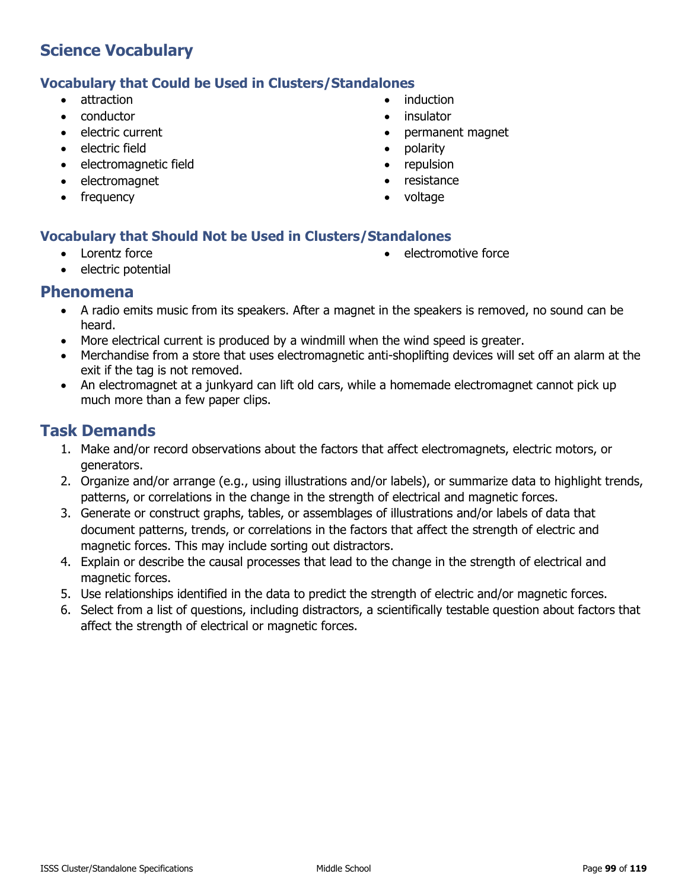### **Vocabulary that Could be Used in Clusters/Standalones**

- attraction
- conductor
- electric current
- electric field
- electromagnetic field
- electromagnet
- frequency
- induction
- insulator
- permanent magnet
- polarity
- repulsion
- resistance
- voltage

### **Vocabulary that Should Not be Used in Clusters/Standalones**

• Lorentz force

• electromotive force

• electric potential

### **Phenomena**

- A radio emits music from its speakers. After a magnet in the speakers is removed, no sound can be heard.
- More electrical current is produced by a windmill when the wind speed is greater.
- Merchandise from a store that uses electromagnetic anti-shoplifting devices will set off an alarm at the exit if the tag is not removed.
- An electromagnet at a junkyard can lift old cars, while a homemade electromagnet cannot pick up much more than a few paper clips.

- 1. Make and/or record observations about the factors that affect electromagnets, electric motors, or generators.
- 2. Organize and/or arrange (e.g., using illustrations and/or labels), or summarize data to highlight trends, patterns, or correlations in the change in the strength of electrical and magnetic forces.
- 3. Generate or construct graphs, tables, or assemblages of illustrations and/or labels of data that document patterns, trends, or correlations in the factors that affect the strength of electric and magnetic forces. This may include sorting out distractors.
- 4. Explain or describe the causal processes that lead to the change in the strength of electrical and magnetic forces.
- 5. Use relationships identified in the data to predict the strength of electric and/or magnetic forces.
- 6. Select from a list of questions, including distractors, a scientifically testable question about factors that affect the strength of electrical or magnetic forces.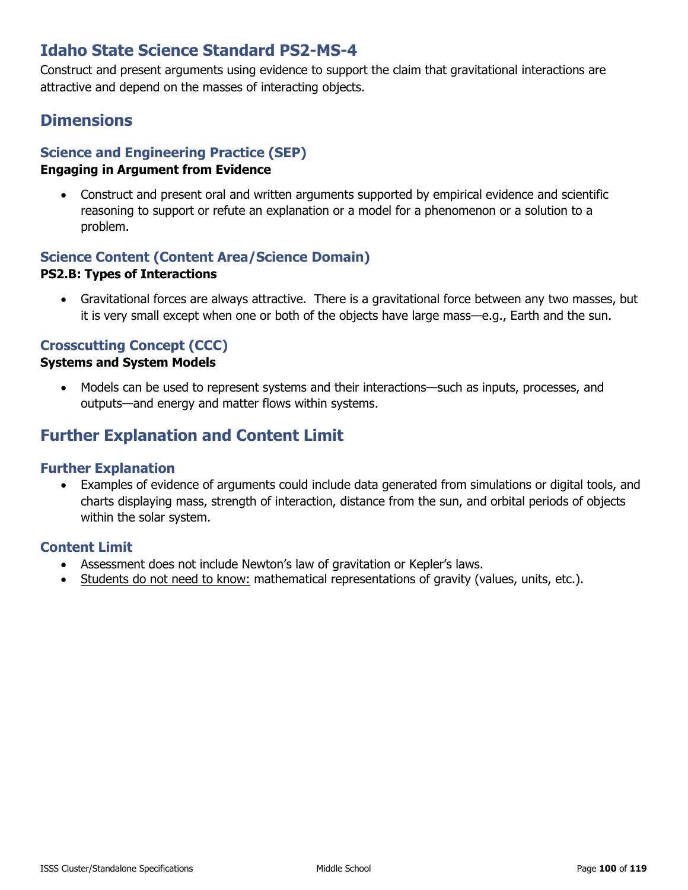# **Idaho State Science Standard PS2-MS-4**

Construct and present arguments using evidence to support the claim that gravitational interactions are attractive and depend on the masses of interacting objects.

### **Dimensions**

### **Science and Engineering Practice (SEP)**

#### **Engaging in Argument from Evidence**

• Construct and present oral and written arguments supported by empirical evidence and scientific reasoning to support or refute an explanation or a model for a phenomenon or a solution to a problem.

### **Science Content (Content Area/Science Domain)**

#### **PS2.B: Types of Interactions**

• Gravitational forces are always attractive. There is a gravitational force between any two masses, but it is very small except when one or both of the objects have large mass—e.g., Earth and the sun.

### **Crosscutting Concept (CCC)**

#### **Systems and System Models**

• Models can be used to represent systems and their interactions—such as inputs, processes, and outputs—and energy and matter flows within systems.

### **Further Explanation and Content Limit**

#### **Further Explanation**

• Examples of evidence of arguments could include data generated from simulations or digital tools, and charts displaying mass, strength of interaction, distance from the sun, and orbital periods of objects within the solar system.

- Assessment does not include Newton's law of gravitation or Kepler's laws.
- Students do not need to know: mathematical representations of gravity (values, units, etc.).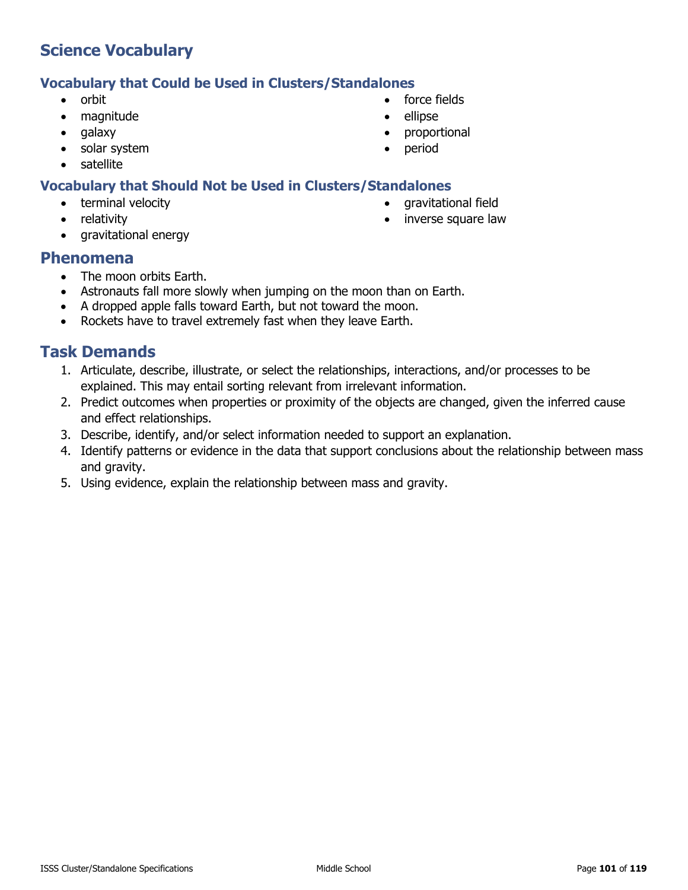#### **Vocabulary that Could be Used in Clusters/Standalones**

- orbit
- magnitude
- galaxy
- solar system
- satellite

### **Vocabulary that Should Not be Used in Clusters/Standalones**

- terminal velocity
- relativity
- gravitational energy

### **Phenomena**

- The moon orbits Earth.
- Astronauts fall more slowly when jumping on the moon than on Earth.
- A dropped apple falls toward Earth, but not toward the moon.
- Rockets have to travel extremely fast when they leave Earth.

- 1. Articulate, describe, illustrate, or select the relationships, interactions, and/or processes to be explained. This may entail sorting relevant from irrelevant information.
- 2. Predict outcomes when properties or proximity of the objects are changed, given the inferred cause and effect relationships.
- 3. Describe, identify, and/or select information needed to support an explanation.
- 4. Identify patterns or evidence in the data that support conclusions about the relationship between mass and gravity.
- 5. Using evidence, explain the relationship between mass and gravity.
- force fields
- 
- proportional
- period
	-
	-
- gravitational field • inverse square law
- 
- ellipse
- 
-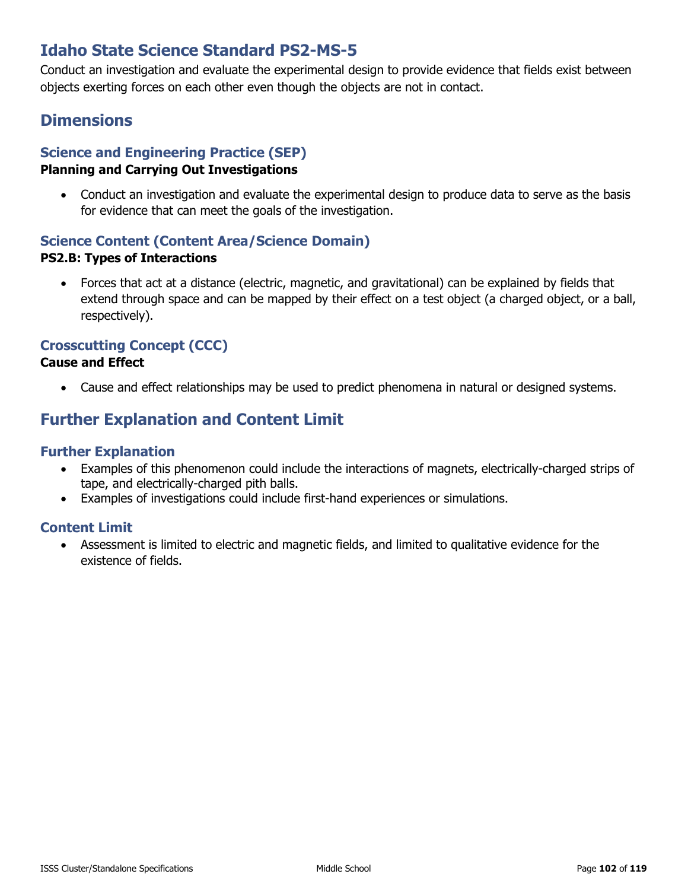# **Idaho State Science Standard PS2-MS-5**

Conduct an investigation and evaluate the experimental design to provide evidence that fields exist between objects exerting forces on each other even though the objects are not in contact.

### **Dimensions**

### **Science and Engineering Practice (SEP)**

### **Planning and Carrying Out Investigations**

• Conduct an investigation and evaluate the experimental design to produce data to serve as the basis for evidence that can meet the goals of the investigation.

#### **Science Content (Content Area/Science Domain) PS2.B: Types of Interactions**

• Forces that act at a distance (electric, magnetic, and gravitational) can be explained by fields that extend through space and can be mapped by their effect on a test object (a charged object, or a ball, respectively).

### **Crosscutting Concept (CCC)**

### **Cause and Effect**

• Cause and effect relationships may be used to predict phenomena in natural or designed systems.

# **Further Explanation and Content Limit**

#### **Further Explanation**

- Examples of this phenomenon could include the interactions of magnets, electrically-charged strips of tape, and electrically-charged pith balls.
- Examples of investigations could include first-hand experiences or simulations.

### **Content Limit**

• Assessment is limited to electric and magnetic fields, and limited to qualitative evidence for the existence of fields.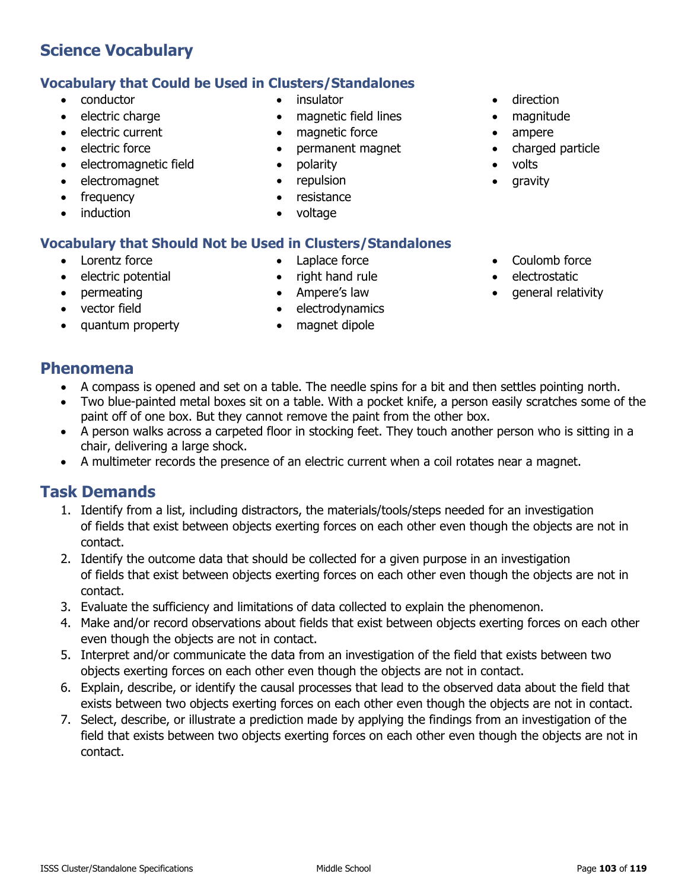# induction

### • Lorentz force

• electromagnet • frequency

- electric potential
- permeating
- vector field
- quantum property

- right hand rule
- Ampere's law
- electrodynamics
- 
- direction
- magnitude
- ampere
- charged particle
- volts
- gravity
- Coulomb force
- electrostatic
- general relativity

### **Phenomena**

- A compass is opened and set on a table. The needle spins for a bit and then settles pointing north.
- Two blue-painted metal boxes sit on a table. With a pocket knife, a person easily scratches some of the paint off of one box. But they cannot remove the paint from the other box.
- A person walks across a carpeted floor in stocking feet. They touch another person who is sitting in a chair, delivering a large shock.
- A multimeter records the presence of an electric current when a coil rotates near a magnet.

### **Task Demands**

- 1. Identify from a list, including distractors, the materials/tools/steps needed for an investigation of fields that exist between objects exerting forces on each other even though the objects are not in contact.
- 2. Identify the outcome data that should be collected for a given purpose in an investigation of fields that exist between objects exerting forces on each other even though the objects are not in contact.
- 3. Evaluate the sufficiency and limitations of data collected to explain the phenomenon.
- 4. Make and/or record observations about fields that exist between objects exerting forces on each other even though the objects are not in contact.
- 5. Interpret and/or communicate the data from an investigation of the field that exists between two objects exerting forces on each other even though the objects are not in contact.
- 6. Explain, describe, or identify the causal processes that lead to the observed data about the field that exists between two objects exerting forces on each other even though the objects are not in contact.
- 7. Select, describe, or illustrate a prediction made by applying the findings from an investigation of the field that exists between two objects exerting forces on each other even though the objects are not in contact.

**Vocabulary that Should Not be Used in Clusters/Standalones** • Laplace force

• insulator

• polarity • repulsion • resistance • voltage

• magnetic field lines magnetic force • permanent magnet

- 
- 
- 
- 
- magnet dipole

# **Science Vocabulary**

• electromagnetic field

• conductor • electric charge • electric current • electric force

**Vocabulary that Could be Used in Clusters/Standalones**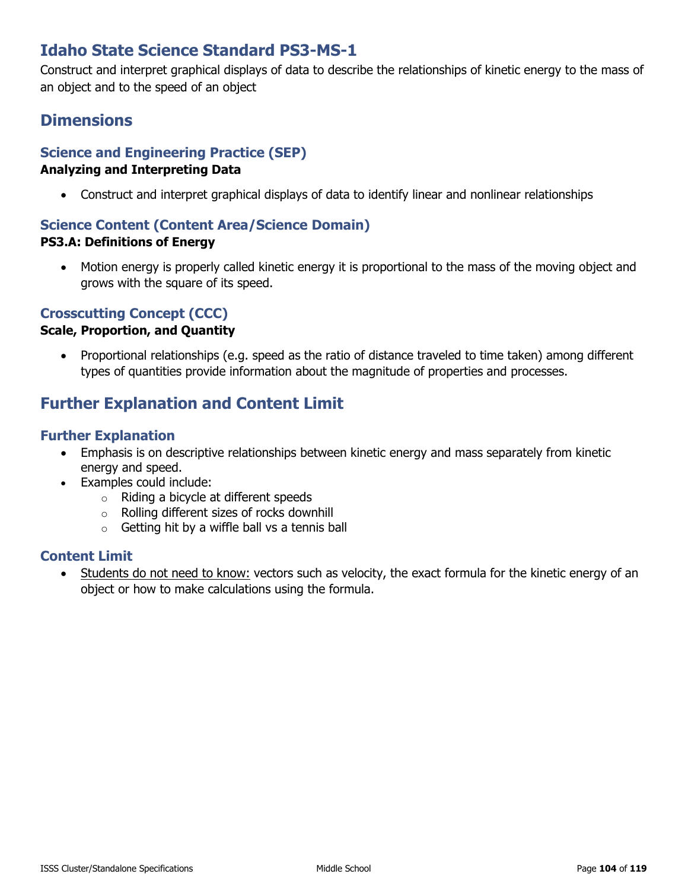# **Idaho State Science Standard PS3-MS-1**

Construct and interpret graphical displays of data to describe the relationships of kinetic energy to the mass of an object and to the speed of an object

## **Dimensions**

# **Science and Engineering Practice (SEP)**

#### **Analyzing and Interpreting Data**

• Construct and interpret graphical displays of data to identify linear and nonlinear relationships

#### **Science Content (Content Area/Science Domain) PS3.A: Definitions of Energy**

• Motion energy is properly called kinetic energy it is proportional to the mass of the moving object and grows with the square of its speed.

### **Crosscutting Concept (CCC)**

#### **Scale, Proportion, and Quantity**

• Proportional relationships (e.g. speed as the ratio of distance traveled to time taken) among different types of quantities provide information about the magnitude of properties and processes.

# **Further Explanation and Content Limit**

#### **Further Explanation**

- Emphasis is on descriptive relationships between kinetic energy and mass separately from kinetic energy and speed.
- Examples could include:
	- o Riding a bicycle at different speeds
	- o Rolling different sizes of rocks downhill
	- $\circ$  Getting hit by a wiffle ball vs a tennis ball

#### **Content Limit**

• Students do not need to know: vectors such as velocity, the exact formula for the kinetic energy of an object or how to make calculations using the formula.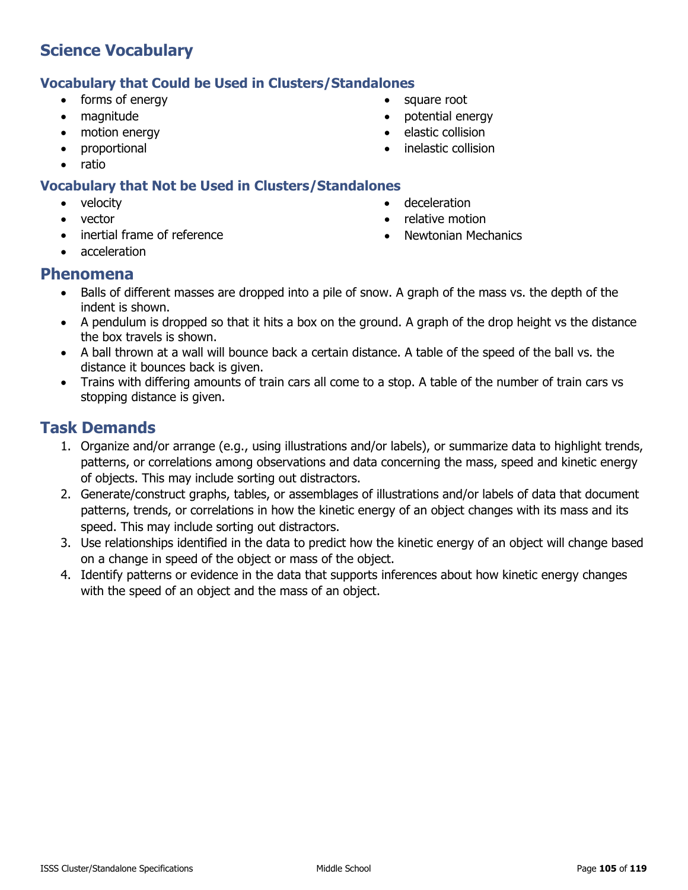### **Vocabulary that Could be Used in Clusters/Standalones**

- forms of energy
- magnitude
- motion energy
- proportional
- ratio

### **Vocabulary that Not be Used in Clusters/Standalones**

- velocity
- vector
- inertial frame of reference
	- acceleration

# **Phenomena**

- Balls of different masses are dropped into a pile of snow. A graph of the mass vs. the depth of the indent is shown.
- A pendulum is dropped so that it hits a box on the ground. A graph of the drop height vs the distance the box travels is shown.
- A ball thrown at a wall will bounce back a certain distance. A table of the speed of the ball vs. the distance it bounces back is given.
- Trains with differing amounts of train cars all come to a stop. A table of the number of train cars vs stopping distance is given.

# **Task Demands**

- 1. Organize and/or arrange (e.g., using illustrations and/or labels), or summarize data to highlight trends, patterns, or correlations among observations and data concerning the mass, speed and kinetic energy of objects. This may include sorting out distractors.
- 2. Generate/construct graphs, tables, or assemblages of illustrations and/or labels of data that document patterns, trends, or correlations in how the kinetic energy of an object changes with its mass and its speed. This may include sorting out distractors.
- 3. Use relationships identified in the data to predict how the kinetic energy of an object will change based on a change in speed of the object or mass of the object.
- 4. Identify patterns or evidence in the data that supports inferences about how kinetic energy changes with the speed of an object and the mass of an object.

ISSS Cluster/Standalone Specifications **Middle School** Page 105 of 119

- square root
- potential energy
- elastic collision

• deceleration • relative motion

• inelastic collision

• Newtonian Mechanics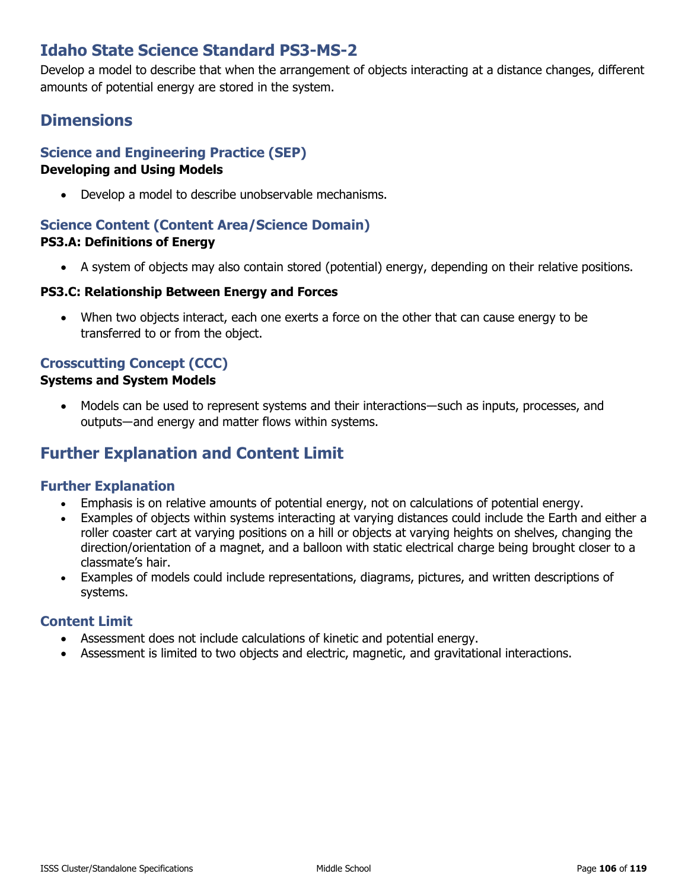# **Idaho State Science Standard PS3-MS-2**

Develop a model to describe that when the arrangement of objects interacting at a distance changes, different amounts of potential energy are stored in the system.

# **Dimensions**

### **Science and Engineering Practice (SEP)**

#### **Developing and Using Models**

• Develop a model to describe unobservable mechanisms.

#### **Science Content (Content Area/Science Domain) PS3.A: Definitions of Energy**

• A system of objects may also contain stored (potential) energy, depending on their relative positions.

#### **PS3.C: Relationship Between Energy and Forces**

• When two objects interact, each one exerts a force on the other that can cause energy to be transferred to or from the object.

### **Crosscutting Concept (CCC)**

#### **Systems and System Models**

• Models can be used to represent systems and their interactions—such as inputs, processes, and outputs―and energy and matter flows within systems.

### **Further Explanation and Content Limit**

### **Further Explanation**

- Emphasis is on relative amounts of potential energy, not on calculations of potential energy.
- Examples of objects within systems interacting at varying distances could include the Earth and either a roller coaster cart at varying positions on a hill or objects at varying heights on shelves, changing the direction/orientation of a magnet, and a balloon with static electrical charge being brought closer to a classmate's hair.
- Examples of models could include representations, diagrams, pictures, and written descriptions of systems.

- Assessment does not include calculations of kinetic and potential energy.
- Assessment is limited to two objects and electric, magnetic, and gravitational interactions.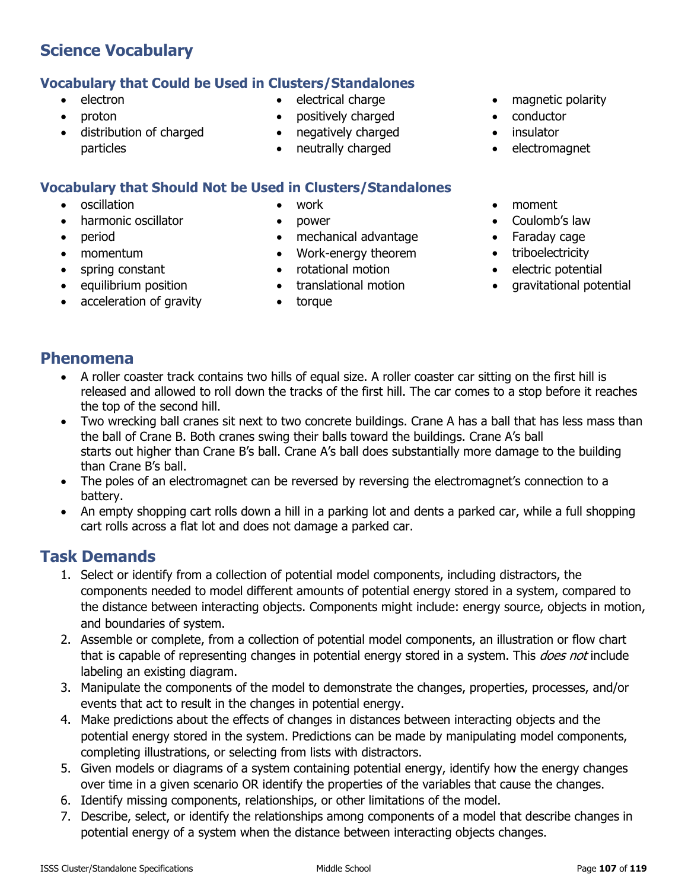### **Vocabulary that Could be Used in Clusters/Standalones**

- electron
- proton
- distribution of charged particles
- electrical charge
- positively charged
- negatively charged
- neutrally charged

### **Vocabulary that Should Not be Used in Clusters/Standalones**

- oscillation
- harmonic oscillator
- period
- momentum
- spring constant
- equilibrium position
- acceleration of gravity
- work
- power
- mechanical advantage
- Work-energy theorem
- rotational motion
- translational motion
- torque
- magnetic polarity
- conductor
- insulator
- electromagnet
- moment
- Coulomb's law
- Faraday cage
- triboelectricity
- electric potential
- gravitational potential

### **Phenomena**

- A roller coaster track contains two hills of equal size. A roller coaster car sitting on the first hill is released and allowed to roll down the tracks of the first hill. The car comes to a stop before it reaches the top of the second hill.
- Two wrecking ball cranes sit next to two concrete buildings. Crane A has a ball that has less mass than the ball of Crane B. Both cranes swing their balls toward the buildings. Crane A's ball starts out higher than Crane B's ball. Crane A's ball does substantially more damage to the building than Crane B's ball.
- The poles of an electromagnet can be reversed by reversing the electromagnet's connection to a battery.
- An empty shopping cart rolls down a hill in a parking lot and dents a parked car, while a full shopping cart rolls across a flat lot and does not damage a parked car.

- 1. Select or identify from a collection of potential model components, including distractors, the components needed to model different amounts of potential energy stored in a system, compared to the distance between interacting objects. Components might include: energy source, objects in motion, and boundaries of system.
- 2. Assemble or complete, from a collection of potential model components, an illustration or flow chart that is capable of representing changes in potential energy stored in a system. This *does not* include labeling an existing diagram.
- 3. Manipulate the components of the model to demonstrate the changes, properties, processes, and/or events that act to result in the changes in potential energy.
- 4. Make predictions about the effects of changes in distances between interacting objects and the potential energy stored in the system. Predictions can be made by manipulating model components, completing illustrations, or selecting from lists with distractors.
- 5. Given models or diagrams of a system containing potential energy, identify how the energy changes over time in a given scenario OR identify the properties of the variables that cause the changes.
- 6. Identify missing components, relationships, or other limitations of the model.
- 7. Describe, select, or identify the relationships among components of a model that describe changes in potential energy of a system when the distance between interacting objects changes.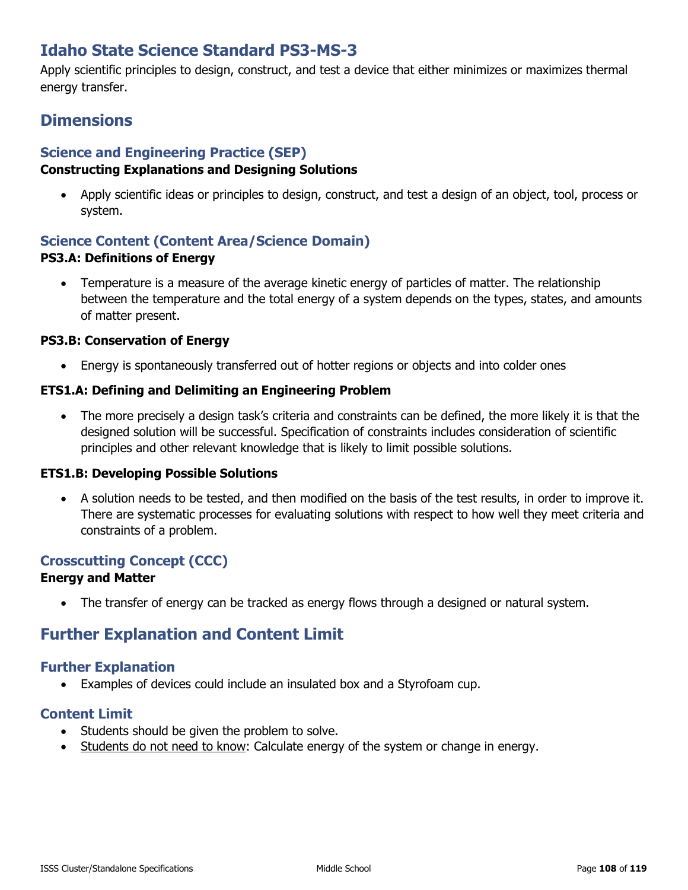# **Idaho State Science Standard PS3-MS-3**

Apply scientific principles to design, construct, and test a device that either minimizes or maximizes thermal energy transfer.

### **Dimensions**

### **Science and Engineering Practice (SEP)**

### **Constructing Explanations and Designing Solutions**

• Apply scientific ideas or principles to design, construct, and test a design of an object, tool, process or system.

### **Science Content (Content Area/Science Domain) PS3.A: Definitions of Energy**

• Temperature is a measure of the average kinetic energy of particles of matter. The relationship between the temperature and the total energy of a system depends on the types, states, and amounts of matter present.

#### **PS3.B: Conservation of Energy**

• Energy is spontaneously transferred out of hotter regions or objects and into colder ones

#### **ETS1.A: Defining and Delimiting an Engineering Problem**

• The more precisely a design task's criteria and constraints can be defined, the more likely it is that the designed solution will be successful. Specification of constraints includes consideration of scientific principles and other relevant knowledge that is likely to limit possible solutions.

#### **ETS1.B: Developing Possible Solutions**

• A solution needs to be tested, and then modified on the basis of the test results, in order to improve it. There are systematic processes for evaluating solutions with respect to how well they meet criteria and constraints of a problem.

### **Crosscutting Concept (CCC)**

#### **Energy and Matter**

• The transfer of energy can be tracked as energy flows through a designed or natural system.

### **Further Explanation and Content Limit**

#### **Further Explanation**

• Examples of devices could include an insulated box and a Styrofoam cup.

- Students should be given the problem to solve.
- Students do not need to know: Calculate energy of the system or change in energy.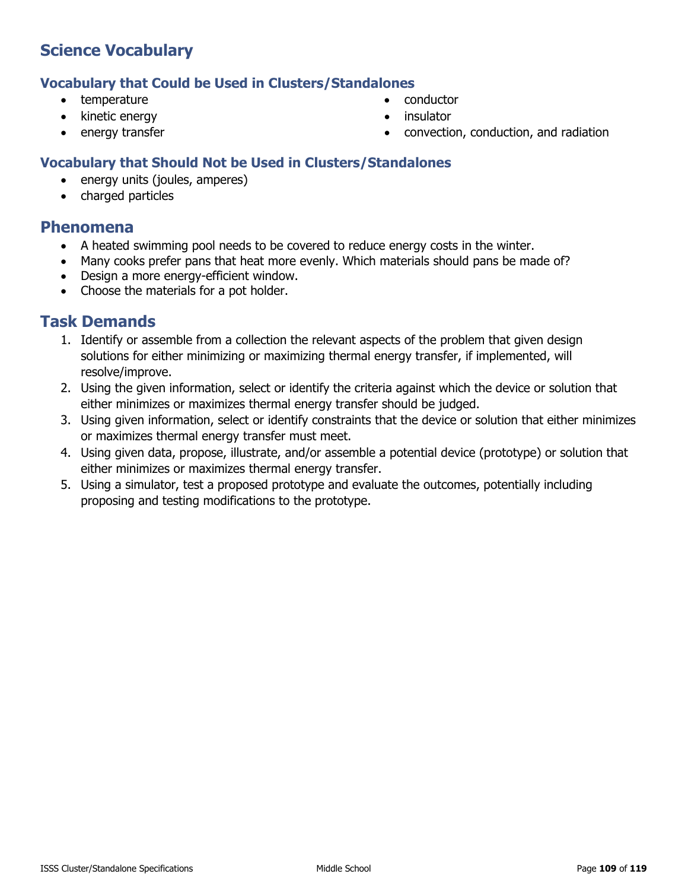#### **Vocabulary that Could be Used in Clusters/Standalones**

- temperature
- kinetic energy
- energy transfer
- conductor
- insulator
- convection, conduction, and radiation

## **Vocabulary that Should Not be Used in Clusters/Standalones**

- energy units (joules, amperes)
- charged particles

## **Phenomena**

- A heated swimming pool needs to be covered to reduce energy costs in the winter.
- Many cooks prefer pans that heat more evenly. Which materials should pans be made of?
- Design a more energy-efficient window.
- Choose the materials for a pot holder.

- 1. Identify or assemble from a collection the relevant aspects of the problem that given design solutions for either minimizing or maximizing thermal energy transfer, if implemented, will resolve/improve.
- 2. Using the given information, select or identify the criteria against which the device or solution that either minimizes or maximizes thermal energy transfer should be judged.
- 3. Using given information, select or identify constraints that the device or solution that either minimizes or maximizes thermal energy transfer must meet.
- 4. Using given data, propose, illustrate, and/or assemble a potential device (prototype) or solution that either minimizes or maximizes thermal energy transfer.
- 5. Using a simulator, test a proposed prototype and evaluate the outcomes, potentially including proposing and testing modifications to the prototype.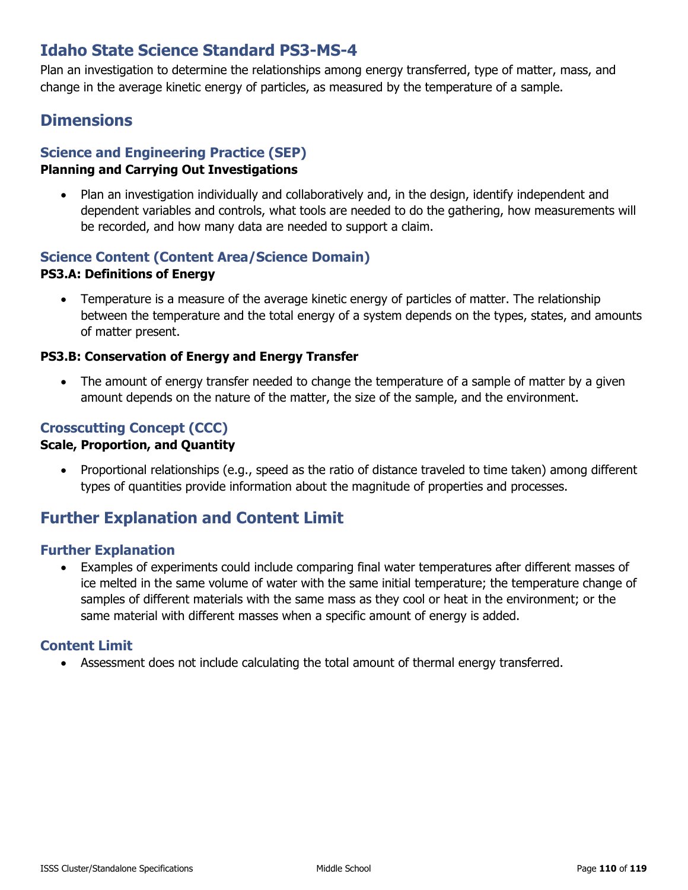# **Idaho State Science Standard PS3-MS-4**

Plan an investigation to determine the relationships among energy transferred, type of matter, mass, and change in the average kinetic energy of particles, as measured by the temperature of a sample.

## **Dimensions**

## **Science and Engineering Practice (SEP)**

#### **Planning and Carrying Out Investigations**

• Plan an investigation individually and collaboratively and, in the design, identify independent and dependent variables and controls, what tools are needed to do the gathering, how measurements will be recorded, and how many data are needed to support a claim.

# **Science Content (Content Area/Science Domain)**

#### **PS3.A: Definitions of Energy**

• Temperature is a measure of the average kinetic energy of particles of matter. The relationship between the temperature and the total energy of a system depends on the types, states, and amounts of matter present.

#### **PS3.B: Conservation of Energy and Energy Transfer**

• The amount of energy transfer needed to change the temperature of a sample of matter by a given amount depends on the nature of the matter, the size of the sample, and the environment.

## **Crosscutting Concept (CCC)**

#### **Scale, Proportion, and Quantity**

• Proportional relationships (e.g., speed as the ratio of distance traveled to time taken) among different types of quantities provide information about the magnitude of properties and processes.

## **Further Explanation and Content Limit**

#### **Further Explanation**

• Examples of experiments could include comparing final water temperatures after different masses of ice melted in the same volume of water with the same initial temperature; the temperature change of samples of different materials with the same mass as they cool or heat in the environment; or the same material with different masses when a specific amount of energy is added.

## **Content Limit**

• Assessment does not include calculating the total amount of thermal energy transferred.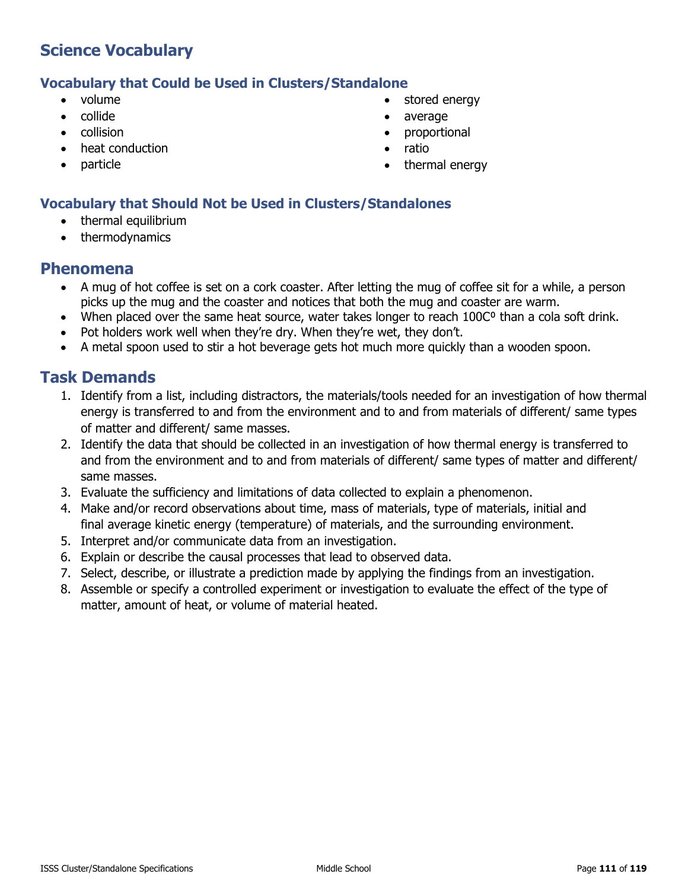#### **Vocabulary that Could be Used in Clusters/Standalone**

- volume
- collide
- collision
- heat conduction
- particle
- stored energy
- average
- proportional
- ratio
- thermal energy

## **Vocabulary that Should Not be Used in Clusters/Standalones**

- thermal equilibrium
- thermodynamics

## **Phenomena**

- A mug of hot coffee is set on a cork coaster. After letting the mug of coffee sit for a while, a person picks up the mug and the coaster and notices that both the mug and coaster are warm.
- When placed over the same heat source, water takes longer to reach 100C<sup>o</sup> than a cola soft drink.
- Pot holders work well when they're dry. When they're wet, they don't.
- A metal spoon used to stir a hot beverage gets hot much more quickly than a wooden spoon.

- 1. Identify from a list, including distractors, the materials/tools needed for an investigation of how thermal energy is transferred to and from the environment and to and from materials of different/ same types of matter and different/ same masses.
- 2. Identify the data that should be collected in an investigation of how thermal energy is transferred to and from the environment and to and from materials of different/ same types of matter and different/ same masses.
- 3. Evaluate the sufficiency and limitations of data collected to explain a phenomenon.
- 4. Make and/or record observations about time, mass of materials, type of materials, initial and final average kinetic energy (temperature) of materials, and the surrounding environment.
- 5. Interpret and/or communicate data from an investigation.
- 6. Explain or describe the causal processes that lead to observed data.
- 7. Select, describe, or illustrate a prediction made by applying the findings from an investigation.
- 8. Assemble or specify a controlled experiment or investigation to evaluate the effect of the type of matter, amount of heat, or volume of material heated.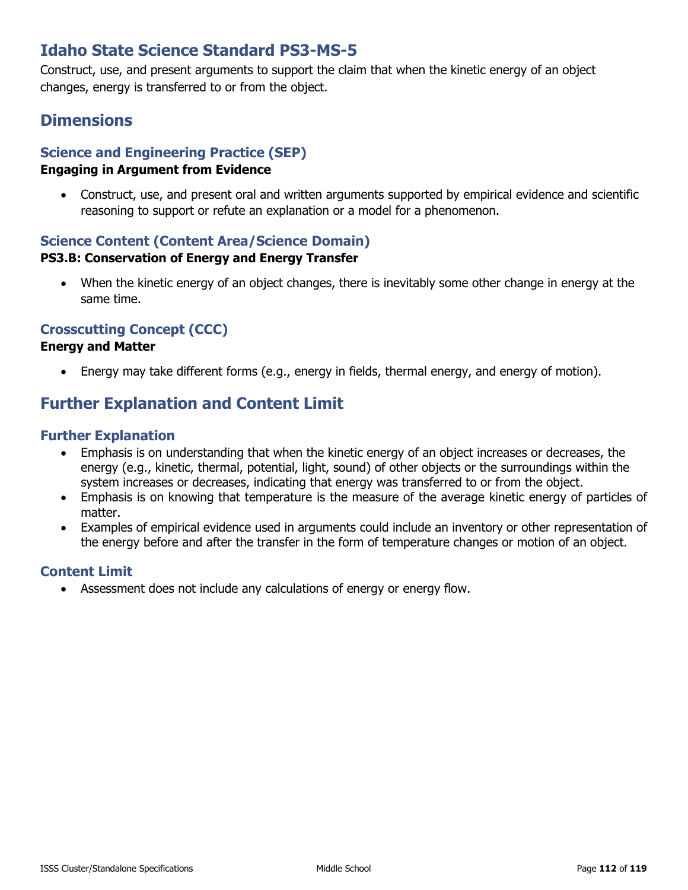# **Idaho State Science Standard PS3-MS-5**

Construct, use, and present arguments to support the claim that when the kinetic energy of an object changes, energy is transferred to or from the object.

# **Dimensions**

## **Science and Engineering Practice (SEP)**

## **Engaging in Argument from Evidence**

• Construct, use, and present oral and written arguments supported by empirical evidence and scientific reasoning to support or refute an explanation or a model for a phenomenon.

#### **Science Content (Content Area/Science Domain) PS3.B: Conservation of Energy and Energy Transfer**

• When the kinetic energy of an object changes, there is inevitably some other change in energy at the same time.

## **Crosscutting Concept (CCC)**

## **Energy and Matter**

• Energy may take different forms (e.g., energy in fields, thermal energy, and energy of motion).

# **Further Explanation and Content Limit**

## **Further Explanation**

- Emphasis is on understanding that when the kinetic energy of an object increases or decreases, the energy (e.g., kinetic, thermal, potential, light, sound) of other objects or the surroundings within the system increases or decreases, indicating that energy was transferred to or from the object.
- Emphasis is on knowing that temperature is the measure of the average kinetic energy of particles of matter.
- Examples of empirical evidence used in arguments could include an inventory or other representation of the energy before and after the transfer in the form of temperature changes or motion of an object.

## **Content Limit**

• Assessment does not include any calculations of energy or energy flow.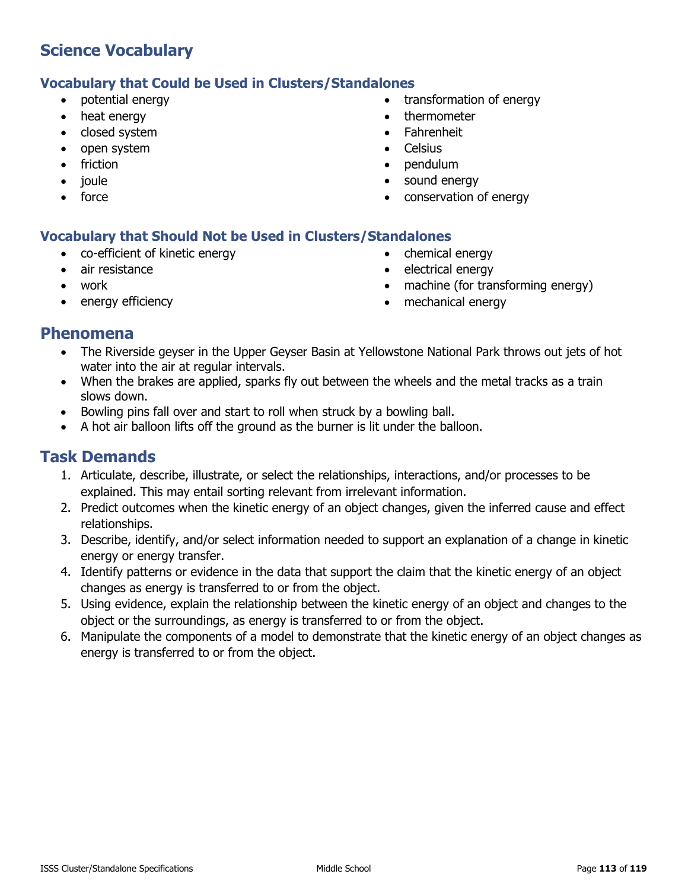## **Vocabulary that Could be Used in Clusters/Standalones**

- potential energy
- heat energy
- closed system
- open system
- friction
- joule
- force
- transformation of energy
- thermometer
- Fahrenheit
- **Celsius**
- pendulum
- sound energy
- conservation of energy

## **Vocabulary that Should Not be Used in Clusters/Standalones**

- co-efficient of kinetic energy
- air resistance
- work
- energy efficiency
- chemical energy
- electrical energy
- machine (for transforming energy)
- mechanical energy

## **Phenomena**

- The Riverside geyser in the Upper Geyser Basin at Yellowstone National Park throws out jets of hot water into the air at regular intervals.
- When the brakes are applied, sparks fly out between the wheels and the metal tracks as a train slows down.
- Bowling pins fall over and start to roll when struck by a bowling ball.
- A hot air balloon lifts off the ground as the burner is lit under the balloon.

- 1. Articulate, describe, illustrate, or select the relationships, interactions, and/or processes to be explained. This may entail sorting relevant from irrelevant information.
- 2. Predict outcomes when the kinetic energy of an object changes, given the inferred cause and effect relationships.
- 3. Describe, identify, and/or select information needed to support an explanation of a change in kinetic energy or energy transfer.
- 4. Identify patterns or evidence in the data that support the claim that the kinetic energy of an object changes as energy is transferred to or from the object.
- 5. Using evidence, explain the relationship between the kinetic energy of an object and changes to the object or the surroundings, as energy is transferred to or from the object.
- 6. Manipulate the components of a model to demonstrate that the kinetic energy of an object changes as energy is transferred to or from the object.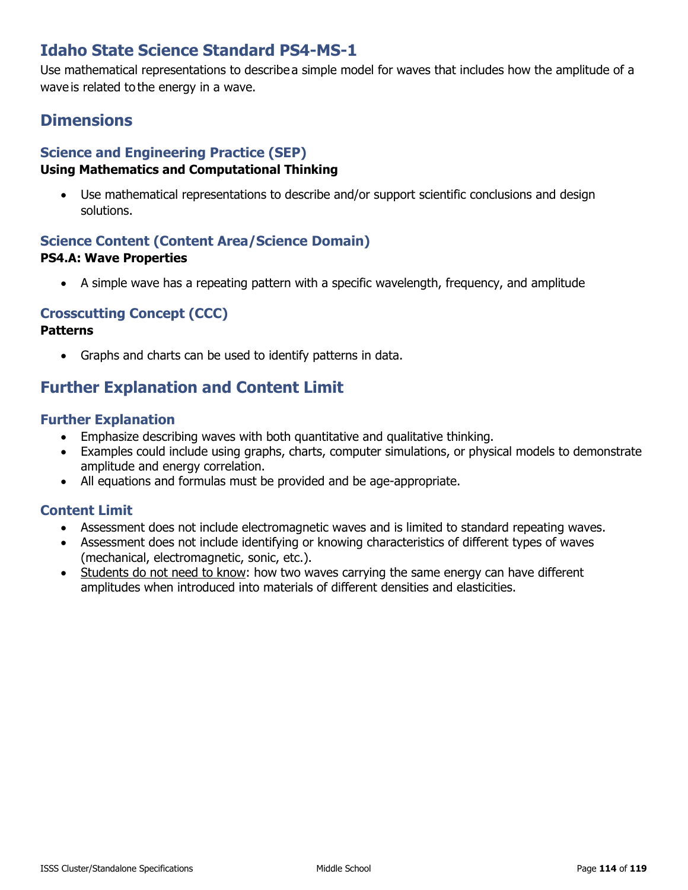# **Idaho State Science Standard PS4-MS-1**

Use mathematical representations to describe a simple model for waves that includes how the amplitude of a wave is related to the energy in a wave.

# **Dimensions**

## **Science and Engineering Practice (SEP)**

## **Using Mathematics and Computational Thinking**

• Use mathematical representations to describe and/or support scientific conclusions and design solutions.

## **Science Content (Content Area/Science Domain) PS4.A: Wave Properties**

• A simple wave has a repeating pattern with a specific wavelength, frequency, and amplitude

## **Crosscutting Concept (CCC)**

#### **Patterns**

• Graphs and charts can be used to identify patterns in data.

# **Further Explanation and Content Limit**

## **Further Explanation**

- Emphasize describing waves with both quantitative and qualitative thinking.
- Examples could include using graphs, charts, computer simulations, or physical models to demonstrate amplitude and energy correlation.
- All equations and formulas must be provided and be age-appropriate.

## **Content Limit**

- Assessment does not include electromagnetic waves and is limited to standard repeating waves.
- Assessment does not include identifying or knowing characteristics of different types of waves (mechanical, electromagnetic, sonic, etc.).
- Students do not need to know: how two waves carrying the same energy can have different amplitudes when introduced into materials of different densities and elasticities.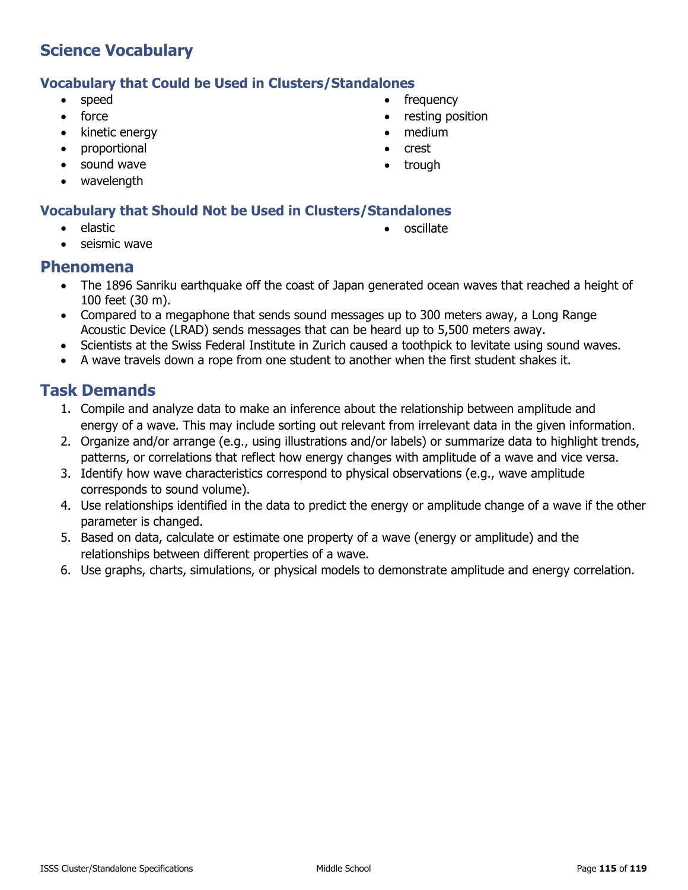## **Vocabulary that Could be Used in Clusters/Standalones**

- speed
- force
- kinetic energy
- proportional
- sound wave
- wavelength

## **Vocabulary that Should Not be Used in Clusters/Standalones**

• elastic

• oscillate

seismic wave

## **Phenomena**

- The 1896 Sanriku earthquake off the coast of Japan generated ocean waves that reached a height of 100 feet (30 m).
- Compared to a megaphone that sends sound messages up to 300 meters away, a Long Range Acoustic Device (LRAD) sends messages that can be heard up to 5,500 meters away.
- Scientists at the Swiss Federal Institute in Zurich caused a toothpick to levitate using sound waves.
- A wave travels down a rope from one student to another when the first student shakes it.

- 1. Compile and analyze data to make an inference about the relationship between amplitude and energy of a wave. This may include sorting out relevant from irrelevant data in the given information.
- 2. Organize and/or arrange (e.g., using illustrations and/or labels) or summarize data to highlight trends, patterns, or correlations that reflect how energy changes with amplitude of a wave and vice versa.
- 3. Identify how wave characteristics correspond to physical observations (e.g., wave amplitude corresponds to sound volume).
- 4. Use relationships identified in the data to predict the energy or amplitude change of a wave if the other parameter is changed.
- 5. Based on data, calculate or estimate one property of a wave (energy or amplitude) and the relationships between different properties of a wave.
- 6. Use graphs, charts, simulations, or physical models to demonstrate amplitude and energy correlation.
- frequency
- resting position
- medium
- crest
- trough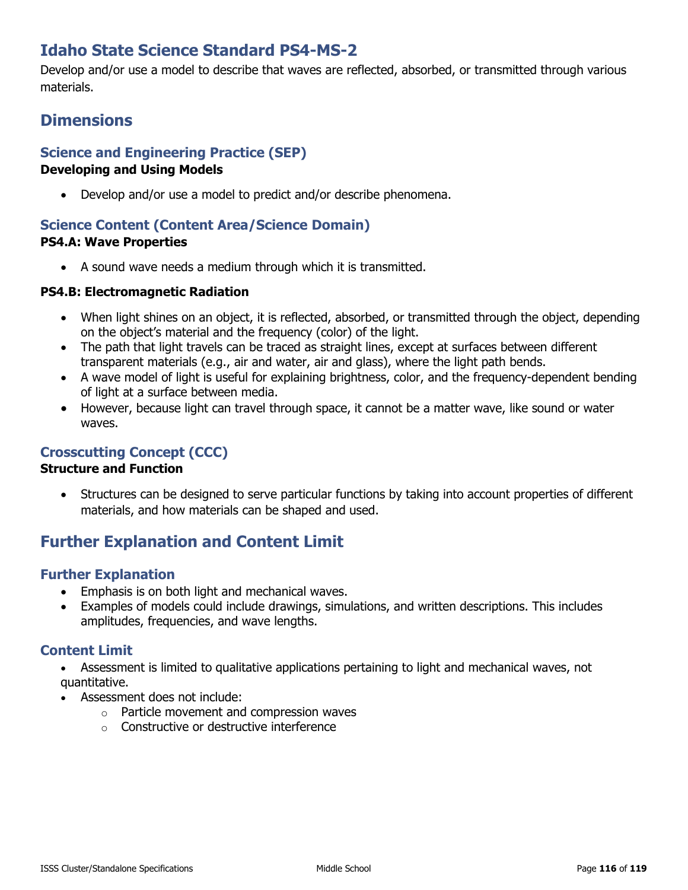# **Idaho State Science Standard PS4-MS-2**

Develop and/or use a model to describe that waves are reflected, absorbed, or transmitted through various materials.

# **Dimensions**

## **Science and Engineering Practice (SEP)**

#### **Developing and Using Models**

• Develop and/or use a model to predict and/or describe phenomena.

#### **Science Content (Content Area/Science Domain) PS4.A: Wave Properties**

• A sound wave needs a medium through which it is transmitted.

#### **PS4.B: Electromagnetic Radiation**

- When light shines on an object, it is reflected, absorbed, or transmitted through the object, depending on the object's material and the frequency (color) of the light.
- The path that light travels can be traced as straight lines, except at surfaces between different transparent materials (e.g., air and water, air and glass), where the light path bends.
- A wave model of light is useful for explaining brightness, color, and the frequency-dependent bending of light at a surface between media.
- However, because light can travel through space, it cannot be a matter wave, like sound or water waves.

## **Crosscutting Concept (CCC)**

#### **Structure and Function**

Structures can be designed to serve particular functions by taking into account properties of different materials, and how materials can be shaped and used.

## **Further Explanation and Content Limit**

## **Further Explanation**

- Emphasis is on both light and mechanical waves.
- Examples of models could include drawings, simulations, and written descriptions. This includes amplitudes, frequencies, and wave lengths.

## **Content Limit**

- Assessment is limited to qualitative applications pertaining to light and mechanical waves, not quantitative.
- Assessment does not include:
	- o Particle movement and compression waves
	- o Constructive or destructive interference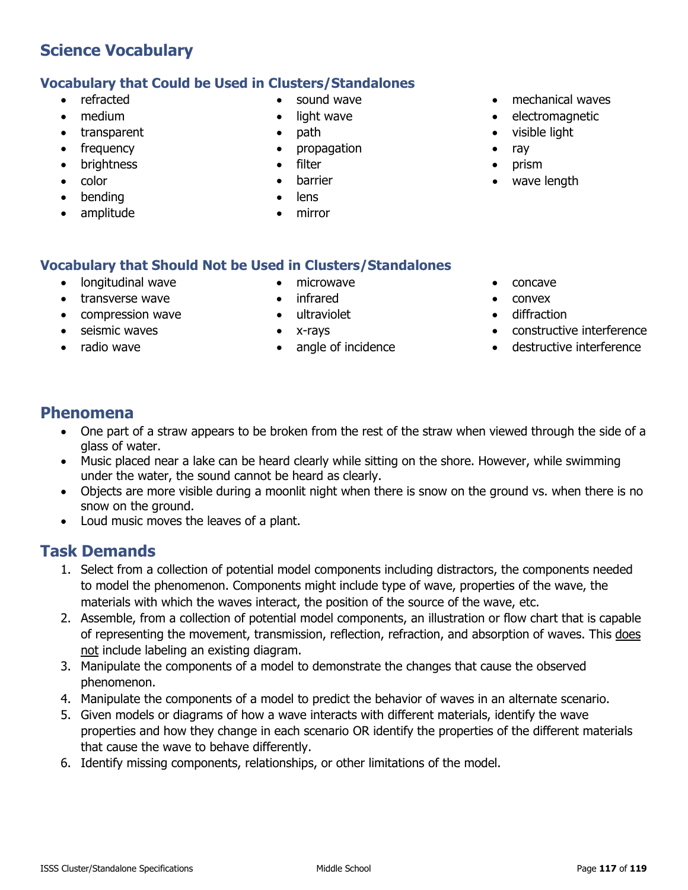## **Vocabulary that Could be Used in Clusters/Standalones**

- refracted
- medium
- transparent
- frequency
- brightness
- color
- bending
- amplitude
- sound wave
- light wave
- path
- propagation
- filter
- **barrier**
- lens
- mirror
- mechanical waves
- electromagnetic
- visible light
- ray
- prism
- wave length

## **Vocabulary that Should Not be Used in Clusters/Standalones**

- longitudinal wave
- transverse wave
- compression wave
- seismic waves
- radio wave
- microwave
- infrared
- ultraviolet
- x-rays
- angle of incidence
- concave
- convex
- diffraction
- constructive interference
- destructive interference

## **Phenomena**

- One part of a straw appears to be broken from the rest of the straw when viewed through the side of a glass of water.
- Music placed near a lake can be heard clearly while sitting on the shore. However, while swimming under the water, the sound cannot be heard as clearly.
- Objects are more visible during a moonlit night when there is snow on the ground vs. when there is no snow on the ground.
- Loud music moves the leaves of a plant.

- 1. Select from a collection of potential model components including distractors, the components needed to model the phenomenon. Components might include type of wave, properties of the wave, the materials with which the waves interact, the position of the source of the wave, etc.
- 2. Assemble, from a collection of potential model components, an illustration or flow chart that is capable of representing the movement, transmission, reflection, refraction, and absorption of waves. This does not include labeling an existing diagram.
- 3. Manipulate the components of a model to demonstrate the changes that cause the observed phenomenon.
- 4. Manipulate the components of a model to predict the behavior of waves in an alternate scenario.
- 5. Given models or diagrams of how a wave interacts with different materials, identify the wave properties and how they change in each scenario OR identify the properties of the different materials that cause the wave to behave differently.
- 6. Identify missing components, relationships, or other limitations of the model.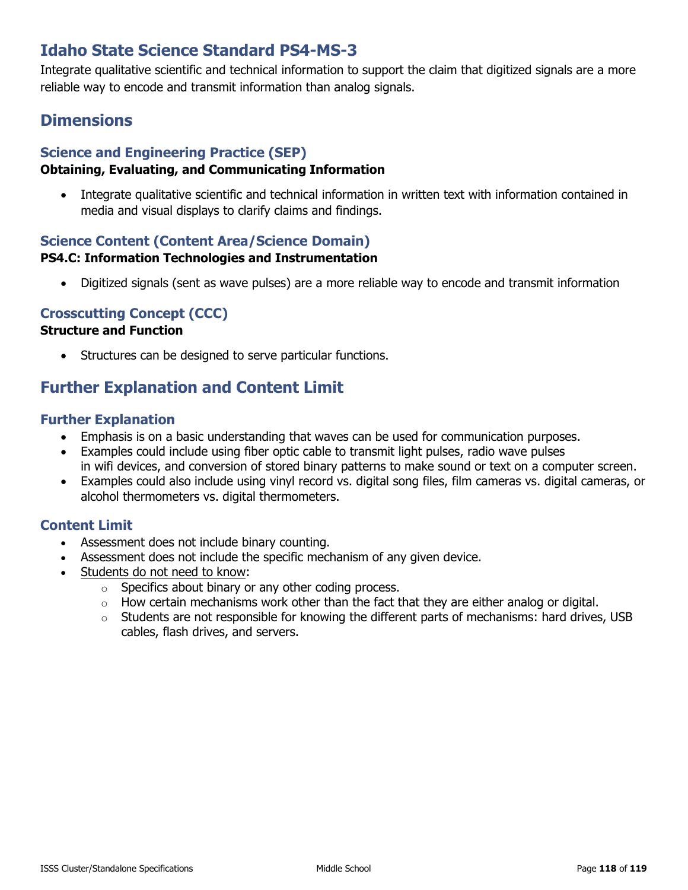# **Idaho State Science Standard PS4-MS-3**

Integrate qualitative scientific and technical information to support the claim that digitized signals are a more reliable way to encode and transmit information than analog signals.

# **Dimensions**

## **Science and Engineering Practice (SEP)**

## **Obtaining, Evaluating, and Communicating Information**

• Integrate qualitative scientific and technical information in written text with information contained in media and visual displays to clarify claims and findings.

## **Science Content (Content Area/Science Domain)**

#### **PS4.C: Information Technologies and Instrumentation**

• Digitized signals (sent as wave pulses) are a more reliable way to encode and transmit information

## **Crosscutting Concept (CCC)**

## **Structure and Function**

• Structures can be designed to serve particular functions.

# **Further Explanation and Content Limit**

#### **Further Explanation**

- Emphasis is on a basic understanding that waves can be used for communication purposes.
- Examples could include using fiber optic cable to transmit light pulses, radio wave pulses in wifi devices, and conversion of stored binary patterns to make sound or text on a computer screen.
- Examples could also include using vinyl record vs. digital song files, film cameras vs. digital cameras, or alcohol thermometers vs. digital thermometers.

## **Content Limit**

- Assessment does not include binary counting.
- Assessment does not include the specific mechanism of any given device.
- Students do not need to know:
	- o Specifics about binary or any other coding process.
	- $\circ$  How certain mechanisms work other than the fact that they are either analog or digital.
	- $\circ$  Students are not responsible for knowing the different parts of mechanisms: hard drives, USB cables, flash drives, and servers.